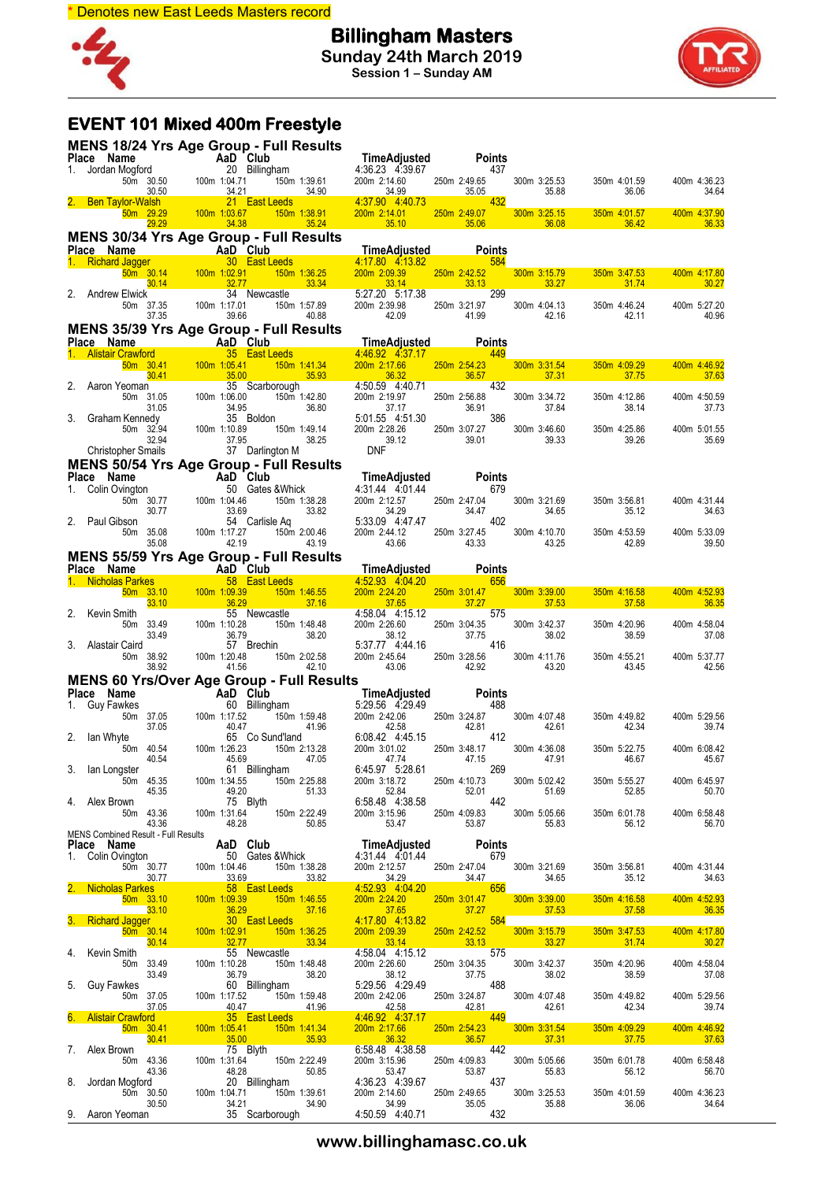

**Billingham Masters Sunday 24th March 2019 Session 1 – Sunday AM**



# **EVENT 101 Mixed 400m Freestyle**

|    | <b>MENS 18/24 Yrs Age Group - Full Results</b>                                         |                    |                                                                                                                                                                                |       |                                                                                       |       |                                                                                                                                                                                                                                                                                                                                                     |                                |                                                    |                                                                                                                       |                       |                       |
|----|----------------------------------------------------------------------------------------|--------------------|--------------------------------------------------------------------------------------------------------------------------------------------------------------------------------|-------|---------------------------------------------------------------------------------------|-------|-----------------------------------------------------------------------------------------------------------------------------------------------------------------------------------------------------------------------------------------------------------------------------------------------------------------------------------------------------|--------------------------------|----------------------------------------------------|-----------------------------------------------------------------------------------------------------------------------|-----------------------|-----------------------|
|    |                                                                                        |                    |                                                                                                                                                                                |       |                                                                                       |       |                                                                                                                                                                                                                                                                                                                                                     |                                |                                                    |                                                                                                                       |                       |                       |
|    |                                                                                        |                    |                                                                                                                                                                                |       |                                                                                       |       |                                                                                                                                                                                                                                                                                                                                                     |                                |                                                    |                                                                                                                       | 350m 4:01.59          | 400m 4:36.23          |
|    |                                                                                        |                    |                                                                                                                                                                                |       |                                                                                       |       |                                                                                                                                                                                                                                                                                                                                                     |                                |                                                    |                                                                                                                       | 36.06                 | 34.64                 |
|    |                                                                                        |                    |                                                                                                                                                                                |       |                                                                                       |       |                                                                                                                                                                                                                                                                                                                                                     |                                |                                                    |                                                                                                                       | 350m 4:01.57          | 400m 4:37.90          |
|    |                                                                                        |                    |                                                                                                                                                                                |       |                                                                                       |       | Place Name Adjusted Points<br>1. Jordan Mogford <b>20</b> Billingham<br>50m 30.50 100m 1:04.71 150m 1:39.61 200m 2:14.60 250m 2:49.65 300m 3:25.53 350m<br><b>2. Ben Taylor-Walsh</b> 21 East Leeds 4:37.90 4:40.73 35.05 35.88<br><b>2. Ben Taylo</b>                                                                                              |                                |                                                    |                                                                                                                       | 36.42                 | 36.33                 |
|    | <b>MENS 30/34 Yrs Age Group - Full Results</b>                                         |                    |                                                                                                                                                                                |       |                                                                                       |       |                                                                                                                                                                                                                                                                                                                                                     |                                |                                                    |                                                                                                                       |                       |                       |
|    |                                                                                        |                    |                                                                                                                                                                                |       |                                                                                       |       | <b>MENS 30/34 TFS Age STOUP - FUILTNESURE TREAD (1. Richard Jagger and AaD Club Time Adjusted Points<br/> 1. Richard Jagger 4:17.80 4:17.80 4:18.82<br/> 50m 30.14 100m 1:02.91 150m 1:36.25 200m 2:09.39 250m 2:42.52<br/> 30.14 32.77 33.3</b>                                                                                                    |                                |                                                    |                                                                                                                       |                       |                       |
|    |                                                                                        |                    |                                                                                                                                                                                |       |                                                                                       |       |                                                                                                                                                                                                                                                                                                                                                     |                                |                                                    | $\frac{1.09.39}{33.14}$ 250m 2:42.52 300m 3:15.79 350m 3<br>33.14                                                     | 350m 3:47.53<br>31.74 | 400m 4:17.80<br>30.27 |
|    |                                                                                        |                    |                                                                                                                                                                                |       |                                                                                       |       |                                                                                                                                                                                                                                                                                                                                                     |                                |                                                    |                                                                                                                       |                       |                       |
|    |                                                                                        |                    |                                                                                                                                                                                |       |                                                                                       |       |                                                                                                                                                                                                                                                                                                                                                     |                                |                                                    | 300m 4:04.13 350m<br>42.16                                                                                            | 350m 4:46.24<br>42.11 | 400m 5:27.20<br>40.96 |
|    | <b>MENS 35/39 Yrs Age Group - Full Results</b>                                         |                    |                                                                                                                                                                                |       |                                                                                       |       |                                                                                                                                                                                                                                                                                                                                                     |                                |                                                    |                                                                                                                       |                       |                       |
|    |                                                                                        |                    |                                                                                                                                                                                |       |                                                                                       |       |                                                                                                                                                                                                                                                                                                                                                     |                                |                                                    |                                                                                                                       |                       |                       |
|    |                                                                                        |                    |                                                                                                                                                                                |       |                                                                                       |       | <b>MENS 35/39 Yrs Age Group - Full Results</b><br><b>Place Name</b><br><b>AaD Club</b><br><b>Example 1. Alistair Crawford</b><br><b>Example 1. Alistair Crawford</b><br><b>Example 1.00 and 100 and 100 and 150 and 141.34</b><br><b>Example 1.00 and 1.05.00</b><br><b>Example 1</b>                                                               |                                |                                                    |                                                                                                                       | 350m 4:09.29          | 400m 4:46.92          |
|    |                                                                                        |                    |                                                                                                                                                                                |       |                                                                                       |       |                                                                                                                                                                                                                                                                                                                                                     |                                |                                                    | 300m 3:31.54 350m<br>37.31                                                                                            | 37.75                 | 37.63                 |
|    |                                                                                        |                    |                                                                                                                                                                                |       |                                                                                       |       |                                                                                                                                                                                                                                                                                                                                                     |                                |                                                    | 300m 3:34.72 350m<br>37.84                                                                                            | 350m 4:12.86          | 400m 4:50.59          |
|    |                                                                                        |                    |                                                                                                                                                                                |       |                                                                                       |       |                                                                                                                                                                                                                                                                                                                                                     |                                |                                                    |                                                                                                                       | 38.14                 | 37.73                 |
|    |                                                                                        |                    |                                                                                                                                                                                |       |                                                                                       |       |                                                                                                                                                                                                                                                                                                                                                     |                                |                                                    | 300m 3:46.60 350m 39.33                                                                                               | 350m 4:25.86          | 400m 5:01.55          |
|    |                                                                                        |                    |                                                                                                                                                                                |       |                                                                                       |       |                                                                                                                                                                                                                                                                                                                                                     |                                |                                                    |                                                                                                                       | 39.26                 | 35.69                 |
|    | <b>MENS 50/54 Yrs Age Group - Full Results</b>                                         |                    |                                                                                                                                                                                |       |                                                                                       |       |                                                                                                                                                                                                                                                                                                                                                     |                                |                                                    |                                                                                                                       |                       |                       |
|    | Place Name                                                                             |                    |                                                                                                                                                                                |       |                                                                                       |       | 1974 TTS Age Group - FUII Results<br>1980 Club<br>1990 Club<br>1990 Club<br>50m 30.77<br>100m 1:04.46<br>150m 1:38.28<br>160m 30.77<br>100m 1:17.46<br>160m 1:38.28<br>160m 2:12.57<br>100m 1:17.46<br>100m 1:17.27<br>160m 2:00.46<br>160m 2:42.9<br>160m 2                                                                                        |                                |                                                    |                                                                                                                       |                       |                       |
|    | 1. Colin Ovington                                                                      |                    |                                                                                                                                                                                |       |                                                                                       |       |                                                                                                                                                                                                                                                                                                                                                     |                                |                                                    |                                                                                                                       | 350m 3:56.81          | 400m 4:31.44          |
|    |                                                                                        |                    |                                                                                                                                                                                |       |                                                                                       |       |                                                                                                                                                                                                                                                                                                                                                     |                                |                                                    | 300m 3:21.69 350                                                                                                      | 35.12                 | 34.63                 |
|    | 2. Paul Gibson                                                                         |                    |                                                                                                                                                                                |       |                                                                                       |       |                                                                                                                                                                                                                                                                                                                                                     |                                | 300m 4:10.70                                       |                                                                                                                       | 350m 4:53.59          | 400m 5:33.09          |
|    |                                                                                        |                    |                                                                                                                                                                                |       |                                                                                       |       |                                                                                                                                                                                                                                                                                                                                                     | 250m 3:27.45 30<br>43.33       | 43.25                                              |                                                                                                                       | 42.89                 | 39.50                 |
|    | MENS 55/59 Yrs Age Group - Full Results                                                |                    |                                                                                                                                                                                |       |                                                                                       |       |                                                                                                                                                                                                                                                                                                                                                     |                                |                                                    |                                                                                                                       |                       |                       |
|    |                                                                                        |                    |                                                                                                                                                                                |       |                                                                                       |       | Place Name 1. Nicholas Parkes 58 East Leeds 1. Nicholas Parkes 58 East Leeds 58 East Leeds 50m 33.10 100m 1:09.39 150m 1:46.55 200m 2:24.20 250m 3:01.47 33.10 33.10 36.29 150m 1:46.55 200m 2:24.20 250m 3:01.47                                                                                                                                   |                                |                                                    |                                                                                                                       |                       |                       |
|    |                                                                                        |                    |                                                                                                                                                                                |       |                                                                                       |       |                                                                                                                                                                                                                                                                                                                                                     |                                | 250m 3:01.47 300m 3:39.00<br>- 40 37.27 37.53      |                                                                                                                       | 350m 4:16.58          | 400m 4:52.93          |
|    | 2. Kevin Smith                                                                         |                    |                                                                                                                                                                                |       | 55 Newcastle                                                                          |       |                                                                                                                                                                                                                                                                                                                                                     |                                |                                                    |                                                                                                                       | 37.58                 | 36.35                 |
|    |                                                                                        | 50m 33.49          |                                                                                                                                                                                |       |                                                                                       |       |                                                                                                                                                                                                                                                                                                                                                     |                                | 300m 3:42.37                                       |                                                                                                                       | 350m 4:20.96          | 400m 4:58.04          |
|    | 3. Alastair Caird                                                                      | 33.49              | $\begin{array}{cc}\n & 55 \\ 3.49 & 100 \text{m} 1:10.28 \\ 3.49 & 36.79 \\ 57 & 57 \\ 3.92 & 100 \text{m} 1:20.48 \\ 3.92\n\end{array}$                                       |       | 57 Brechin                                                                            |       | astle 4:58.04 4:15.12 575<br>150m 1:48.48 200m 2:26.60 250m 3:04.35<br>38.20 38.12 37.75<br>in 5:37.77 4:44.16 416<br>150m 2:02.58 200m 2:45.64 250m 3:28.56                                                                                                                                                                                        |                                | 38.02                                              |                                                                                                                       | 38.59                 | 37.08                 |
|    |                                                                                        | 50m 38.92          |                                                                                                                                                                                |       |                                                                                       |       | 200m 2:45.64 250m 3:28.56 300m 4:11.76<br>43.06 42.92 43.20                                                                                                                                                                                                                                                                                         |                                |                                                    |                                                                                                                       | 350m 4:55.21          | 400m 5:37.77          |
|    | MENS 60 Yrs/Over Age Group - Full Results                                              | 38.92              |                                                                                                                                                                                | 41.56 |                                                                                       | 42.10 |                                                                                                                                                                                                                                                                                                                                                     |                                |                                                    |                                                                                                                       | 43.45                 | 42.56                 |
|    | Place Name                                                                             |                    | <b>AD Club</b><br>Whes <b>AD Club</b><br>Whes  60 Billing<br>50m 37.05  100m 1:17.52<br>37.05  100m 1:17.52<br>40.47  16<br>50m 40.54  100m 1:26.23<br>50m 40.54  100m 1:26.23 |       |                                                                                       |       | $M = \begin{bmatrix}\n1 & 1 & 1 & 1 & 1 \\ 1 & 1 & 1 & 1 & 1 \\ 1 & 1 & 1 & 1 & 1 \\ 1 & 1 & 1 & 1 & 1 \\ 1 & 1 & 1 & 1 & 1 \\ 1 & 1 & 1 & 1 & 1 \\ 1 & 1 & 1 & 1 & 1 \\ 1 & 1 & 1 & 1 & 1 \\ 1 & 1 & 1 & 1 & 1 \\ 1 & 1 & 1 & 1 & 1 \\ 1 & 1 & 1 & 1 & 1 \\ 1 & 1 & 1 & 1 & 1 \\ 1 & 1 & 1 & 1 & 1 \\ 1 & 1 & 1 & 1 & 1 \\ 1 & 1 & 1 & 1 & 1 \\ 1$ |                                |                                                    |                                                                                                                       |                       |                       |
|    | 1. Guy Fawkes                                                                          |                    |                                                                                                                                                                                |       | 60 Billingham                                                                         |       |                                                                                                                                                                                                                                                                                                                                                     |                                |                                                    |                                                                                                                       | 350m 4:49.82          | 400m 5:29.56          |
|    |                                                                                        |                    |                                                                                                                                                                                |       |                                                                                       |       |                                                                                                                                                                                                                                                                                                                                                     |                                |                                                    | 300m 4:07.48 350m<br>42.61                                                                                            | 42.34                 | 39.74                 |
|    | 2. Ian Whyte                                                                           |                    |                                                                                                                                                                                |       | 65 Co Sund'land                                                                       |       |                                                                                                                                                                                                                                                                                                                                                     |                                | 300m 4:36.08                                       |                                                                                                                       | 350m 5:22.75          | 400m 6:08.42          |
|    |                                                                                        | 40.54              |                                                                                                                                                                                | 45.69 |                                                                                       | 47.05 | 47.74                                                                                                                                                                                                                                                                                                                                               | 250m 3:48.17<br>47.15<br>47.15 | 47.91                                              |                                                                                                                       | 46.67                 | 45.67                 |
|    |                                                                                        |                    |                                                                                                                                                                                |       |                                                                                       |       | 3. Ian Longster 61 Billingham<br>50m 45.35 100m 1:34.55 150m 2:25.88 200m 3:18.72 250m 4:10.73 300m 5:02.42 350m 5:55.27<br>4. Alex Brown 75 Blyth<br>4. Alex Brown 75 Blyth<br>4. Alex Brown 2:26 100 1:34.55 150m 2:25.88 200m 3:18.                                                                                                              |                                |                                                    |                                                                                                                       |                       | 400m 6:45.97          |
|    |                                                                                        |                    |                                                                                                                                                                                |       |                                                                                       |       |                                                                                                                                                                                                                                                                                                                                                     |                                |                                                    |                                                                                                                       |                       | 50.70                 |
|    |                                                                                        | 50m 43.36          |                                                                                                                                                                                |       |                                                                                       |       |                                                                                                                                                                                                                                                                                                                                                     |                                |                                                    |                                                                                                                       | 350m 6:01.78          | 400m 6:58.48          |
|    |                                                                                        | 43.36              |                                                                                                                                                                                |       | 100m 1:31.64 150m 2:22.49<br>48.28 50.85                                              |       | 200m 3:15.96 250m                                                                                                                                                                                                                                                                                                                                   |                                | 250m 4:09.83<br>53.87 55.83                        |                                                                                                                       | 56.12                 | 56.70                 |
|    | MENS Combined Result - Full Results<br><b>Place Name AaD Club</b><br>1. Colin Ovington |                    |                                                                                                                                                                                |       |                                                                                       |       | TimeAdjusted Points<br>4:31.44  4:01.44  679                                                                                                                                                                                                                                                                                                        |                                |                                                    |                                                                                                                       |                       |                       |
|    |                                                                                        |                    |                                                                                                                                                                                |       |                                                                                       |       |                                                                                                                                                                                                                                                                                                                                                     |                                |                                                    |                                                                                                                       |                       |                       |
|    |                                                                                        | 50m 30.77<br>30.77 | 100m 1:04.46                                                                                                                                                                   |       | 150m 1:38.28<br>33.69 33.82                                                           |       | 200m 2:12.57 250m 2:47.04 300m 3:21.69<br>34.29 34.47 34.55<br>4:52.93 4:04.20                                                                                                                                                                                                                                                                      |                                |                                                    |                                                                                                                       | 350m 3:56.81<br>35.12 | 400m 4:31.44<br>34.63 |
|    | 2. Nicholas Parkes                                                                     | $50m$ 33.10        | <u> Maria Ba</u>                                                                                                                                                               |       | 58 East Leeds <b>East Alleged</b><br>100m 1:09.39 150m 1:46.55                        |       |                                                                                                                                                                                                                                                                                                                                                     |                                | 300m 3:39.00                                       |                                                                                                                       | 350m 4:16.58          | 400m 4:52.93          |
|    |                                                                                        | $\overline{33.10}$ |                                                                                                                                                                                |       | 36.29 37.16                                                                           |       | $\frac{200 \text{m} \cdot 2:24.20}{37.65}$                                                                                                                                                                                                                                                                                                          | 250m 3:01.47                   | 37.53                                              |                                                                                                                       | 37.58                 | 36.35                 |
|    | 3. Richard Jagger                                                                      | $50m$ 30.14        |                                                                                                                                                                                |       | 30 East Leeds <b>East Allege</b><br>100m 1:02.91   150m 1:36.25                       |       | 4:17.80 4:13.82                                                                                                                                                                                                                                                                                                                                     |                                |                                                    |                                                                                                                       | 350m 3:47.53          | 400m 4:17.80          |
|    |                                                                                        | 30.14              |                                                                                                                                                                                |       | 32.77 33.34                                                                           |       | 200m 2:09.39 250m 2:42.52 300m 3:15.79<br>33.14 33.13 33.27<br>4:58.04 4:15.12 575 575                                                                                                                                                                                                                                                              |                                |                                                    | <b>Service Service</b>                                                                                                | 31.74                 | 30.27                 |
|    | 4. Kevin Smith                                                                         | 50m 33.49          | 100m 1:10.28                                                                                                                                                                   |       | 55 Newcastle                                                                          |       |                                                                                                                                                                                                                                                                                                                                                     |                                | 300m 3:42.37                                       |                                                                                                                       | 350m 4:20.96          | 400m 4:58.04          |
|    |                                                                                        | 33.49              |                                                                                                                                                                                |       | 10.28 150m 1:48.48<br>36.79 38.20                                                     |       | 200m 2:26.60 250m 3:04.35 300m<br>38.12 37.75<br>5:29.56 4:29.49<br>200m<br>38.12<br>5:29.56 4:29<br>6:42.06                                                                                                                                                                                                                                        |                                | 38.02                                              |                                                                                                                       | 38.59                 | 37.08                 |
|    | 5. Guy Fawkes                                                                          | 50m 37.05          |                                                                                                                                                                                |       | 60 Billingham<br>60 Billingham<br>37.05 100m 1:17.52 150m 1:59.48<br>37.05 10.47 1.96 |       |                                                                                                                                                                                                                                                                                                                                                     |                                |                                                    |                                                                                                                       | 350m 4:49.82          | 400m 5:29.56          |
|    |                                                                                        |                    |                                                                                                                                                                                |       |                                                                                       |       | 200m 2:42.06 250m 3:24.87 300m 4:07.48<br>42.58 42.81 42.61<br>4:46.92 4:37.17 449                                                                                                                                                                                                                                                                  |                                |                                                    |                                                                                                                       | 42.34                 | 39.74                 |
|    | 6. Alistair Crawford<br>50m 30.41 100m 1:05.41                                         |                    |                                                                                                                                                                                |       | 35 East Leeds <b>East Alleged</b><br>$150m$ 1:41.34                                   |       |                                                                                                                                                                                                                                                                                                                                                     |                                |                                                    |                                                                                                                       | 350m 4:09.29          | 400m 4:46.92          |
|    | 7. Alex Brown                                                                          | 30.41              |                                                                                                                                                                                |       | 35.00 35.93                                                                           |       | 200m 2:17.66 250m 2:54.23 300m 3:31.54<br>36.32 36.57 37.31<br>6:58.48 4:38.58 36.57 442                                                                                                                                                                                                                                                            |                                |                                                    | <b>Contract Contract Contract Contract Contract Contract Contract Contract Contract Contract Contract Contract Co</b> | 37.75                 | 37.63                 |
|    |                                                                                        |                    |                                                                                                                                                                                |       |                                                                                       |       |                                                                                                                                                                                                                                                                                                                                                     |                                | 300m 5:05.66                                       | 350m                                                                                                                  | 350m 6:01.78          | 400m 6:58.48          |
| 8. | Jordan Mogford                                                                         |                    |                                                                                                                                                                                |       |                                                                                       |       |                                                                                                                                                                                                                                                                                                                                                     |                                | 55.83                                              |                                                                                                                       | 56.12                 | 56.70                 |
|    |                                                                                        |                    |                                                                                                                                                                                |       |                                                                                       |       | $-150m$ 2:22.49<br>$50.85$<br>$53.47$<br>$53.87$<br>$150m$ 3.15.96<br>$53.47$<br>$53.87$<br>$53.87$<br>$53.87$<br>$53.87$<br>$53.87$<br>$53.87$<br>$53.87$<br>$53.87$<br>$53.87$<br>$53.87$<br>$53.87$<br>$53.87$<br>$53.87$<br>$53.87$<br>$53.87$<br>$53.87$<br>$53.87$<br>                                                                        |                                |                                                    | 300m 3:25.53 350m 4<br>35.88                                                                                          | 350m 4:01.59          | 400m 4:36.23          |
|    | 9. Aaron Yeoman                                                                        |                    |                                                                                                                                                                                |       |                                                                                       |       | own 75 Blyth 6:58.48 4:38.58<br>50m 43.36 100m 1:31.64 150m 2:22.49 200m 3:15.96<br>43.36 48.28 50.85 53.47<br>Mogford 20 Billingham 4:36.23 4:39.67<br>50m 30.50 100m 1:04.71 150m 1:39.61 200m 2:14.60<br>75 8lyth 1:39.61 34.20<br>76 3                                                                                                          |                                | 250m 2:49.65 300m 3:25.53<br>35.05 35.88<br>71 432 |                                                                                                                       | 36.06                 | 34.64                 |

**www.billinghamasc.co.uk**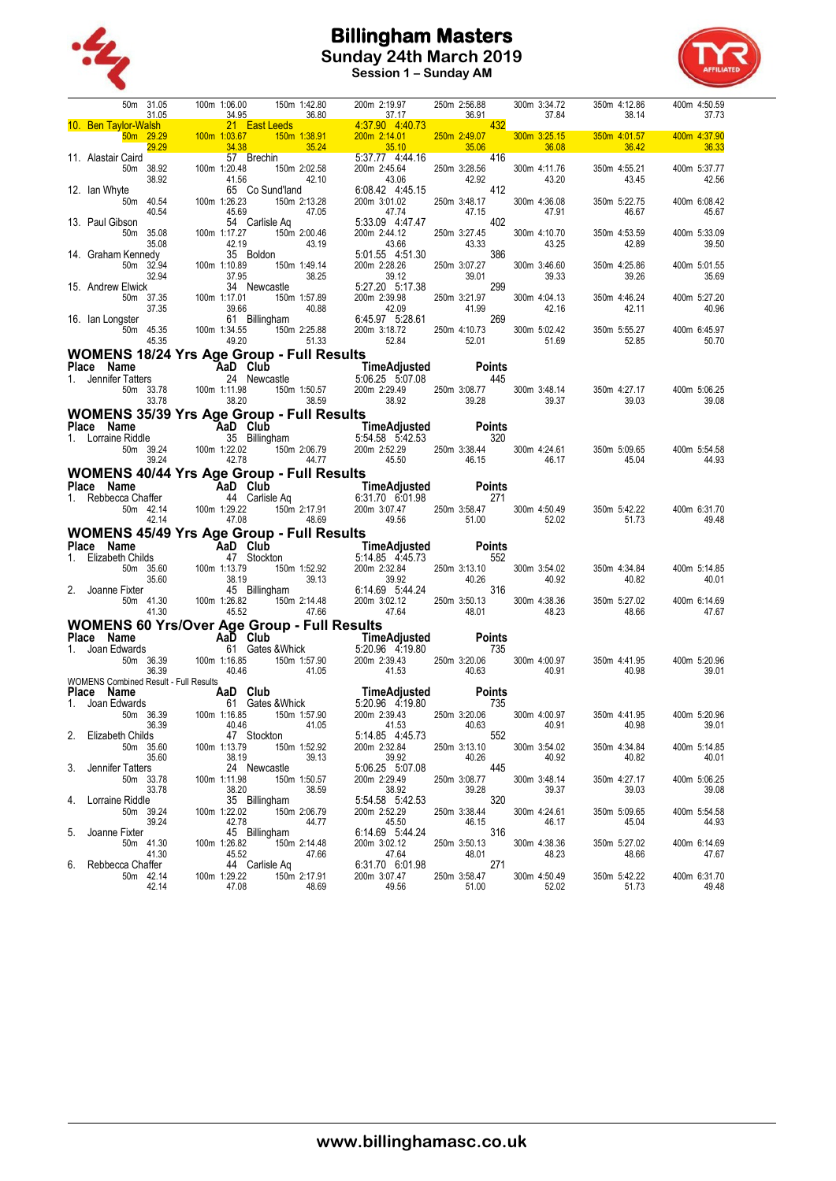



**Session 1 – Sunday AM**

|          |                                                                                                                                                                                                                                                                          |                    |              |                      |                       |                                                                                                                                                                                                                                                                           |                       |     |                       |                                          | 350m 4:12.86<br>38.14 |                                                                                                                | 400m 4:50.59<br>37.73 |
|----------|--------------------------------------------------------------------------------------------------------------------------------------------------------------------------------------------------------------------------------------------------------------------------|--------------------|--------------|----------------------|-----------------------|---------------------------------------------------------------------------------------------------------------------------------------------------------------------------------------------------------------------------------------------------------------------------|-----------------------|-----|-----------------------|------------------------------------------|-----------------------|----------------------------------------------------------------------------------------------------------------|-----------------------|
|          |                                                                                                                                                                                                                                                                          |                    |              |                      |                       |                                                                                                                                                                                                                                                                           |                       |     |                       |                                          |                       |                                                                                                                |                       |
|          | 10. <b>Ben Taylor-Velsh 20.00</b> 150m 1:06.00 150m 1:42.80 200m 2:14.91 250m 2:86.89 300m 3:34.72<br>10. <b>Ben Taylor-Velsh 22.92</b> 100m 1:03.67 36.89 43.750 4:40.73 36.91 37.84<br>11. Alastair Caird 22.92 100m 1:03.67 35.94 43.79                               |                    |              |                      |                       |                                                                                                                                                                                                                                                                           |                       |     |                       |                                          | 350m 4:01.57          |                                                                                                                | 400m 4:37.90          |
|          |                                                                                                                                                                                                                                                                          |                    |              |                      |                       |                                                                                                                                                                                                                                                                           |                       |     |                       |                                          | 36.42                 | and the state of the state of the state of the state of the state of the state of the state of the state of th | 36.33                 |
|          |                                                                                                                                                                                                                                                                          |                    |              |                      |                       |                                                                                                                                                                                                                                                                           |                       |     |                       |                                          | 350m 4:55.21          |                                                                                                                | 400m 5:37.77          |
|          |                                                                                                                                                                                                                                                                          |                    |              |                      |                       |                                                                                                                                                                                                                                                                           |                       |     |                       |                                          | 43.45                 |                                                                                                                | 42.56                 |
|          |                                                                                                                                                                                                                                                                          |                    |              |                      |                       |                                                                                                                                                                                                                                                                           |                       |     |                       |                                          | 350m 5:22.75          |                                                                                                                | 400m 6:08.42          |
|          |                                                                                                                                                                                                                                                                          |                    |              |                      |                       |                                                                                                                                                                                                                                                                           |                       |     |                       |                                          | 46.67                 |                                                                                                                | 45.67                 |
|          |                                                                                                                                                                                                                                                                          |                    |              |                      |                       |                                                                                                                                                                                                                                                                           |                       |     |                       |                                          | 350m 4:53.59          |                                                                                                                | 400m 5:33.09          |
|          |                                                                                                                                                                                                                                                                          |                    |              |                      |                       |                                                                                                                                                                                                                                                                           |                       |     |                       |                                          | 42.89                 |                                                                                                                | 39.50                 |
|          |                                                                                                                                                                                                                                                                          |                    |              |                      |                       |                                                                                                                                                                                                                                                                           |                       |     |                       |                                          |                       |                                                                                                                |                       |
|          |                                                                                                                                                                                                                                                                          |                    |              |                      |                       |                                                                                                                                                                                                                                                                           |                       |     |                       |                                          | 350m 4:25.86<br>39.26 |                                                                                                                | 400m 5:01.55<br>35.69 |
|          |                                                                                                                                                                                                                                                                          |                    |              |                      |                       |                                                                                                                                                                                                                                                                           |                       |     |                       |                                          |                       |                                                                                                                |                       |
|          |                                                                                                                                                                                                                                                                          |                    |              |                      |                       |                                                                                                                                                                                                                                                                           |                       |     |                       |                                          | 350m 4:46.24          |                                                                                                                | 400m 5:27.20          |
|          |                                                                                                                                                                                                                                                                          |                    |              |                      |                       |                                                                                                                                                                                                                                                                           |                       |     |                       |                                          | 42.11                 |                                                                                                                | 40.96                 |
|          |                                                                                                                                                                                                                                                                          |                    |              |                      |                       |                                                                                                                                                                                                                                                                           |                       |     |                       |                                          | 350m 5:55.27          |                                                                                                                | 400m 6:45.97          |
|          |                                                                                                                                                                                                                                                                          |                    |              |                      |                       |                                                                                                                                                                                                                                                                           |                       |     |                       |                                          | 52.85                 |                                                                                                                | 50.70                 |
|          | <b>WOMENS 18/24 Yrs Age Group - Full Results</b>                                                                                                                                                                                                                         |                    |              |                      |                       |                                                                                                                                                                                                                                                                           |                       |     |                       |                                          |                       |                                                                                                                |                       |
|          | Place Name Manne 24 Newcastle 1. Jennifer Tatters 24 Newcastle 5:06.25 5:07.08 445<br>1. Jennifer Tatters 24 Newcastle 5:06.25 5:07.08 445<br>50m 33.78 100m 1:11.98 150m 1:50.57 200m 2:29.49 250m 3:08.77 300m 3:48.14 350m 4<br>1. J                                  |                    |              |                      |                       |                                                                                                                                                                                                                                                                           |                       |     |                       |                                          |                       |                                                                                                                |                       |
|          |                                                                                                                                                                                                                                                                          |                    |              |                      |                       |                                                                                                                                                                                                                                                                           |                       |     |                       |                                          | 350m 4:27.17          |                                                                                                                | 400m 5:06.25          |
|          |                                                                                                                                                                                                                                                                          |                    |              |                      |                       |                                                                                                                                                                                                                                                                           |                       |     |                       |                                          | 39.03                 |                                                                                                                | 39.08                 |
|          | <b>WOMENS 35/39 Yrs Age Group - Full Results</b>                                                                                                                                                                                                                         |                    |              |                      |                       |                                                                                                                                                                                                                                                                           |                       |     |                       |                                          |                       |                                                                                                                |                       |
|          |                                                                                                                                                                                                                                                                          |                    |              |                      |                       |                                                                                                                                                                                                                                                                           |                       |     |                       |                                          |                       |                                                                                                                |                       |
|          |                                                                                                                                                                                                                                                                          |                    |              |                      |                       |                                                                                                                                                                                                                                                                           |                       |     |                       |                                          |                       | 350m 5:09.65 400m 5:54.58<br>44.93                                                                             |                       |
|          |                                                                                                                                                                                                                                                                          |                    |              |                      |                       |                                                                                                                                                                                                                                                                           |                       |     |                       |                                          | 45.04                 |                                                                                                                | 44.93                 |
|          | WOMENS 40/44 Yrs Age Group - Full Results                                                                                                                                                                                                                                |                    |              |                      |                       |                                                                                                                                                                                                                                                                           |                       |     |                       |                                          |                       |                                                                                                                |                       |
|          |                                                                                                                                                                                                                                                                          |                    |              |                      |                       |                                                                                                                                                                                                                                                                           |                       |     |                       |                                          |                       |                                                                                                                |                       |
|          |                                                                                                                                                                                                                                                                          |                    |              |                      |                       |                                                                                                                                                                                                                                                                           |                       |     |                       |                                          |                       |                                                                                                                | 400m 6:31.70          |
|          | Place Name<br>1. Rebbecca Chaffer <b>AaD Club</b><br>1. Rebbecca Chaffer 44 Carlisle Aq 6:31.70 6:01.98 271<br>50m 4:50.49 42.14 47.08 49.56 49.56 51.00 49.56 52.02 550m 5:42.22<br>100m 1:29.22 150m 2:11.8 48.69 49.56 51.00 52.02 51.73                              |                    |              |                      |                       |                                                                                                                                                                                                                                                                           |                       |     |                       |                                          |                       |                                                                                                                | 49.48                 |
|          | WOMENS 45/49 Yrs Age Group - Full Results                                                                                                                                                                                                                                |                    |              |                      |                       |                                                                                                                                                                                                                                                                           |                       |     |                       |                                          |                       |                                                                                                                |                       |
|          |                                                                                                                                                                                                                                                                          |                    |              |                      |                       |                                                                                                                                                                                                                                                                           |                       |     |                       |                                          |                       |                                                                                                                |                       |
|          |                                                                                                                                                                                                                                                                          |                    |              |                      |                       |                                                                                                                                                                                                                                                                           |                       |     |                       |                                          |                       |                                                                                                                |                       |
|          |                                                                                                                                                                                                                                                                          |                    |              |                      |                       |                                                                                                                                                                                                                                                                           |                       |     |                       |                                          | 350m 4:34.84          |                                                                                                                | 400m 5:14.85          |
|          |                                                                                                                                                                                                                                                                          |                    |              |                      |                       |                                                                                                                                                                                                                                                                           |                       |     |                       |                                          | 40.82                 |                                                                                                                | 40.01                 |
|          |                                                                                                                                                                                                                                                                          |                    |              |                      |                       |                                                                                                                                                                                                                                                                           |                       |     |                       |                                          |                       |                                                                                                                |                       |
|          |                                                                                                                                                                                                                                                                          |                    |              |                      |                       |                                                                                                                                                                                                                                                                           |                       |     |                       |                                          | 350m 5:27.02<br>48.66 |                                                                                                                | 400m 6:14.69<br>47.67 |
|          | <b>WOMENS 60 Yrs/Over Age Group - Full Results</b>                                                                                                                                                                                                                       |                    |              |                      |                       | Place Name Fried Club - Full Results<br>1. Elizabeth Childs<br>50m 35.60<br>38.19<br>2. Joanne Fixter<br>50m 44.30<br>50m 41.30<br>50m 41.30<br>50m 41.30<br>40.92<br>40.92<br>40.92<br>40.92<br>40.92<br>40.92<br>40.92<br>40.92<br>40.92<br>40.92<br>40.92<br>40.92<br> |                       |     |                       |                                          |                       |                                                                                                                |                       |
|          |                                                                                                                                                                                                                                                                          |                    |              |                      |                       |                                                                                                                                                                                                                                                                           |                       |     |                       |                                          |                       |                                                                                                                |                       |
|          |                                                                                                                                                                                                                                                                          |                    |              |                      |                       |                                                                                                                                                                                                                                                                           |                       |     |                       |                                          |                       |                                                                                                                | 400m 5:20.96          |
|          |                                                                                                                                                                                                                                                                          |                    |              |                      |                       |                                                                                                                                                                                                                                                                           |                       |     |                       | 300m 4:00.97 350m 4:41.95<br>40.91 40.98 |                       |                                                                                                                | 39.01                 |
|          |                                                                                                                                                                                                                                                                          |                    |              |                      |                       |                                                                                                                                                                                                                                                                           |                       |     |                       |                                          |                       |                                                                                                                |                       |
|          |                                                                                                                                                                                                                                                                          |                    |              |                      |                       |                                                                                                                                                                                                                                                                           |                       |     |                       |                                          |                       |                                                                                                                |                       |
|          | <b>Place Name Contracts</b><br><b>Place Name Aad Club</b><br>1. Joan Edwards<br>50m 36.39<br>WOMENS Combined Result - Full Results<br>40.46<br>200m 2:39.43<br>250m 3:20.06<br>41.53<br>40.63<br>40.63<br>250m 3:20.06<br>41.53<br>250m 3:20.06<br>41.53<br>40.63<br>250 |                    |              |                      |                       |                                                                                                                                                                                                                                                                           |                       |     | 300m 4:00.97          |                                          | 350m 4:41.95          |                                                                                                                | 400m 5:20.96          |
|          | 2. Elizabeth Childs                                                                                                                                                                                                                                                      | 36.39              |              | 40.46<br>47 Stockton | 41.05                 | 41.53<br>5:14.85 4:45.73                                                                                                                                                                                                                                                  | 40.63                 | 552 | 40.91                 |                                          | 40.98                 |                                                                                                                | 39.01                 |
|          |                                                                                                                                                                                                                                                                          | 50m 35.60          | 100m 1:13.79 |                      | 150m 1:52.92          | 200m 2:32.84                                                                                                                                                                                                                                                              | 250m 3:13.10          |     | 300m 3:54.02          |                                          | 350m 4:34.84          |                                                                                                                | 400m 5:14.85          |
|          |                                                                                                                                                                                                                                                                          | 35.60              |              | 38.19                | 39.13                 | 39.92                                                                                                                                                                                                                                                                     | 40.26                 |     | 40.92                 |                                          | 40.82                 |                                                                                                                | 40.01                 |
| 3.       | Jennifer Tatters                                                                                                                                                                                                                                                         | 50m 33.78          | 100m 1:11.98 | 24 Newcastle         | 150m 1:50.57          | 5:06.25 5:07.08<br>200m 2:29.49                                                                                                                                                                                                                                           | 250m 3:08.77          | 445 | 300m 3:48.14          |                                          | 350m 4:27.17          |                                                                                                                | 400m 5:06.25          |
|          |                                                                                                                                                                                                                                                                          | 33.78              |              | 38.20                | 38.59                 | 38.92                                                                                                                                                                                                                                                                     | 39.28                 |     | 39.37                 |                                          | 39.03                 |                                                                                                                | 39.08                 |
|          | Lorraine Riddle                                                                                                                                                                                                                                                          |                    |              | 35 Billingham        |                       | 5:54.58 5:42.53                                                                                                                                                                                                                                                           |                       | 320 |                       |                                          |                       |                                                                                                                |                       |
|          |                                                                                                                                                                                                                                                                          | 50m 39.24<br>39.24 | 100m 1:22.02 | 42.78                | 150m 2:06.79<br>44.77 | 200m 2:52.29<br>45.50                                                                                                                                                                                                                                                     | 250m 3:38.44<br>46.15 |     | 300m 4:24.61<br>46.17 |                                          | 350m 5:09.65<br>45.04 |                                                                                                                | 400m 5:54.58<br>44.93 |
| 4.<br>5. | Joanne Fixter                                                                                                                                                                                                                                                            |                    |              | 45 Billingham        |                       | 6:14.69 5:44.24                                                                                                                                                                                                                                                           |                       | 316 |                       |                                          |                       |                                                                                                                |                       |
|          |                                                                                                                                                                                                                                                                          | 50m 41.30<br>41.30 | 100m 1:26.82 | 45.52                | 150m 2:14.48<br>47.66 | 200m 3:02.12<br>47.64                                                                                                                                                                                                                                                     | 250m 3:50.13<br>48.01 |     | 300m 4:38.36<br>48.23 |                                          | 350m 5:27.02<br>48.66 |                                                                                                                | 400m 6:14.69<br>47.67 |
| 6.       | Rebbecca Chaffer                                                                                                                                                                                                                                                         |                    |              | 44 Carlisle Aq       |                       | 6:31.70 6:01.98                                                                                                                                                                                                                                                           |                       | 271 |                       |                                          |                       |                                                                                                                |                       |
|          |                                                                                                                                                                                                                                                                          | 50m 42.14<br>42.14 | 100m 1:29.22 | 47.08                | 150m 2:17.91<br>48.69 | 200m 3:07.47<br>49.56                                                                                                                                                                                                                                                     | 250m 3:58.47<br>51.00 |     | 300m 4:50.49<br>52.02 |                                          | 350m 5:42.22<br>51.73 |                                                                                                                | 400m 6:31.70<br>49.48 |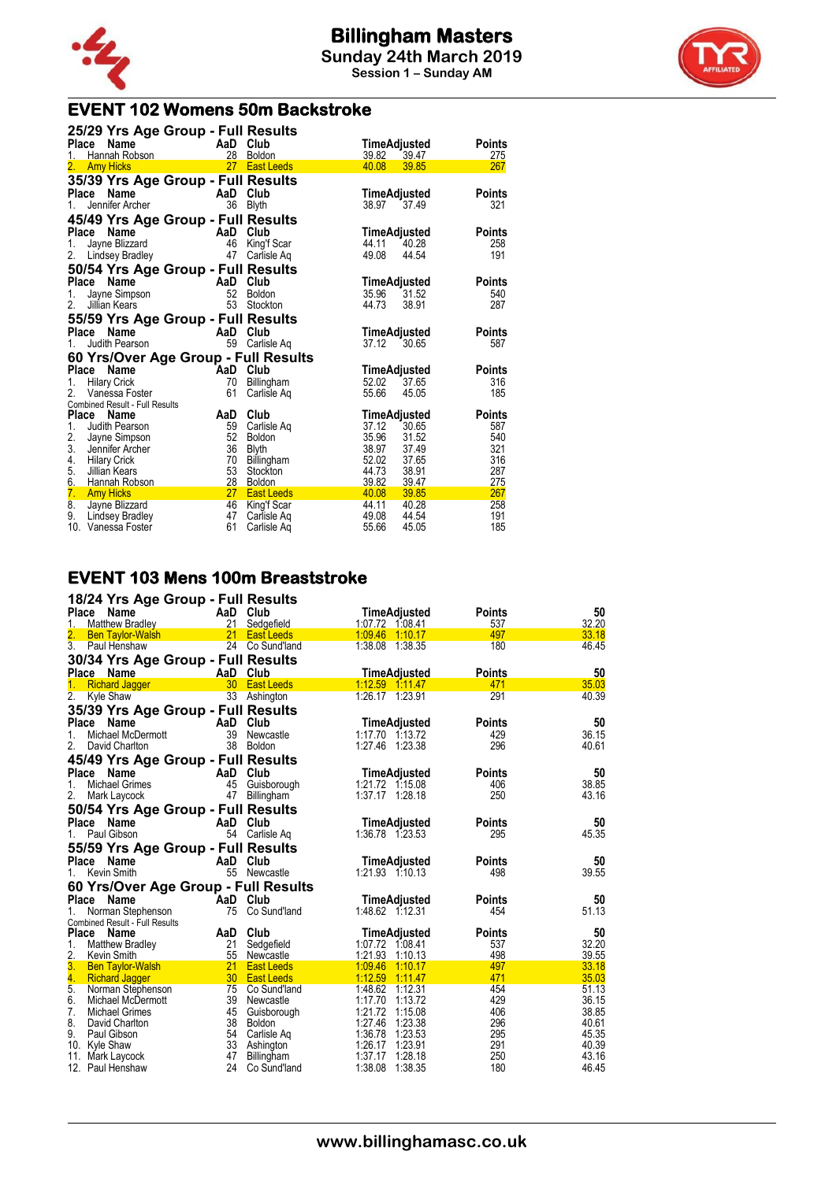



# **EVENT 102 Womens 50m Backstroke**

| 25/29 Yrs Age Group - Full Results            |          |                            |                |                |               |
|-----------------------------------------------|----------|----------------------------|----------------|----------------|---------------|
| Place<br>Name                                 |          | AaD Club                   | TimeAdjusted   |                | <b>Points</b> |
| Hannah Robson<br>1.                           | 28       | <b>Boldon</b>              | 39.82          | 39.47          | 275           |
| 2.<br><b>Amy Hicks</b>                        | 27       | <b>East Leeds</b>          | 40.08          | 39.85          | 267           |
| 35/39 Yrs Age Group - Full Results            |          |                            |                |                |               |
| <b>Place</b><br>Name                          | AaD      | Club                       | TimeAdjusted   |                | <b>Points</b> |
| Jennifer Archer<br>1.                         | 36       | <b>Blyth</b>               | 38.97          | 37.49          | 321           |
| 45/49 Yrs Age Group - Full Results            |          |                            |                |                |               |
| Place<br>Name                                 |          | AaD Club                   | TimeAdjusted   |                | <b>Points</b> |
| Jayne Blizzard<br>1.                          | 46       | King'f Scar                | 44.11          | 40.28          | 258           |
| 2.<br>Lindsey Bradley                         | 47       | Carlisle Aq                | 49.08          | 44.54          | 191           |
| 50/54 Yrs Age Group - Full Results            |          |                            |                |                |               |
| Place<br>Name                                 |          | AaD Club                   | TimeAdjusted   |                | <b>Points</b> |
| Jayne Simpson<br>1.                           | 52       | <b>Boldon</b>              | 35.96          | 31.52          | 540           |
| 2.<br>Jillian Kears                           | 53       | Stockton                   | 44.73          | 38.91          | 287           |
| 55/59 Yrs Age Group - Full Results            |          |                            |                |                |               |
| Name<br>Place                                 | AaD      | Club                       | TimeAdjusted   |                | <b>Points</b> |
| Judith Pearson<br>1.                          | 59       | Carlisle Ag                | 37.12          | 30.65          | 587           |
| 60 Yrs/Over Age Group - Full Results          |          |                            |                |                |               |
| Place<br>Name                                 | AaD Club |                            | TimeAdjusted   |                | <b>Points</b> |
| <b>Hilary Crick</b><br>1.                     | 70       | Billingham                 | 52.02          | 37.65          | 316           |
| Vanessa Foster                                | 61       | Carlisle Ag                | 55.66          | 45.05          | 185           |
| Combined Result - Full Results                |          |                            |                |                |               |
| <b>Place</b><br><b>Name</b>                   | AaD      | Club                       | TimeAdjusted   |                | <b>Points</b> |
| 1.<br>Judith Pearson                          | 59       | Carlisle Ag                | 37.12          | 30.65          | 587           |
| 2.<br>Jayne Simpson                           | 52       | <b>Boldon</b>              | 35.96          | 31.52          | 540           |
| 3.<br>Jennifer Archer                         | 36       | <b>Blyth</b>               | 38.97          | 37.49          | 321           |
| 4.<br><b>Hilary Crick</b>                     | 70       | Billingham                 | 52.02          | 37.65          | 316           |
| 5.<br>Jillian Kears                           | 53       | Stockton                   | 44.73          | 38.91          | 287           |
| 6.<br>Hannah Robson                           | 28<br>27 | <b>Boldon</b>              | 39.82          | 39.47<br>39.85 | 275           |
| 7.<br><b>Amy Hicks</b>                        | 46       | <b>East Leeds</b>          | 40.08<br>44.11 | 40.28          | 267<br>258    |
| 8.<br>Jayne Blizzard<br>9.<br>Lindsey Bradley | 47       | King'f Scar<br>Carlisle Aq | 49.08          | 44.54          | 191           |
| 10. Vanessa Foster                            | 61       | Carlisle Ag                | 55.66          | 45.05          | 185           |

#### **EVENT 103 Mens 100m Breaststroke**

| 18/24 Yrs Age Group - Full Results              |                 |                   |                     |               |       |
|-------------------------------------------------|-----------------|-------------------|---------------------|---------------|-------|
| Place<br>Name                                   |                 | AaD Club          | TimeAdjusted        | <b>Points</b> | 50    |
| <b>Matthew Bradley</b><br>1.                    | 21              | Sedgefield        | 1:07.72 1:08.41     | 537           | 32.20 |
| <b>Ben Taylor-Walsh</b>                         | 21              | <b>East Leeds</b> | 1.09.46 1.10.17     | 497           | 33.18 |
| $\overline{3}$ .<br>Paul Henshaw                |                 | 24 Co Sund'land   | 1:38.08 1:38.35     | 180           | 46.45 |
| 30/34 Yrs Age Group - Full Results              |                 |                   |                     |               |       |
| Place<br>Name                                   | AaD             | Club              | TimeAdjusted        | <b>Points</b> | 50    |
| <b>Richard Jagger</b>                           | 30 <sup>°</sup> | <b>East Leeds</b> | 1.12.59 1.11.47     | 471           | 35.03 |
| 2.<br>Kyle Shaw                                 |                 | 33 Ashington      | 1:26.17 1:23.91     | 291           | 40.39 |
| 35/39 Yrs Age Group - Full Results              |                 |                   |                     |               |       |
| Place<br>Name                                   | AaD             | Club              | <b>TimeAdjusted</b> | <b>Points</b> | 50    |
| 1.<br>Michael McDermott                         | 39              | Newcastle         | 1:17.70 1:13.72     | 429           | 36.15 |
| 2.<br>David Charlton                            | 38              | Boldon            | 1:27.46 1:23.38     | 296           | 40.61 |
|                                                 |                 |                   |                     |               |       |
| 45/49 Yrs Age Group - Full Results              |                 |                   |                     |               |       |
| Place Name                                      |                 | AaD Club          | TimeAdjusted        | <b>Points</b> | 50    |
| <b>Michael Grimes</b><br>1.                     | 45              | Guisborough       | 1:21.72 1:15.08     | 406           | 38.85 |
| 2.<br>Mark Laycock                              | 47              | Billingham        | 1:37.17 1:28.18     | 250           | 43.16 |
| 50/54 Yrs Age Group - Full Results              |                 |                   |                     |               |       |
| <b>Place</b><br>Name                            |                 | AaD Club          | TimeAdjusted        | Points        | 50    |
| Paul Gibson<br>1.                               | 54              | Carlisle Ag       | 1:36.78 1:23.53     | 295           | 45.35 |
| 55/59 Yrs Age Group - Full Results              |                 |                   |                     |               |       |
| Place<br>Name                                   |                 | AaD Club          | TimeAdjusted        | <b>Points</b> | 50    |
| Kevin Smith<br>1.                               | 55              | Newcastle         | 1:21.93 1:10.13     | 498           | 39.55 |
|                                                 |                 |                   |                     |               |       |
| 60 Yrs/Over Age Group - Full Results            |                 |                   |                     |               |       |
| Place<br><b>Name</b>                            |                 | AaD Club          | TimeAdjusted        | Points        | 50    |
| Norman Stephenson<br>1.                         | 75              | Co Sund'land      | 1:48.62 1:12.31     | 454           | 51.13 |
| Combined Result - Full Results<br>Place<br>Name | AaD             | Club              | TimeAdjusted        | <b>Points</b> | 50    |
| 1.<br><b>Matthew Bradley</b>                    | 21              | Sedgefield        | 1:07.72 1:08.41     | 537           | 32.20 |
| 2.<br>Kevin Smith                               | 55              | Newcastle         | 1:21.93 1:10.13     | 498           | 39.55 |
| 3.<br><b>Ben Taylor-Walsh</b>                   | 21              | <b>East Leeds</b> | 1:09.46<br>1:10.17  | 497           | 33.18 |
| 4.<br><b>Richard Jagger</b>                     | 30 <sup>2</sup> | <b>East Leeds</b> | 1:12.59 1:11.47     | 471           | 35.03 |
| 5.<br>Norman Stephenson                         | 75              | Co Sund'land      | 1:48.62 1:12.31     | 454           | 51.13 |
| 6.<br>Michael McDermott                         | 39              | Newcastle         | 1:17.70<br>1:13.72  | 429           | 36.15 |
| 7.<br><b>Michael Grimes</b>                     |                 | 45 Guisborough    | 1:21.72 1:15.08     | 406           | 38.85 |
| 8.<br>David Charlton                            | 38              | Boldon            | 1:27.46<br>1:23.38  | 296           | 40.61 |
| 9.<br>Paul Gibson                               | 54              | Carlisle Ag       | 1:36.78<br>1:23.53  | 295           | 45.35 |
| 10. Kyle Shaw                                   | 33              | Ashington         | 1:26.17<br>1:23.91  | 291           | 40.39 |
| 11. Mark Laycock                                | 47              | Billingham        | 1:37.17<br>1:28.18  | 250           | 43.16 |
| 12. Paul Henshaw                                | 24              | Co Sund'land      | 1:38.08<br>1:38.35  | 180           | 46.45 |
|                                                 |                 |                   |                     |               |       |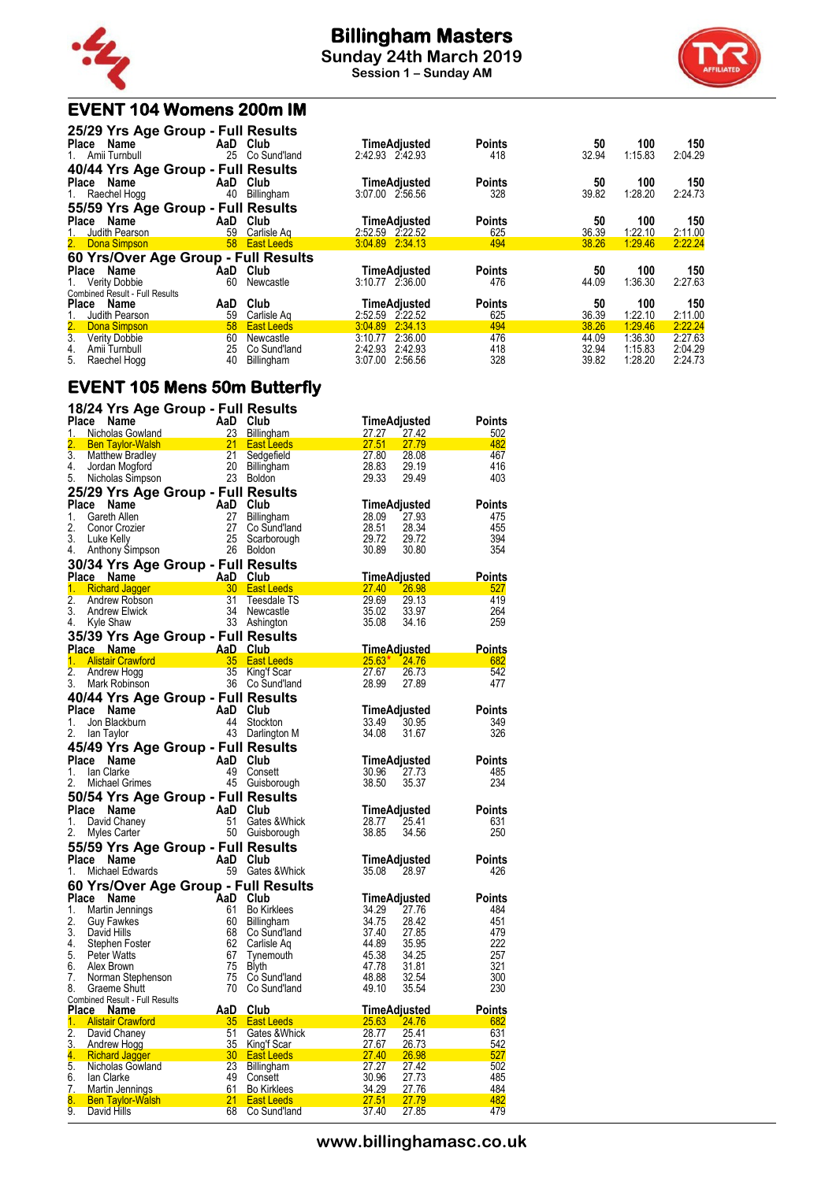

# **Billingham Masters**

**Sunday 24th March 2019 Session 1 – Sunday AM**



# **EVENT 104 Womens 200m IM**

| 25/29 Yrs Age Group - Full Results       |     |                   |                 |              |               |       |         |         |
|------------------------------------------|-----|-------------------|-----------------|--------------|---------------|-------|---------|---------|
| Place Name                               | AaD | Club              |                 | TimeAdjusted | <b>Points</b> | 50    | 100     | 150     |
| 1. Amii Turnbull                         | 25  | Co Sund'land      | 2:42.93 2:42.93 |              | 418           | 32.94 | 1:15.83 | 2:04.29 |
| 40/44 Yrs Age Group - Full Results       |     |                   |                 |              |               |       |         |         |
| Place Name                               | AaD | Club              |                 | TimeAdjusted | <b>Points</b> | 50    | 100     | 150     |
| 1. Raechel Hogg                          | 40  | Billingham        | 3:07.00 2:56.56 |              | 328           | 39.82 | 1:28.20 | 2:24.73 |
| 55/59 Yrs Age Group - Full Results       |     |                   |                 |              |               |       |         |         |
| Place Name                               |     | AaD Club          |                 | TimeAdjusted | <b>Points</b> | 50    | 100     | 150     |
| Judith Pearson<br>1.                     | 59  | Carlisle Ag       | 2:52.59 2:22.52 |              | 625           | 36.39 | 1:22.10 | 2:11.00 |
| 2. Dona Simpson                          |     | 58 East Leeds     | 3:04.89 2:34.13 |              | 494           | 38.26 | 1:29.46 | 2:22.24 |
| 60 Yrs/Over Age Group - Full Results     |     |                   |                 |              |               |       |         |         |
| Place Name                               | AaD | Club              |                 | TimeAdjusted | <b>Points</b> | 50    | 100     | 150     |
| <b>Verity Dobbie</b><br>1.               | 60  | Newcastle         | 3:10.77 2:36.00 |              | 476           | 44.09 | 1:36.30 | 2:27.63 |
| <b>Combined Result - Full Results</b>    |     |                   |                 |              |               |       |         |         |
| <b>Place</b><br>Name                     | AaD | Club              |                 | TimeAdjusted | <b>Points</b> | 50    | 100     | 150     |
| Judith Pearson                           | 59  | Carlisle Ag       | 2:52.59         | 2.22.52      | 625           | 36.39 | 1:22.10 | 2:11.00 |
| 2.<br>Dona Simpson                       | 58  | <b>East Leeds</b> | 3:04.89         | 2:34.13      | 494           | 38.26 | 1:29.46 | 2:22.24 |
| $\overline{3}$ .<br><b>Verity Dobbie</b> | 60  | Newcastle         | 3:10.77         | 2:36.00      | 476           | 44.09 | 1:36.30 | 2:27.63 |
| 4.<br>Amii Turnbull                      | 25  | Co Sund'land      | 2:42.93         | 2:42.93      | 418           | 32.94 | 1:15.83 | 2:04.29 |
| 5.<br>Raechel Hogg                       | 40  | Billingham        | 3:07.00         | 2:56.56      | 328           | 39.82 | 1:28.20 | 2:24.73 |

### **EVENT 105 Mens 50m Butterfly**

|                  | 18/24 Yrs Age Group - Full Results                |                                                       |                      |                                        |                |                       |                      |
|------------------|---------------------------------------------------|-------------------------------------------------------|----------------------|----------------------------------------|----------------|-----------------------|----------------------|
| Place            | Name                                              |                                                       | AaD                  | Club                                   |                | TimeAdjusted          | <b>Points</b>        |
| 1.<br>2.         | Nicholas Gowland                                  |                                                       | 23                   | <b>Billingham</b><br><b>East Leeds</b> | 27.27<br>27.51 | 27.42<br>27.79        | 502<br>482           |
| 3.               | <b>Ben Taylor-Walsh</b><br><b>Matthew Bradley</b> |                                                       | $\frac{21}{2}$<br>21 | Sedgefield                             | 27.80          | 28.08                 | 467                  |
| 4.               | Jordan Mogford                                    |                                                       | 20                   | Billingham                             | 28.83          | 29.19                 | 416                  |
| 5.               | Nicholas Simpson                                  |                                                       |                      | 23 Boldon                              | 29.33          | 29.49                 | 403                  |
|                  | 25/29 Yrs Age Group - Full Results                |                                                       |                      |                                        |                |                       |                      |
| Place            | Name                                              |                                                       | AaD                  | Club                                   |                | TimeAdjusted          | <b>Points</b>        |
| 1.               | Gareth Allen                                      |                                                       | 27                   | Billingham                             | 28.09          | 27.93                 | 475                  |
| 2.               | Conor Crozier                                     |                                                       | 27                   | Co Sund'land                           | 28.51          | 28.34                 | 455                  |
| 3.               | Luke Kelly                                        |                                                       | 25                   | Scarborough                            | 29.72          | 29.72                 | 394                  |
| 4.               | Anthony Simpson                                   |                                                       |                      | 26 Boldon                              | 30.89          | 30.80                 | 354                  |
|                  | 30/34 Yrs Age Group - Full Results                |                                                       |                      |                                        |                |                       |                      |
| Place Name       |                                                   |                                                       | AaD                  | Club                                   |                | <u>TimeAdjusted</u>   | <b>Points</b>        |
| 1.               | <b>Richard Jagger</b>                             |                                                       | 30                   | <b>East Leeds</b>                      | <b>27.40</b>   | 26.98                 | <u>527</u>           |
| $\overline{2}$ . | Andrew Robson                                     |                                                       | 31                   | Teesdale TS                            | 29.69          | 29.13                 | 419                  |
| 3.               | <b>Andrew Elwick</b>                              |                                                       | 34                   | Newcastle                              | 35.02          | 33.97                 | 264                  |
| 4.               | Kyle Shaw                                         |                                                       | 33                   | Ashington                              | 35.08          | 34.16                 | 259                  |
|                  | 35/39 Yrs Age Group - Full Results                |                                                       |                      |                                        |                |                       |                      |
| Place Name       |                                                   |                                                       | AaD Club             |                                        |                | <u>TimeAdjusted_</u>  | <u>Points</u>        |
| 1.               | <b>Alistair Crawford</b>                          |                                                       | 35                   | <b>East Leeds</b>                      | $25.63*$ 24.76 |                       | 682                  |
| $\overline{2}$ . | Andrew Hogg                                       |                                                       | 35                   | King'f Scar                            | 27.67          | 26.73                 | 542                  |
| 3.               | Mark Robinson                                     |                                                       |                      | 36 Co Sund'land                        | 28.99          | 27.89                 | 477                  |
|                  | 40/44 Yrs Age Group - Full Results                |                                                       |                      |                                        |                |                       |                      |
| Place            | Name                                              |                                                       | AaD                  | Club                                   |                | TimeAdjusted          | Points               |
| 1.               | Jon Blackburn                                     |                                                       | 44                   | Stockton                               | 33.49          | 30.95                 | 349                  |
| 2.               | lan Taylor                                        |                                                       |                      | 43 Darlington M                        | 34.08          | 31.67                 | 326                  |
|                  | 45/49 Yrs Age Group - Full Results                |                                                       |                      |                                        |                |                       |                      |
| Place Name       |                                                   |                                                       | AaD                  | Club                                   |                | TimeAdjusted          | <b>Points</b>        |
| 1.               | lan Clarke                                        |                                                       | 49                   | Consett                                | 30.96          | 27.73                 | 485                  |
| 2.               | Michael Grimes                                    |                                                       | 45                   | Guisborough                            | 38.50          | 35.37                 | 234                  |
|                  | 50/54 Yrs Age Group - Full Results                |                                                       |                      |                                        |                |                       |                      |
|                  |                                                   |                                                       | AaD                  | <b>Club</b>                            |                | TimeAdjusted          | <b>Points</b>        |
| Place Name<br>1. | David Chaney                                      |                                                       | 51                   | Gates & Whick                          | 28.77          | 25.41                 | 631                  |
| 2.               | Myles Carter                                      |                                                       | 50                   | Guisborough                            | 38.85          | 34.56                 | 250                  |
|                  |                                                   |                                                       |                      |                                        |                |                       |                      |
| Place            | 55/59 Yrs Age Group - Full Results<br>Name        |                                                       | AaD Club             |                                        |                |                       |                      |
| 1.               | Michael Edwards                                   |                                                       |                      | 59 Gates & Whick                       | 35.08          | TimeAdjusted<br>28.97 | <b>Points</b><br>426 |
|                  |                                                   |                                                       |                      |                                        |                |                       |                      |
|                  |                                                   |                                                       |                      | 60 Yrs/Over Age Group - Full Results   |                |                       |                      |
| Place            | Name                                              |                                                       | AaD                  | Club                                   |                | TimeAdjusted          | <b>Points</b>        |
| 1.               | Martin Jennings                                   |                                                       | 61                   | <b>Bo Kirklees</b>                     | 34.29          | 27.76                 | 484                  |
| 2.<br>3.         | <b>Guy Fawkes</b><br>David Hills                  |                                                       | 60<br>68             | Billingham<br>Co Sund'land             | 34.75<br>37.40 | 28.42<br>27.85        | 451<br>479           |
| 4.               | Stephen Foster                                    |                                                       | 62                   | Carlisle Ag                            | 44.89          | 35.95                 | 222                  |
| 5.               | <b>Peter Watts</b>                                |                                                       | 67                   | Tynemouth                              | 45.38          | 34.25                 | 257                  |
| 6.               | Alex Brown                                        |                                                       | 75                   | Blyth                                  | 47.78          | 31.81                 | 321                  |
| 7.               | Norman Stephenson                                 |                                                       | 75                   | Co Sund'land                           | 48.88          | 32.54                 | 300                  |
| 8.               | Graeme Shutt                                      |                                                       | 70                   | Co Sund'land                           | 49.10          | 35.54                 | 230                  |
|                  | <b>Combined Result - Full Results</b>             |                                                       |                      |                                        |                |                       |                      |
| Place Name       |                                                   |                                                       | <b>AaD</b>           | Club                                   |                | <b>TimeAdjusted</b>   | <b>Points</b>        |
|                  | 1. Alistair Crawford                              | $\frac{35}{24}$                                       |                      | <b>East Leeds</b>                      | 25.63          | 24.76                 | 682                  |
| 2.               | David Chaney                                      | $\frac{51}{35}$<br>$\frac{35}{23}$<br>$\frac{23}{49}$ |                      | Gates & Whick                          | 28.77          | 25.41                 | 631                  |
| <u>3.</u>        | <b>Andrew Hogg</b>                                |                                                       |                      | King'f Scar                            | 27.67          | 26.73                 | 542                  |
| 5.               | 4. Richard Jagger                                 |                                                       |                      | 27.40<br><b>East Leeds</b>             | 27.27          | 26.98<br>27.42        | 527<br>502           |
| 6.               | Nicholas Gowland<br>lan Clarke                    |                                                       | 49                   | Billingham<br>Consett                  | 30.96          | 27.73                 | 485                  |
| 7.               | <b>Martin Jennings</b>                            |                                                       | 61                   | <b>Bo Kirklees</b>                     | 34.29          | 27.76                 | 484                  |
| 8.               | <b>Ben Taylor-Walsh Bending</b>                   |                                                       | 21                   | <b>East Leeds</b>                      | 27.51          | 27.79                 | 482                  |
| 9.               | David Hills                                       |                                                       | 68                   | Co Sund'land                           | 37.40          | 27.85                 | 479                  |
|                  |                                                   |                                                       |                      |                                        |                |                       |                      |

**www.billinghamasc.co.uk**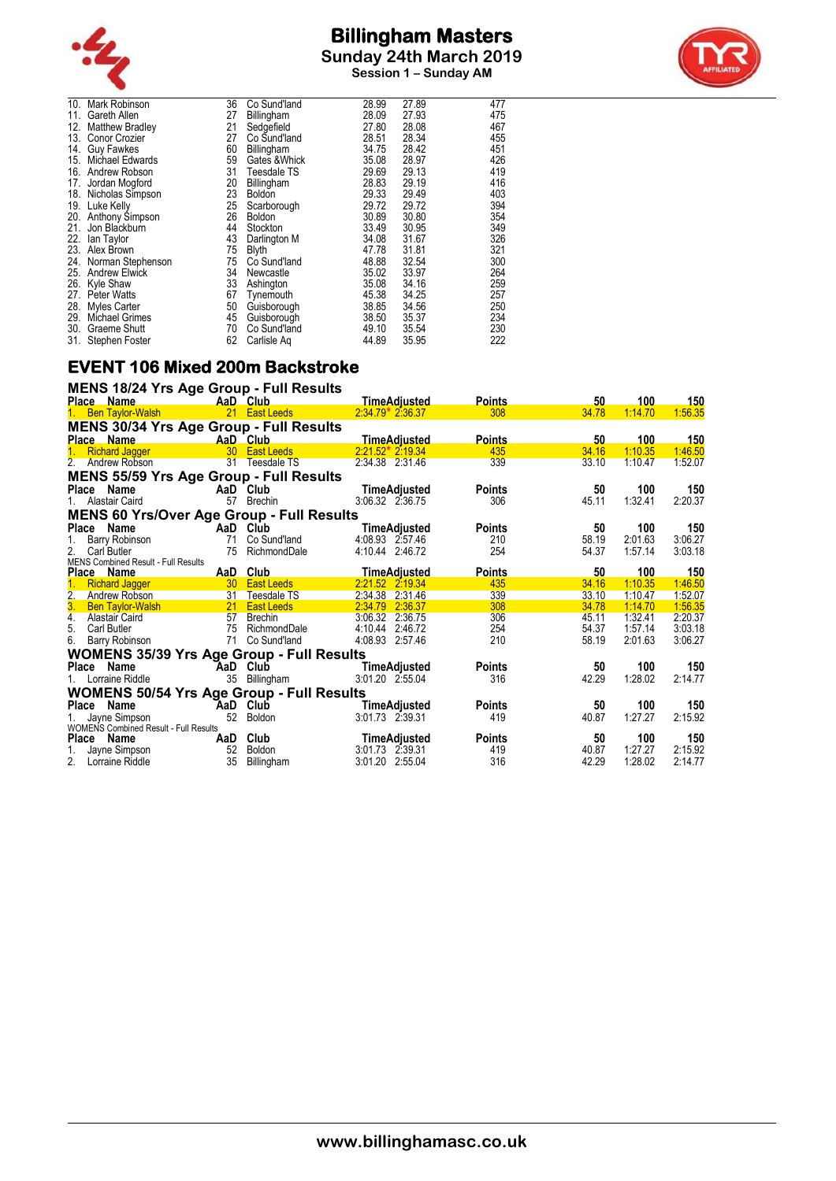



|     | 10. Mark Robinson      | 36 | Co Sund'land  | 28.99 | 27.89 | 477 |
|-----|------------------------|----|---------------|-------|-------|-----|
| 11. | Gareth Allen           | 27 | Billingham    | 28.09 | 27.93 | 475 |
| 12. | Matthew Bradley        | 21 | Sedgefield    | 27.80 | 28.08 | 467 |
| 13. | Conor Crozier          | 27 | Co Sund'land  | 28.51 | 28.34 | 455 |
| 14. | <b>Guy Fawkes</b>      | 60 | Billingham    | 34.75 | 28.42 | 451 |
| 15. | <b>Michael Edwards</b> | 59 | Gates & Whick | 35.08 | 28.97 | 426 |
| 16. | Andrew Robson          | 31 | Teesdale TS   | 29.69 | 29.13 | 419 |
| 17. | Jordan Mogford         | 20 | Billingham    | 28.83 | 29.19 | 416 |
| 18. | Nicholas Simpson       | 23 | <b>Boldon</b> | 29.33 | 29.49 | 403 |
| 19. | Luke Kelly             | 25 | Scarborough   | 29.72 | 29.72 | 394 |
| 20. | Anthony Simpson        | 26 | <b>Boldon</b> | 30.89 | 30.80 | 354 |
| 21. | Jon Blackburn          | 44 | Stockton      | 33.49 | 30.95 | 349 |
| 22. | lan Taylor             | 43 | Darlington M  | 34.08 | 31.67 | 326 |
| 23. | Alex Brown             | 75 | <b>Blyth</b>  | 47.78 | 31.81 | 321 |
| 24. | Norman Stephenson      | 75 | Co Sund'land  | 48.88 | 32.54 | 300 |
| 25. | <b>Andrew Elwick</b>   | 34 | Newcastle     | 35.02 | 33.97 | 264 |
| 26. | Kyle Shaw              | 33 | Ashington     | 35.08 | 34.16 | 259 |
| 27. | <b>Peter Watts</b>     | 67 | Tynemouth     | 45.38 | 34.25 | 257 |
| 28. | <b>Myles Carter</b>    | 50 | Guisborough   | 38.85 | 34.56 | 250 |
| 29. | <b>Michael Grimes</b>  | 45 | Guisborough   | 38.50 | 35.37 | 234 |
| 30. | Graeme Shutt           | 70 | Co Sund'land  | 49.10 | 35.54 | 230 |
| 31. | Stephen Foster         | 62 | Carlisle Ag   | 44.89 | 35.95 | 222 |
|     |                        |    |               |       |       |     |

#### **EVENT 106 Mixed 200m Backstroke MENS 18/24 Yrs Age Group - Full Results**

| MENS 18/24 Yrs Age Group - Full Results          |     |               |                     |               |       |            |         |  |  |  |  |
|--------------------------------------------------|-----|---------------|---------------------|---------------|-------|------------|---------|--|--|--|--|
| <b>Place Name</b>                                |     | AaD Club      | <b>TimeAdjusted</b> | <b>Points</b> | 50    | 100        | 150     |  |  |  |  |
| 1. Ben Taylor-Walsh                              |     | 21 East Leeds | $2.34.79*2.36.37$   | 308           | 34.78 | 1:14.70    | 1:56.35 |  |  |  |  |
| <b>MENS 30/34 Yrs Age Group - Full Results</b>   |     |               |                     |               |       |            |         |  |  |  |  |
| Place Name                                       |     | AaD Club      | <b>TimeAdjusted</b> | <b>Points</b> | 50    | <u>100</u> | 150     |  |  |  |  |
| 1. Richard Jagger                                |     | 30 East Leeds | $2:21.52*2.19.34$   | 435           | 34.16 | 1:10.35    | 1:46.50 |  |  |  |  |
| 2. Andrew Robson                                 | 31  | Teesdale TS   | 2:34.38 2:31.46     | 339           | 33.10 | 1:10.47    | 1:52.07 |  |  |  |  |
| <b>MENS 55/59 Yrs Age Group - Full Results</b>   |     |               |                     |               |       |            |         |  |  |  |  |
| Place Name                                       |     | AaD Club      | TimeAdjusted        | <b>Points</b> | 50    | 100        | 150     |  |  |  |  |
| Alastair Caird                                   | 57  | Brechin       | 3:06.32 2:36.75     | 306           | 45.11 | 1:32.41    | 2:20.37 |  |  |  |  |
| <b>MENS 60 Yrs/Over Age Group - Full Results</b> |     |               |                     |               |       |            |         |  |  |  |  |
| Place Name                                       |     | AaD Club      | TimeAdjusted        | <b>Points</b> | 50    | 100        | 150     |  |  |  |  |
| Barry Robinson                                   | 71  | Co Sund'land  | 4:08.93 2:57.46     | 210           | 58.19 | 2:01.63    | 3:06.27 |  |  |  |  |
| 2.<br>Carl Butler                                | 75  | RichmondDale  | 4:10.44 2:46.72     | 254           | 54.37 | 1:57.14    | 3:03.18 |  |  |  |  |
| <b>MENS Combined Result - Full Results</b>       |     |               |                     |               |       |            |         |  |  |  |  |
| Place Name                                       | AaD | Club          | <b>TimeAdjusted</b> | <b>Points</b> | 50    | 100        | 150     |  |  |  |  |
| <b>Richard Jagger</b>                            |     | 30 East Leeds | 2:21.52 2:19.34     | 435           | 34.16 | 1:10.35    | 1:46.50 |  |  |  |  |
| 2.<br>Andrew Robson                              | 31  | Teesdale TS   | 2:34.38 2:31.46     | 339           | 33.10 | 1:10.47    | 1:52.07 |  |  |  |  |
| 3. Ben Taylor-Walsh                              |     | 21 East Leeds | 2:34.79<br>2:36.37  | 308           | 34.78 | 1:14.70    | 1:56.35 |  |  |  |  |
| 4. Alastair Caird                                |     | 57 Brechin    | 3:06.32 2:36.75     | 306           | 45.11 | 1:32.41    | 2:20.37 |  |  |  |  |
| 5.<br><b>Carl Butler</b>                         | 75  | RichmondDale  | 4:10.44 2:46.72     | 254           | 54.37 | 1:57.14    | 3:03.18 |  |  |  |  |
| 6.<br>Barry Robinson                             | 71  | Co Sund'land  | 4:08.93 2:57.46     | 210           | 58.19 | 2:01.63    | 3:06.27 |  |  |  |  |
| <b>WOMENS 35/39 Yrs Age Group - Full Results</b> |     |               |                     |               |       |            |         |  |  |  |  |
| Place Name                                       |     | AaD Club      | TimeAdjusted        | <b>Points</b> | 50    | 100        | 150     |  |  |  |  |
| 1. Lorraine Riddle                               | 35  | Billingham    | 3:01.20 2:55.04     | 316           | 42.29 | 1:28.02    | 2:14.77 |  |  |  |  |
| <b>WOMENS 50/54 Yrs Age Group - Full Results</b> |     |               |                     |               |       |            |         |  |  |  |  |
| Name<br>Place                                    | AaD | Club          | TimeAdjusted        | <b>Points</b> | 50    | 100        | 150     |  |  |  |  |
| Jayne Simpson                                    | 52  | Boldon        | 3:01.73 2:39.31     | 419           | 40.87 | 1:27.27    | 2:15.92 |  |  |  |  |
| <b>WOMENS Combined Result - Full Results</b>     |     |               |                     |               |       |            |         |  |  |  |  |
| Place Name                                       |     | AaD Club      | TimeAdjusted        | <b>Points</b> | 50    | 100        | 150     |  |  |  |  |
| Jayne Simpson                                    |     | 52 Boldon     | 3:01.73 2:39.31     | 419           | 40.87 | 1:27.27    | 2:15.92 |  |  |  |  |
| 2. Lorraine Riddle                               | 35  | Billingham    | 3:01.20 2:55.04     | 316           | 42.29 | 1:28.02    | 2:14.77 |  |  |  |  |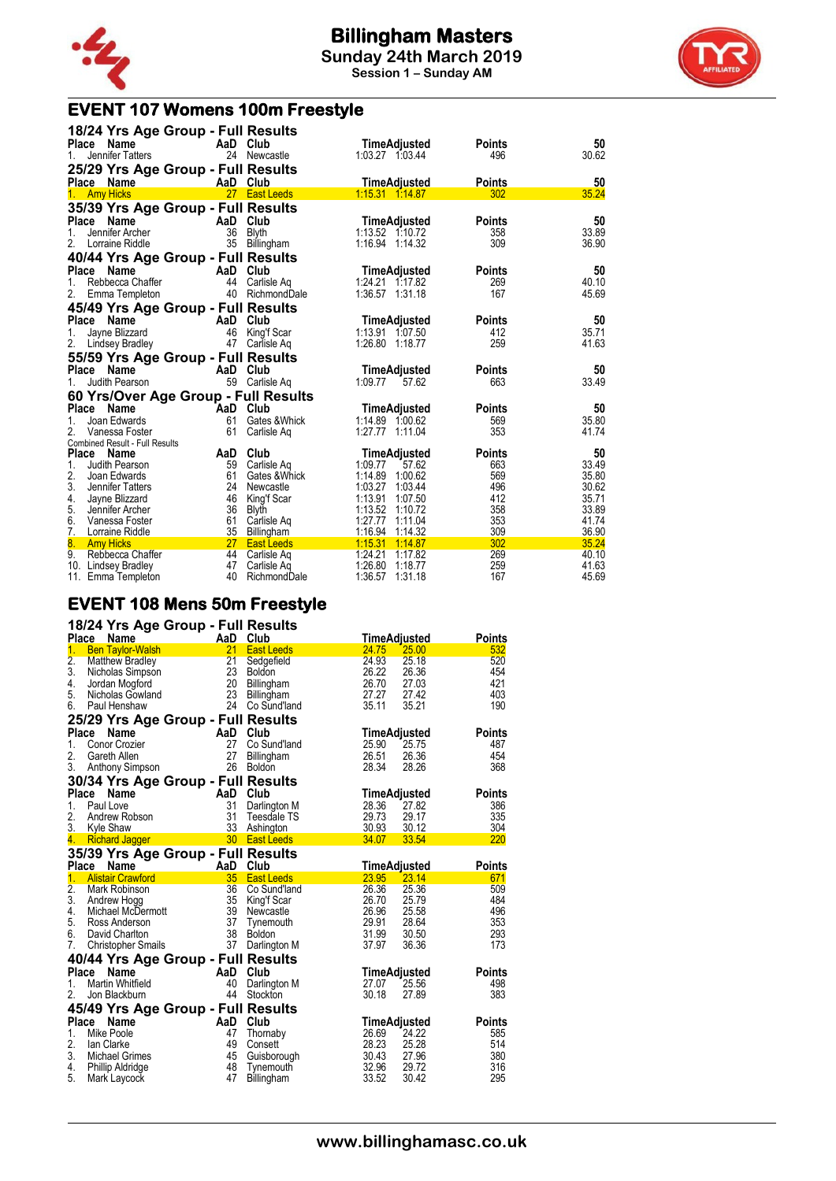



#### **EVENT 107 Womens 100m Freestyle**

|                    | 18/24 Yrs Age Group - Full Results   |                |                            |                                          |                      |                |
|--------------------|--------------------------------------|----------------|----------------------------|------------------------------------------|----------------------|----------------|
| <b>Place</b><br>1. | Name<br>Jennifer Tatters             | AaD Club<br>24 | Newcastle                  | TimeAdjusted<br>1:03.27 1:03.44          | <b>Points</b><br>496 | 50<br>30.62    |
|                    | 25/29 Yrs Age Group - Full Results   |                |                            |                                          |                      |                |
|                    | Place Name                           | AaD Club       |                            | TimeAdjusted                             | <b>Points</b>        | 50             |
| 1 <sup>1</sup>     | <b>Amy Hicks</b>                     |                | 27 East Leeds              | $1:15.31$ $1:14.87$                      | 302                  | 35.24          |
|                    | 35/39 Yrs Age Group - Full Results   |                |                            |                                          |                      |                |
| Place              | Name                                 | AaD Club       |                            | TimeAdjusted                             | <b>Points</b>        | 50             |
| 1.                 | Jennifer Archer                      | 36             | <b>Blyth</b>               | 1:13.52 1:10.72                          | 358                  | 33.89          |
| 2.                 | Lorraine Riddle                      |                | 35 Billingham              | 1:16.94 1:14.32                          | 309                  | 36.90          |
|                    | 40/44 Yrs Age Group - Full Results   |                |                            |                                          |                      |                |
| Place              | Name                                 | AaD            | Club                       | TimeAdjusted                             | <b>Points</b>        | 50             |
| 1.                 | Rebbecca Chaffer                     | 44             | Carlisle Ag                | 1:24.21 1:17.82                          | 269                  | 40.10          |
| 2.                 | Emma Templeton                       |                | 40 RichmondDale            | 1:36.57 1:31.18                          | 167                  | 45.69          |
|                    | 45/49 Yrs Age Group - Full Results   |                |                            |                                          |                      |                |
| Place              | Name                                 | AaD            | Club                       | TimeAdjusted                             | <b>Points</b>        | 50             |
| 1.                 | Jayne Blizzard                       | 46             | King'f Scar                | 1:13.91 1:07.50                          | 412                  | 35.71          |
| 2.                 | Lindsey Bradley                      | 47             | Carlisle Ag                | 1:26.80 1:18.77                          | 259                  | 41.63          |
|                    | 55/59 Yrs Age Group - Full Results   |                |                            |                                          |                      |                |
| Place              | Name                                 | AaD            | Club                       | TimeAdjusted                             | <b>Points</b>        | 50             |
| 1.                 | Judith Pearson                       | 59             | Carlisle Aq                | 1:09.77<br>57.62                         | 663                  | 33.49          |
|                    | 60 Yrs/Over Age Group - Full Results |                |                            |                                          |                      |                |
|                    | Place Name                           | AaD            | Club                       | <b>TimeAdjusted</b>                      | <b>Points</b>        | 50             |
| 1.                 | Joan Edwards                         | 61             | Gates & Whick              | 1:14.89 1:00.62                          | 569                  | 35.80          |
| $\mathbf{2}$       | Vanessa Foster                       | 61             | Carlisle Aq                | 1:27.77 1:11.04                          | 353                  | 41.74          |
|                    | Combined Result - Full Results       |                |                            |                                          |                      |                |
|                    | Place Name                           | AaD            | Club                       | TimeAdjusted                             | <b>Points</b>        | 50             |
| 1.<br>2.           | Judith Pearson                       | 59             | Carlisle Ag                | 1:09.77<br>57.62                         | 663                  | 33.49          |
| 3.                 | Joan Edwards<br>Jennifer Tatters     | 61<br>24       | Gates & Whick<br>Newcastle | 1:14.89<br>1:00.62<br>1:03.27<br>1:03.44 | 569<br>496           | 35.80<br>30.62 |
|                    | 4. Jayne Blizzard                    | 46             | King'f Scar                | 1:13.91<br>1:07.50                       | 412                  | 35.71          |
| 5.                 | Jennifer Archer                      | 36             | <b>Blyth</b>               | 1:13.52 1:10.72                          | 358                  | 33.89          |
| 6.                 | Vanessa Foster                       | 61             | Carlisle Ag                | 1:27.77<br>1:11.04                       | 353                  | 41.74          |
| 7.                 | Lorraine Riddle                      | 35             | Billingham                 | 1:16.94<br>1:14.32                       | 309                  | 36.90          |
| 8.                 | <b>Amy Hicks</b>                     | 27             | <b>East Leeds</b>          | 1:15.31<br>1:14.87                       | 302                  | 35.24          |
| 9.                 | Rebbecca Chaffer                     | 44             | Carlisle Ag                | 1:24.21<br>1:17.82                       | 269                  | 40.10          |
|                    | 10. Lindsey Bradley                  | 47             | Carlisle Aq                | 1:26.80<br>1:18.77                       | 259                  | 41.63          |
|                    | 11. Emma Templeton                   | 40             | RichmondDale               | 1:36.57<br>1:31.18                       | 167                  | 45.69          |

#### **EVENT 108 Mens 50m Freestyle**

|                 | 18/24 Yrs Age Group - Full Results                         |          |                         |                |                     |               |
|-----------------|------------------------------------------------------------|----------|-------------------------|----------------|---------------------|---------------|
|                 | <b>Place</b><br><b>Name</b>                                | AaD Club |                         |                | <b>TimeAdjusted</b> | <b>Points</b> |
| 1 <sub>1</sub>  | <b>Ben Taylor-Walsh</b>                                    | 21       | <b>East Leeds</b>       | 24.75          | 25.00               | 532           |
| $\frac{2}{3}$ . | Matthew Bradley                                            | 21       | Sedgefield              | 24.93          | 25.18               | 520           |
|                 | Nicholas Simpson                                           | 23       | <b>Boldon</b>           | 26.22          | 26.36               | 454           |
| 4.              | Jordan Mogford                                             | 20       | Billingham              | 26.70          | 27.03               | 421           |
| 5.              | Nicholas Gowland                                           | 23       | Billingham              | 27.27          | 27.42               | 403           |
|                 | 6. Paul Henshaw                                            |          | 24 Co Sund'land         | 35.11          | 35.21               | 190           |
|                 | 25/29 Yrs Age Group - Full Results                         |          |                         |                |                     |               |
| <b>Place</b>    | Name                                                       | AaD      | Club                    |                | <b>TimeAdjusted</b> | <b>Points</b> |
| 1.              | Conor Crozier                                              | 27       | Co Sund'land            | 25.90          | 25.75               | 487           |
| 2.              | Gareth Allen                                               | 27       | Billingham              | 26.51          | 26.36               | 454           |
|                 | 3. Anthony Simpson                                         |          | 26 Boldon               | 28.34          | 28.26               | 368           |
|                 | 30/34 Yrs Age Group - Full Results                         |          |                         |                |                     |               |
|                 | Place<br>Name                                              | AaD Club |                         |                | TimeAdjusted        | <b>Points</b> |
| 1.              | Paul Love                                                  | 31       | Darlington M            | 28.36          | 27.82               | 386           |
| 2.              | Andrew Robson                                              | 31       | Teesdale TS             | 29.73          | 29.17               | 335           |
|                 | 3. Kyle Shaw                                               | 33       | Ashington               | 30.93 30.12    |                     | 304           |
| 4.              | a na matangan na kalendar na kala<br><b>Richard Jagger</b> |          | 30 East Leeds           | 34.07          | 33.54               | 220           |
|                 | 35/39 Yrs Age Group - Full Results                         |          |                         |                |                     |               |
|                 | Place Name                                                 | AaD Club |                         |                | <b>TimeAdjusted</b> | <b>Points</b> |
| 1 <sub>1</sub>  | <b>Alistair Crawford</b>                                   | 35       | <b>East Leeds</b>       | 23.95          | 23.14               | 671           |
| 2.              | Mark Robinson                                              | 36       | Co Sund'land            | 26.36          | 25.36               | 509           |
| 3.              | Andrew Hogg                                                | 35       | King'f Scar             | 26.70          | 25.79               | 484           |
| 4.              | Michael McDermott                                          | 39       | Newcastle               | 26.96          | 25.58               | 496           |
| 5.              | Ross Anderson                                              | 37       | Tynemouth               | 29.91          | 28.64               | 353           |
| 6.              | David Charlton                                             | 38       | Boldon                  | 31.99          | 30.50               | 293           |
| 7.              | <b>Christopher Smails</b>                                  | 37       | Darlington M            | 37.97          | 36.36               | 173           |
|                 | 40/44 Yrs Age Group - Full Results                         |          |                         |                |                     |               |
|                 | Place<br>Name                                              | AaD Club |                         |                | TimeAdjusted        | <b>Points</b> |
| 1.              | <b>Martin Whitfield</b>                                    | 40       | Darlington M            | 27.07          | 25.56               | 498           |
| 2.              | Jon Blackburn                                              | 44       | Stockton                | 30.18          | 27.89               | 383           |
|                 | 45/49 Yrs Age Group - Full Results                         |          |                         |                |                     |               |
|                 | Place Name                                                 | AaD Club |                         |                | TimeAdjusted        | <b>Points</b> |
| 1.              | Mike Poole                                                 | 47       | Thornaby                | 26.69          | 24.22               | 585           |
| 2.              | lan Clarke                                                 | 49       | Consett                 | 28.23          | 25.28               | 514           |
| 3.              | Michael Grimes                                             | 45       | Guisborough             | 30.43          | 27.96               | 380           |
|                 |                                                            |          |                         |                |                     |               |
| 4.<br>5.        | Phillip Aldridge<br>Mark Laycock                           | 48<br>47 | Tynemouth<br>Billingham | 32.96<br>33.52 | 29.72<br>30.42      | 316<br>295    |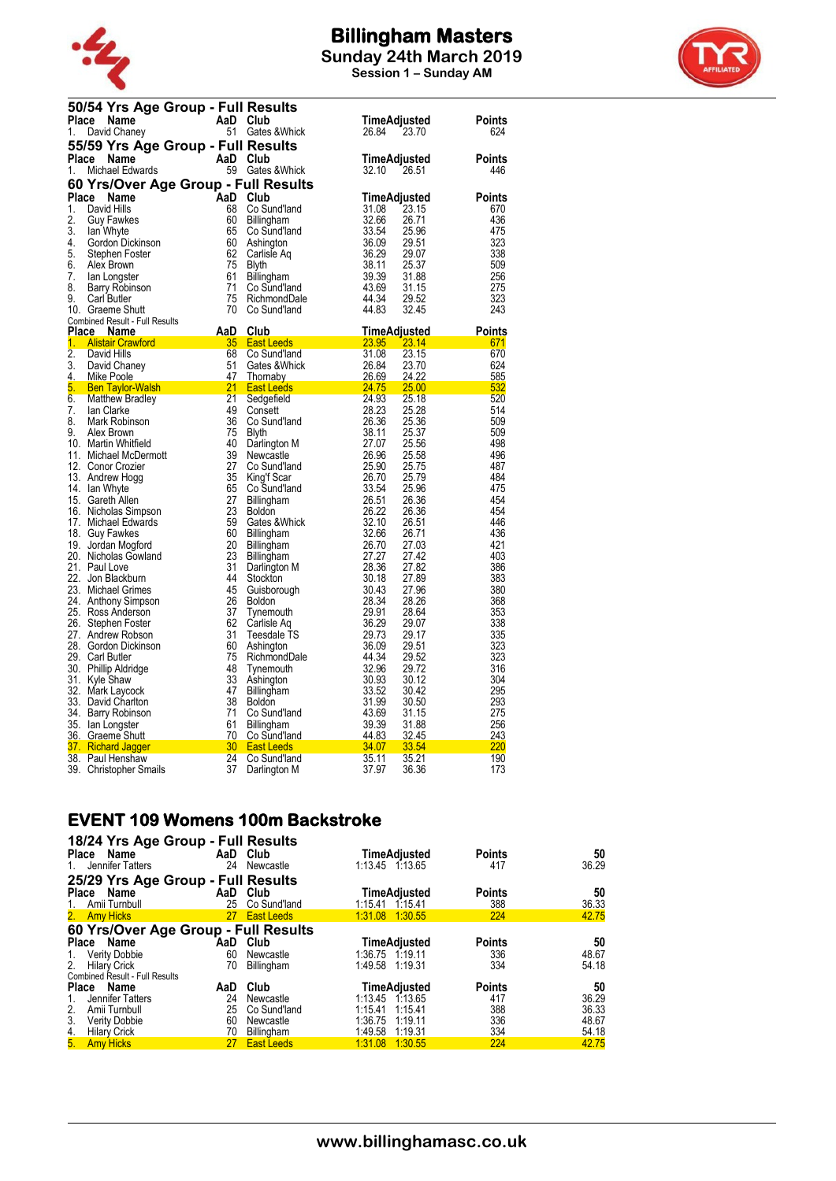

**Session 1 – Sunday AM**



|          | 50/54 Yrs Age Group - Full Results   |          |                                    |                                  |               |
|----------|--------------------------------------|----------|------------------------------------|----------------------------------|---------------|
|          | Place<br>Name                        | AaD Club |                                    | TimeAdjusted                     | Points        |
| 1.       | David Chaney                         | 51       | Gates & Whick                      | 26.84<br>23.70                   | 624           |
|          | 55/59 Yrs Age Group - Full Results   |          |                                    |                                  |               |
| Place    | Name                                 | AaD Club |                                    |                                  | <b>Points</b> |
| 1.       | Michael Edwards                      |          | 59 Gates & Whick                   | TimeAdjusted<br>32.10<br>26.51   | 446           |
|          |                                      |          |                                    |                                  |               |
|          | 60 Yrs/Over Age Group - Full Results |          |                                    |                                  |               |
| Place    | <b>Name</b>                          | AaD      | Club                               | TimeAdjusted                     | <b>Points</b> |
| 1.       | David Hills                          | 68       | Co Sund'land                       | 31.08<br>23.15                   | 670           |
| 2.       | <b>Guy Fawkes</b>                    | 60       | <b>Billingham</b>                  | 32.66<br>26.71                   | 436           |
| 3.       | lan Whyte                            | 65       | Co Sund'land                       | 33.54<br>25.96                   | 475           |
| 4.       | Gordon Dickinson                     | 60       | Ashington                          | 36.09<br>29.51                   | 323           |
| 5.       | Stephen Foster                       | 62       | Carlisle Aq                        | 36.29<br>29.07                   | 338           |
| 6.<br>7. | Alex Brown                           | 75<br>61 | Blyth                              | 38.11<br>25.37<br>39.39<br>31.88 | 509<br>256    |
| 8.       | lan Longster                         | 71       | Billingham<br>Co Sund'Iand         | 43.69<br>31.15                   | 275           |
| 9.       | Barry Robinson<br>Carl Butler        | 75       | RichmondDale                       | 44.34<br>29.52                   | 323           |
|          | 10. Graeme Shutt                     | 70       | Co Sund'land                       | 44.83<br>32.45                   | 243           |
|          | Combined Result - Full Results       |          |                                    |                                  |               |
|          | Place Name                           | AaD      | Club                               | <b>TimeAdjusted</b>              | Points        |
| 1.       | <b>Alistair Crawford</b>             | 35       | East Leeds                         | 23.95<br>23.14                   | 671           |
| 2.       | David Hills                          | 68       | Co Sund'Iand                       | 31.08<br>23.15                   | 670           |
| 3.       | David Chaney                         | 51       | Gates & Whick                      | 26.84<br>23.70                   | 624           |
| 4.       | <b>Mike Poole</b>                    | 47       | Thornaby                           | 26.69<br>24.22                   | 585           |
| 5.       | <b>Ben Taylor-Walsh</b>              | 21       | <b>East Leeds</b>                  | $\frac{24.75}{0.4.02}$<br>25.00  | 532           |
| 6.       | <b>Matthew Bradley</b>               | 21       | Sedgefield                         | 24.93<br>25.18                   | 520           |
| 7.       | lan Clarke                           | 49       | Consett                            | 28.23<br>25.28                   | 514           |
| 8.       | Mark Robinson                        | 36       | Co Sund'land                       | 26.36<br>25.36                   | 509           |
| 9.       | Alex Brown                           | 75       | Blyth                              | 38.11<br>25.37                   | 509           |
|          | 10. Martin Whitfield                 | 40       | Darlington M                       | 27.07<br>25.56                   | 498           |
|          | 11. Michael McDermott                | 39       | Newcastle                          | 26.96<br>25.58                   | 496           |
|          | 12. Conor Crozier                    | 27<br>35 | Co Sund'land                       | 25.90<br>25.75                   | 487<br>484    |
|          | 13. Andrew Hogg<br>14. Ian Whyte     | 65       | King'f Scar<br>Co Sund'land        | 26.70<br>25.79<br>33.54<br>25.96 | 475           |
|          | 15. Gareth Allen                     | 27       | Billingham                         | 26.51<br>26.36                   | 454           |
|          | 16. Nicholas Simpson                 | 23       | <b>Boldon</b>                      | 26.22<br>26.36                   | 454           |
|          | 17. Michael Edwards                  | 59       | Gates & Whick                      | 32.10<br>26.51                   | 446           |
|          | 18. Guy Fawkes                       | 60       | Billingham                         | 32.66<br>26.71                   | 436           |
|          | 19. Jordan Mogford                   | 20       | Billingham                         | 26.70<br>27.03                   | 421           |
|          | 20. Nicholas Gowland                 | 23       | Billingham                         | 27.27<br>27.42                   | 403           |
|          | 21. Paul Love                        | 31       | Darlington M                       | 28.36<br>27.82                   | 386           |
|          | 22. Jon Blackburn                    | 44       | Stockton                           | 30.18<br>27.89                   | 383           |
|          | 23. Michael Grimes                   | 45       | Guisborough                        | 30.43<br>27.96                   | 380           |
|          | 24. Anthony Simpson                  | 26       | <b>Boldon</b>                      | 28.34<br>28.26                   | 368           |
|          | 25. Ross Anderson                    | 37       | Tynemouth                          | 29.91<br>28.64                   | 353           |
|          | 26. Stephen Foster                   | 62       | Carlisle Aq                        | 36.29<br>29.07                   | 338           |
|          | 27. Andrew Robson                    | 31       | Teesdale TS                        | 29.73<br>29.17                   | 335           |
|          | 28. Gordon Dickinson                 | 60       | Ashington                          | 36.09<br>29.51                   | 323           |
|          | 29. Carl Butler                      | 75       | RichmondDale                       | 44.34<br>29.52                   | 323           |
|          | 30. Phillip Aldridge                 | 48<br>33 | Tynemouth                          | 32.96<br>29.72                   | 316<br>304    |
|          | 31. Kyle Shaw<br>32. Mark Laycock    | 47       | Ashington                          | 30.93<br>30.12<br>33.52<br>30.42 | 295           |
|          | 33. David Charlton                   | 38       | <b>Billingham</b><br><b>Boldon</b> | 31.99<br>30.50                   | 293           |
|          | 34. Barry Robinson                   | 71       | Co Sund'Iand                       | 43.69<br>31.15                   | 275           |
|          | 35. Ian Longster                     | 61       | <b>Billingham</b>                  | 39.39<br>31.88                   | 256           |
|          | 36. Graeme Shutt                     | 70       | Co Sund'land                       | 44.83<br>32.45                   | 243           |
|          | 37. Richard Jagger                   | 30       | <b>East Leeds</b>                  | 34.07<br>33.54                   | 220           |
|          | 38. Paul Henshaw                     | 24       | Co Sund'land                       | 35.11<br>35.21                   | 190           |
|          | 39. Christopher Smails               | 37       | Darlington M                       | 37.97<br>36.36                   | 173           |

# **EVENT 109 Womens 100m Backstroke**

| 18/24 Yrs Age Group - Full Results    |          |                   |                     |               |       |
|---------------------------------------|----------|-------------------|---------------------|---------------|-------|
| Place Name                            | AaD Club |                   | <b>TimeAdjusted</b> | <b>Points</b> | 50    |
| Jennifer Tatters<br>1.                | 24       | Newcastle         | 1:13.45 1:13.65     | 417           | 36.29 |
| 25/29 Yrs Age Group - Full Results    |          |                   |                     |               |       |
| Name<br>Place                         | AaD Club |                   | <b>TimeAdjusted</b> | <b>Points</b> | 50    |
| Amii Turnbull<br>1.                   | 25       | Co Sund'land      | 1:15.41 1:15.41     | 388           | 36.33 |
| 2. Amy Hicks                          |          | 27 East Leeds     | 1.31.08 1:30.55     | 224           | 42.75 |
| 60 Yrs/Over Age Group - Full Results  |          |                   |                     |               |       |
| Place Name                            | AaD      | Club              | <b>TimeAdjusted</b> | <b>Points</b> | 50    |
| <b>Verity Dobbie</b><br>1.            | 60       | Newcastle         | 1:36.75 1:19.11     | 336           | 48.67 |
| 2.<br><b>Hilary Crick</b>             | 70       | Billingham        | 1:49.58<br>1:19.31  | 334           | 54.18 |
| <b>Combined Result - Full Results</b> |          |                   |                     |               |       |
| Place Name                            | AaD      | Club              | TimeAdjusted        | <b>Points</b> | 50    |
| Jennifer Tatters<br>1.                | 24       | Newcastle         | 1:13.45 1:13.65     | 417           | 36.29 |
| Amii Turnbull<br>2.                   | 25       | Co Sund'land      | 1:15.41<br>1:15.41  | 388           | 36.33 |
| 3.<br><b>Verity Dobbie</b>            | 60       | Newcastle         | 1:36.75<br>1:19.11  | 336           | 48.67 |
| <b>Hilary Crick</b>                   | 70       | Billingham        | 1:49.58<br>1:19.31  | 334           | 54.18 |
| $\frac{4}{5}$<br><b>Amy Hicks</b>     | 27       | <b>East Leeds</b> | 1:31.08<br>1:30.55  | 224           | 42.75 |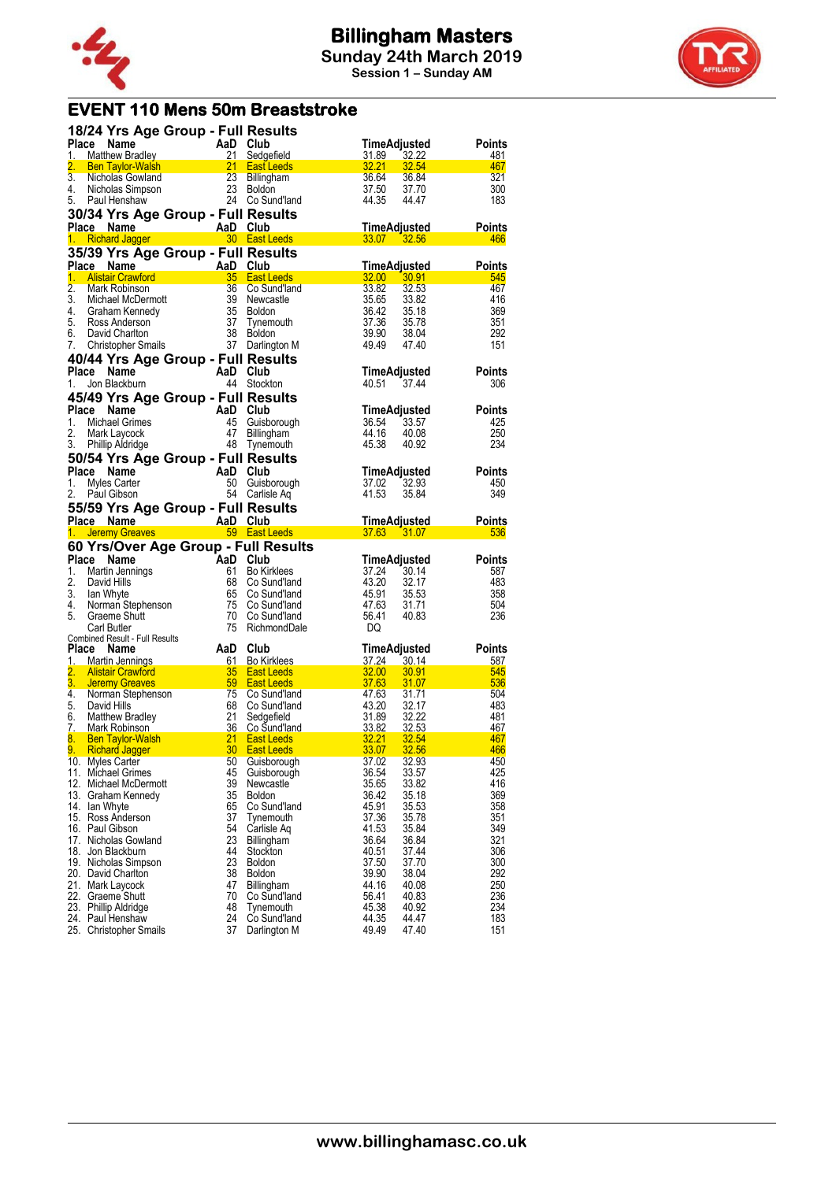



### **EVENT 110 Mens 50m Breaststroke**

|    | 18/24 Yrs Age Group - Full Results<br>18/24 Yrs Age <b>Stronger and Prince Name</b><br>1. Matthew Bradley<br>2. Ben Taylor-Walsh<br>2. Ben Taylor-Walsh<br>3. Nicholas Gowland<br>4. Nicholas Simpson<br>5. Paul Henshaw<br>2. 2. Bosund'and<br>5. Paul Henshaw<br>2. 2. Co Sund'and<br>2. 2. |          |                            |                         | TimeAdjusted                                                                  | Points                                 |
|----|-----------------------------------------------------------------------------------------------------------------------------------------------------------------------------------------------------------------------------------------------------------------------------------------------|----------|----------------------------|-------------------------|-------------------------------------------------------------------------------|----------------------------------------|
|    |                                                                                                                                                                                                                                                                                               |          |                            | 31.89                   | $\frac{32.22}{32.54}$                                                         | 481                                    |
|    |                                                                                                                                                                                                                                                                                               |          |                            |                         | 32.21 32.54<br>36.64 36.84<br>37.50 37.70                                     | 467                                    |
|    |                                                                                                                                                                                                                                                                                               |          |                            |                         |                                                                               | 321<br>300                             |
|    |                                                                                                                                                                                                                                                                                               |          |                            | 44.35                   | 44.47                                                                         | 183                                    |
|    | 30/34 Yrs Age Group - Full Results                                                                                                                                                                                                                                                            |          |                            |                         |                                                                               |                                        |
|    |                                                                                                                                                                                                                                                                                               |          |                            |                         |                                                                               |                                        |
|    |                                                                                                                                                                                                                                                                                               |          |                            |                         |                                                                               | TimeAdjusted Points<br>33.07 32.56 466 |
|    | 35/39 Yrs Age Group - Full Results                                                                                                                                                                                                                                                            |          |                            |                         |                                                                               |                                        |
|    | <b>ce Name 1988</b><br>Alistair Crawford 1995 <b>And Alistair Crawford</b><br>Alask Debiased 1996 1996 1997 1998 1999<br>Place Name                                                                                                                                                           |          |                            |                         |                                                                               | TimeAdjusted Points                    |
| 1. |                                                                                                                                                                                                                                                                                               |          |                            |                         | $\frac{32.00}{2}$ $\frac{30.91}{2}$                                           | 545                                    |
|    |                                                                                                                                                                                                                                                                                               |          |                            |                         |                                                                               | 467<br>416                             |
|    |                                                                                                                                                                                                                                                                                               |          |                            |                         |                                                                               | 369                                    |
|    |                                                                                                                                                                                                                                                                                               |          |                            |                         |                                                                               | 351                                    |
|    |                                                                                                                                                                                                                                                                                               |          |                            |                         | 33.82<br>35.65<br>35.65<br>36.42<br>35.18<br>37.36<br>35.78<br>39.90<br>38.94 | 292                                    |
|    | 2. Mark Robinson<br>2. Mark Robinson<br>3. Michael McDermott<br>4. Graham Kennedy<br>5. Ross Anderson<br>6. David Charlton<br>7. Christopher Smails<br>7. Christopher Smails<br>7. David Charlton<br>7. Christopher Smails<br>7. David Charlton<br>7                                          |          |                            |                         | 49.49 47.40                                                                   | 151                                    |
|    | 40/44 Yrs Age Group - Full Results                                                                                                                                                                                                                                                            |          |                            |                         |                                                                               |                                        |
|    | Place Name<br>AaD Club                                                                                                                                                                                                                                                                        |          |                            |                         | TimeAdjusted                                                                  | Points                                 |
| 1. | Jon Blackburn                                                                                                                                                                                                                                                                                 |          | 44 Stockton                |                         | 40.51 37.44                                                                   | 306                                    |
|    | 45/49 Yrs Age Group - Full Results                                                                                                                                                                                                                                                            |          |                            |                         |                                                                               |                                        |
| 1. | Place                                                                                                                                                                                                                                                                                         |          |                            |                         | TimeAdjusted<br>36.54 33.57                                                   | <b>Points</b><br>425                   |
| 2. |                                                                                                                                                                                                                                                                                               |          |                            |                         | 44.16 40.08                                                                   | 250                                    |
|    | May 113 And Club<br>Michael Grimes 45 Guisborough<br>Mark Laycock 47 Billingham<br>Phillip Aldridge 48 Tynemouth<br>3. Phillip Aldridge                                                                                                                                                       |          |                            | 45.38                   | 40.92                                                                         | 234                                    |
|    | 50/54 Yrs Age Group - Full Results                                                                                                                                                                                                                                                            |          |                            |                         |                                                                               |                                        |
|    | Place Name<br>AaD Club<br>50 Guisborough<br>54 Carlisle Aq                                                                                                                                                                                                                                    |          |                            |                         |                                                                               | TimeAdjusted Points                    |
| 1. | Myles Carter                                                                                                                                                                                                                                                                                  |          |                            |                         | 37.02 32.93                                                                   | 450                                    |
| 2. | Paul Gibson                                                                                                                                                                                                                                                                                   |          |                            | 41.53                   | 35.84                                                                         | 349                                    |
|    | 55/59 Yrs Age Group - Full Results                                                                                                                                                                                                                                                            |          |                            |                         |                                                                               |                                        |
|    | Place Name And AaD Club and Time Adjusted Points<br>1. Jeremy Greaves 69 East Leeds 37.63 31.07 536                                                                                                                                                                                           |          |                            |                         |                                                                               | TimeAdjusted Points                    |
|    |                                                                                                                                                                                                                                                                                               |          |                            |                         |                                                                               |                                        |
|    |                                                                                                                                                                                                                                                                                               |          |                            |                         |                                                                               |                                        |
|    |                                                                                                                                                                                                                                                                                               |          |                            |                         |                                                                               |                                        |
|    |                                                                                                                                                                                                                                                                                               |          |                            |                         | TimeAdjusted                                                                  | Points                                 |
|    |                                                                                                                                                                                                                                                                                               |          |                            |                         |                                                                               | 587<br>483                             |
|    |                                                                                                                                                                                                                                                                                               |          |                            |                         | 37.24 30.14<br>43.20 32.17                                                    | 358                                    |
|    |                                                                                                                                                                                                                                                                                               |          |                            |                         |                                                                               | 504                                    |
|    |                                                                                                                                                                                                                                                                                               |          |                            |                         | 45.91 35.53<br>47.63 31.71<br>56.41 40.83                                     | 236                                    |
|    | 1. <b>Selective School of School School School School School School School School School School School School School School School School School School School School School School School School School School School School Sc</b><br>Carl Butler                                           |          | 75 RichmondDale            | DQ                      |                                                                               |                                        |
|    | Combined Result - Full Results<br>Place Name                                                                                                                                                                                                                                                  |          |                            |                         | TimeAdjusted                                                                  | <b>Points</b>                          |
|    |                                                                                                                                                                                                                                                                                               | AaD Club |                            |                         |                                                                               |                                        |
|    |                                                                                                                                                                                                                                                                                               |          |                            |                         |                                                                               |                                        |
|    |                                                                                                                                                                                                                                                                                               |          |                            |                         |                                                                               |                                        |
|    |                                                                                                                                                                                                                                                                                               |          |                            |                         |                                                                               |                                        |
|    |                                                                                                                                                                                                                                                                                               |          |                            |                         |                                                                               |                                        |
|    |                                                                                                                                                                                                                                                                                               |          |                            |                         |                                                                               |                                        |
|    |                                                                                                                                                                                                                                                                                               |          |                            |                         |                                                                               |                                        |
|    | 1. Martin Jennings<br>1. Martin Jennings<br>2. Alistair Crawford<br>3. Jeremy Greaves<br>4. Norman Stephenson<br>4. Norman Stephenson<br>59 East Leeds<br>59 East Leeds<br>59 East Leeds<br>59 East Leeds<br>50 Guidland<br>47.63 31.07<br>47.63 31.07                                        |          |                            |                         |                                                                               |                                        |
|    | 10. Myles Carter<br>11. Michael Grimes                                                                                                                                                                                                                                                        | 50<br>45 | Guisborough<br>Guisborough | 37.02<br>36.54          | 32.93<br>33.57                                                                | 450<br>425                             |
|    | 12. Michael McDermott                                                                                                                                                                                                                                                                         | 39       | Newcastle                  | 35.65                   | 33.82                                                                         | 416                                    |
|    | 13. Graham Kennedy                                                                                                                                                                                                                                                                            | 35       | <b>Boldon</b>              | 36.42                   | 35.18                                                                         | 369                                    |
|    | 14. Ian Whyte                                                                                                                                                                                                                                                                                 | 65       | Co Sund'land               | 45.91                   | 35.53                                                                         | 358                                    |
|    | 15. Ross Anderson                                                                                                                                                                                                                                                                             | 37       | Tynemouth                  | 37.36                   | 35.78                                                                         | 351                                    |
|    | 16. Paul Gibson<br>17. Nicholas Gowland                                                                                                                                                                                                                                                       | 54<br>23 | Carlisle Ag<br>Billingham  | 41.53                   | 35.84<br>36.84                                                                | 349<br>321                             |
|    | 18. Jon Blackburn                                                                                                                                                                                                                                                                             | 44       | Stockton                   | 36.64<br>40.51          | 37.44                                                                         | 306                                    |
|    | 19. Nicholas Simpson                                                                                                                                                                                                                                                                          | 23       | <b>Boldon</b>              | 37.50                   | 37.70                                                                         | 300                                    |
|    | 20. David Charlton                                                                                                                                                                                                                                                                            | 38       | <b>Boldon</b>              | 39.90                   | 38.04                                                                         | 292                                    |
|    | 21. Mark Laycock                                                                                                                                                                                                                                                                              | 47       | Billingham                 | 44.16                   | 40.08                                                                         | 250                                    |
|    | 22. Graeme Shutt                                                                                                                                                                                                                                                                              | 70       | Co Sund'land               | 56.41                   | 40.83                                                                         | 236                                    |
|    | 23. Phillip Aldridge<br>24. Paul Henshaw<br>25. Christopher Smails                                                                                                                                                                                                                            | 48<br>24 | Tynemouth<br>Co Sund'land  | 45.38<br>44.35<br>49.49 | 40.92<br>44.47<br>47.40                                                       | 234<br>183<br>151                      |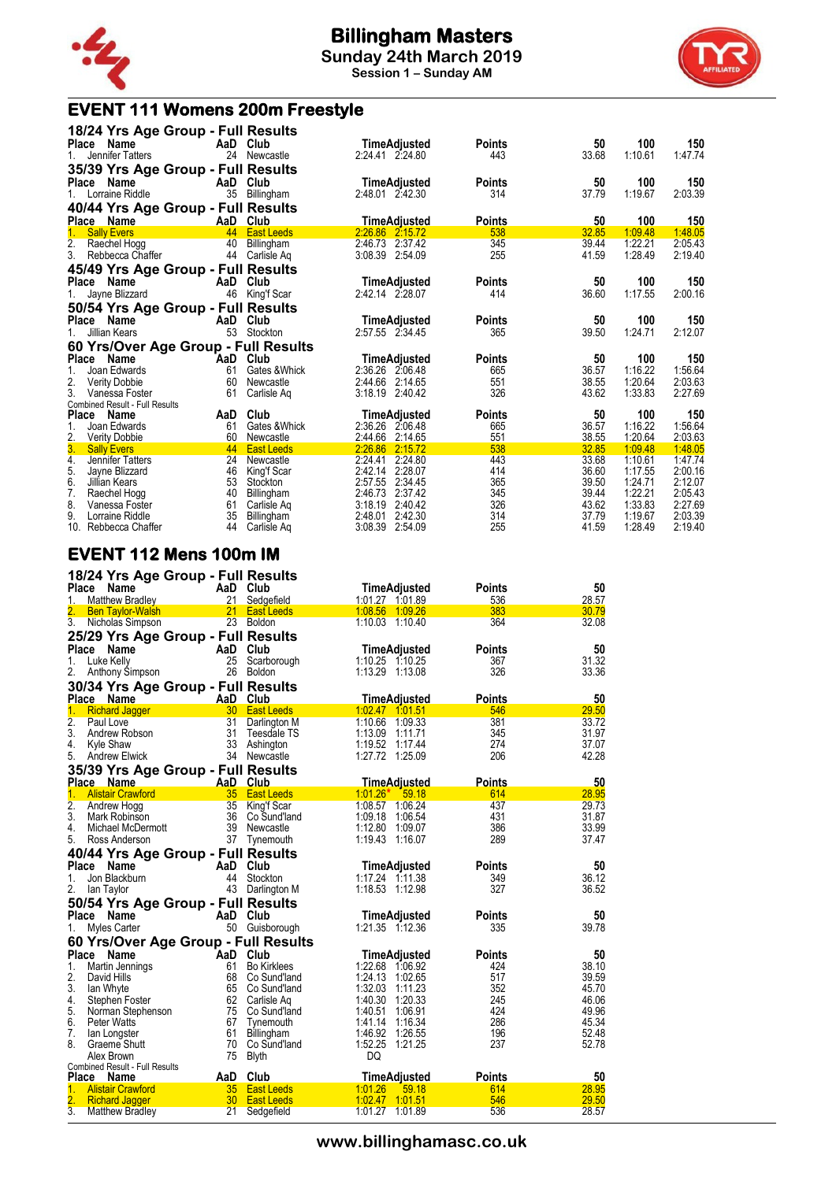





10. Rebbecca Chaffer 44 Carlisle Aq 3:08.39 2:54.09 255 41.59 1:28.49 2:19.40

#### **EVENT 112 Mens 100m IM**

|                        | 18/24 Yrs Age Group - Full Results    |                 |                             |                                       |               |                |
|------------------------|---------------------------------------|-----------------|-----------------------------|---------------------------------------|---------------|----------------|
|                        | Place Name                            |                 | AaD Club                    | <b>TimeAdjusted</b>                   | Points        | 50             |
| 1.                     | <b>Matthew Bradlev</b>                | 21              | Sedgefield                  | 1:01.27 1:01.89                       | 536           | 28.57          |
|                        | <b>Ben Taylor-Walsh</b>               | 21              | East Leeds                  | 1:08.56 1:09.26                       | 383           | 30.79          |
| 3.                     | Nicholas Simpson                      |                 | 23 Boldon                   | 1:10.03 1:10.40                       | 364           | 32.08          |
|                        | 25/29 Yrs Age Group - Full Results    |                 |                             |                                       |               |                |
| Place                  | Name                                  | AaD             | Club                        | TimeAdjusted                          | <b>Points</b> | 50             |
| 1.                     | Luke Kelly                            | 25              | Scarborough                 | 1:10.25 1:10.25                       | 367           | 31.32          |
| 2.                     | Anthony Simpson                       | 26              | Boldon                      | 1:13.29 1:13.08                       | 326           | 33.36          |
|                        |                                       |                 |                             |                                       |               |                |
|                        | 30/34 Yrs Age Group - Full Results    |                 |                             |                                       |               |                |
|                        | Place Name                            |                 | AaD Club                    | <b>TimeAdjusted</b>                   | <b>Points</b> | 50             |
| 1.                     | <b>Richard Jagger</b>                 | 30 <sup>°</sup> | <b>East Leeds</b>           | 1:02.47 1:01.51                       | 546           | 29.50          |
| $\overline{2}$ .<br>3. | Paul Love<br>Andrew Robson            | 31<br>31        | Darlington M<br>Teesdale TS | 1:10.66<br>1:09.33<br>1:13.09 1:11.71 | 381           | 33.72<br>31.97 |
| 4.                     |                                       | 33              |                             | 1:19.52 1:17.44                       | 345<br>274    | 37.07          |
| 5.                     | Kyle Shaw                             |                 | Ashington<br>34 Newcastle   | 1:27.72 1:25.09                       | 206           | 42.28          |
|                        | <b>Andrew Elwick</b>                  |                 |                             |                                       |               |                |
|                        | 35/39 Yrs Age Group - Full Results    |                 |                             |                                       |               |                |
|                        | Place Name                            |                 | AaD Club                    | <b>TimeAdjusted</b>                   | <b>Points</b> | 50             |
| 1.                     | <b>Alistair Crawford</b>              | 35              | <b>East Leeds</b>           | $1:01.26*$<br>59.18                   | 614           | 28.95          |
| $\overline{2}$ .<br>3. | Andrew Hogg                           | 35              | King'f Scar                 | 1:08.57 1:06.24                       | 437           | 29.73          |
|                        | Mark Robinson                         | 36              | Co Sund'Iand                | 1:09.18<br>1:06.54                    | 431           | 31.87          |
| 4.                     | Michael McDermott                     | 39              | Newcastle                   | 1:12.80<br>1:09.07                    | 386           | 33.99          |
| 5.                     | Ross Anderson                         |                 | 37 Tynemouth                | 1:19.43 1:16.07                       | 289           | 37.47          |
|                        | 40/44 Yrs Age Group - Full Results    |                 |                             |                                       |               |                |
| Place                  | Name                                  | AaD             | Club                        | TimeAdjusted                          | Points        | 50             |
| 1.                     | Jon Blackburn                         | 44              | Stockton                    | 1:17.24 1:11.38                       | 349           | 36.12          |
| 2.                     | lan Taylor                            |                 | 43 Darlington M             | 1:18.53 1:12.98                       | 327           | 36.52          |
|                        | 50/54 Yrs Age Group - Full Results    |                 |                             |                                       |               |                |
| <b>Place</b>           | Name                                  | AaD             | Club                        | <b>TimeAdjusted</b>                   | <b>Points</b> | 50             |
| 1.                     | Myles Carter                          |                 | 50 Guisborough              | 1:21.35 1:12.36                       | 335           | 39.78          |
|                        | 60 Yrs/Over Age Group - Full Results  |                 |                             |                                       |               |                |
|                        | Place Name                            | AaD             | Club                        | TimeAdjusted                          | Points        | 50             |
| 1.                     | Martin Jennings                       | 61              | <b>Bo Kirklees</b>          | 1:22.68 1:06.92                       | 424           | 38.10          |
| 2.                     | David Hills                           | 68              | Co Sund'land                | 1:24.13 1:02.65                       | 517           | 39.59          |
| 3.                     | lan Whyte                             | 65              | Co Sund'land                | 1:32.03<br>1:11.23                    | 352           | 45.70          |
| 4.                     | Stephen Foster                        |                 | 62 Carlisle Aq              | 1:40.30<br>1:20.33                    | 245           | 46.06          |
| 5.                     | Norman Stephenson                     |                 | 75 Co Sund'land             | 1:40.51<br>1:06.91                    | 424           | 49.96          |
| 6.                     | Peter Watts                           | 67              | Tynemouth                   | 1:41.14<br>1:16.34                    | 286           | 45.34          |
| 7.                     | lan Longster                          | 61              | Billingham                  | 1:46.92<br>1:26.55                    | 196           | 52.48          |
| 8.                     | Graeme Shutt                          | 70              | Co Sund'land                | 1:52.25<br>1:21.25                    | 237           | 52.78          |
|                        | Alex Brown                            | 75              | <b>Blyth</b>                | DQ                                    |               |                |
|                        | <b>Combined Result - Full Results</b> |                 |                             |                                       |               |                |
|                        | Place Name                            | AaD             | Club                        | <b>TimeAdjusted</b>                   | <b>Points</b> | 50             |
| 1.                     | <b>Alistair Crawford</b>              | 35              | <b>East Leeds</b>           | 1:01.26<br>59.18                      | 614           | 28.95          |
|                        | <b>Richard Jagger</b>                 | 30 <sub>2</sub> | <b>East Leeds</b>           | 1:02.47 1:01.51                       | 546           | 29.50          |
| $\overline{3}$ .       | <b>Matthew Bradley</b>                | 21              | Sedgefield                  | 1:01.27 1:01.89                       | 536           | 28.57          |

**www.billinghamasc.co.uk**

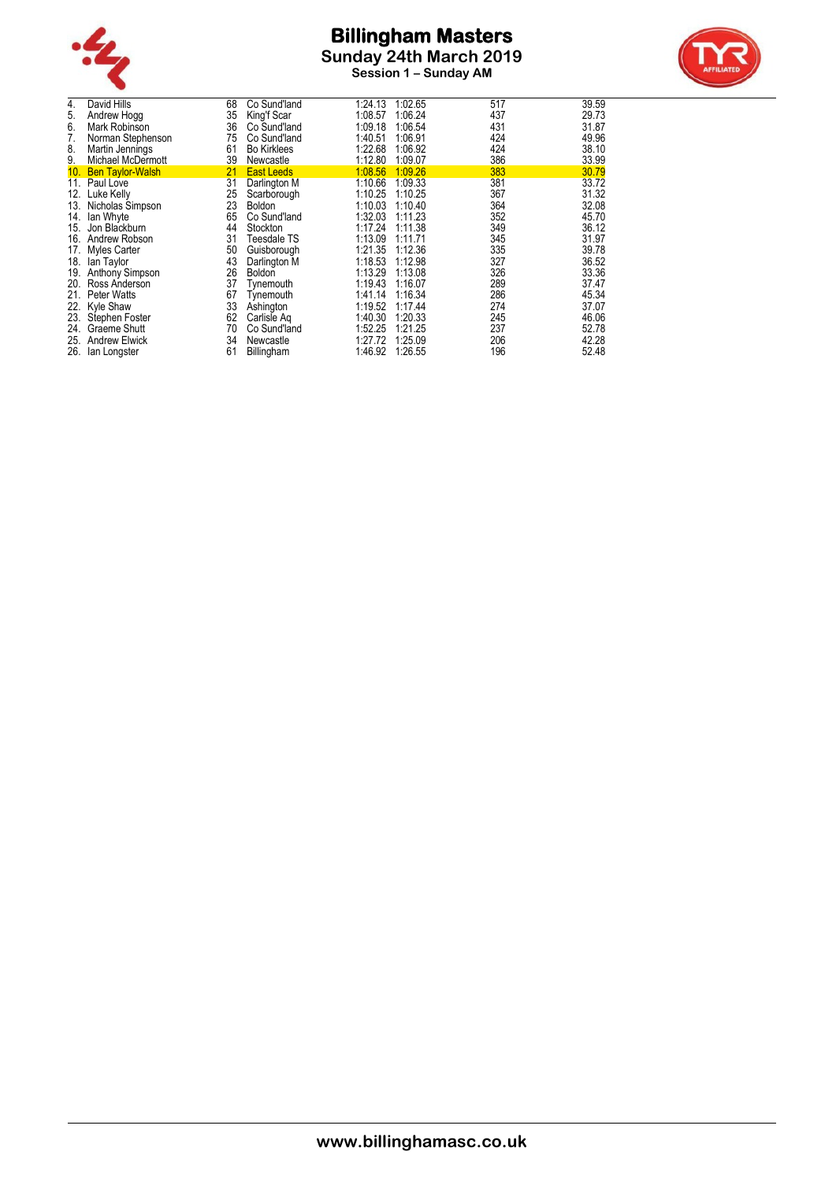

**Session 1 – Sunday AM**



| David Hills             | 68                                                                                                                       | Co Sund'land         | 1:24.13                                                                  | 1:02.65                       | 517                                      | 39.59                                  |
|-------------------------|--------------------------------------------------------------------------------------------------------------------------|----------------------|--------------------------------------------------------------------------|-------------------------------|------------------------------------------|----------------------------------------|
| Andrew Hogg             | 35                                                                                                                       |                      | 1:08.57                                                                  | 1:06.24                       | 437                                      | 29.73                                  |
| Mark Robinson           | 36                                                                                                                       | Co Sund'land         | 1:09.18                                                                  |                               | 431                                      | 31.87                                  |
| Norman Stephenson       | 75                                                                                                                       | Co Sund'land         | 1:40.51                                                                  | 1:06.91                       | 424                                      | 49.96                                  |
| Martin Jennings         | 61                                                                                                                       | <b>Bo Kirklees</b>   | 1:22.68                                                                  | 1:06.92                       | 424                                      | 38.10                                  |
| Michael McDermott       | 39                                                                                                                       | Newcastle            | 1:12.80                                                                  | 1:09.07                       | 386                                      | 33.99                                  |
| <b>Ben Taylor-Walsh</b> | 21                                                                                                                       | <b>East Leeds</b>    | 1:08.56                                                                  | 1:09.26                       | 383                                      | 30.79                                  |
|                         |                                                                                                                          | Darlington M         |                                                                          | 1:09.33                       | 381                                      | 33.72                                  |
| Luke Kelly              | 25                                                                                                                       |                      | 1:10.25                                                                  | 1:10.25                       | 367                                      | 31.32                                  |
| Nicholas Simpson        | 23                                                                                                                       | <b>Boldon</b>        | 1:10.03                                                                  | 1:10.40                       | 364                                      | 32.08                                  |
| lan Whyte               | 65                                                                                                                       | Co Sund'land         | 1:32.03                                                                  | 1:11.23                       | 352                                      | 45.70                                  |
| Jon Blackburn           | 44                                                                                                                       | Stockton             | 1:17.24                                                                  | 1:11.38                       | 349                                      | 36.12                                  |
| Andrew Robson           | 31                                                                                                                       | Teesdale TS          | 1:13.09                                                                  | 1:11.71                       | 345                                      | 31.97                                  |
|                         | 50                                                                                                                       | Guisborough          | 1:21.35                                                                  | 1:12.36                       |                                          | 39.78                                  |
| lan Taylor              | 43                                                                                                                       |                      | 1:18.53                                                                  | 1:12.98                       | 327                                      | 36.52                                  |
| Anthony Simpson         | 26                                                                                                                       | <b>Boldon</b>        | 1:13.29                                                                  | 1:13.08                       |                                          | 33.36                                  |
| Ross Anderson           |                                                                                                                          | Tynemouth            |                                                                          |                               |                                          | 37.47                                  |
| Peter Watts             | 67                                                                                                                       | Tynemouth            | 1:41.14                                                                  |                               |                                          | 45.34                                  |
|                         |                                                                                                                          | Ashington            | 1:19.52                                                                  | 1.17.44                       | 274                                      | 37.07                                  |
|                         | 62                                                                                                                       | Carlisle Ag          | 1:40.30                                                                  | 1:20.33                       | 245                                      | 46.06                                  |
|                         |                                                                                                                          |                      |                                                                          |                               |                                          | 52.78                                  |
| <b>Andrew Elwick</b>    | 34                                                                                                                       | Newcastle            | 1:27.72                                                                  | 1:25.09                       |                                          | 42.28                                  |
| lan Longster            | 61                                                                                                                       |                      | 1:46.92                                                                  | 1:26.55                       | 196                                      | 52.48                                  |
| 12.                     | 10.<br>11. Paul Love<br>14.<br>17. Myles Carter<br>18.<br>21.<br>22. Kyle Shaw<br>23. Stephen Foster<br>24. Graeme Shutt | 31<br>37<br>33<br>70 | King'f Scar<br>Scarborough<br>Darlington M<br>Co Sund'land<br>Billingham | 1:10.66<br>1:19.43<br>1:52.25 | 1:06.54<br>1:16.07<br>1:16.34<br>1:21.25 | 335<br>326<br>289<br>286<br>237<br>206 |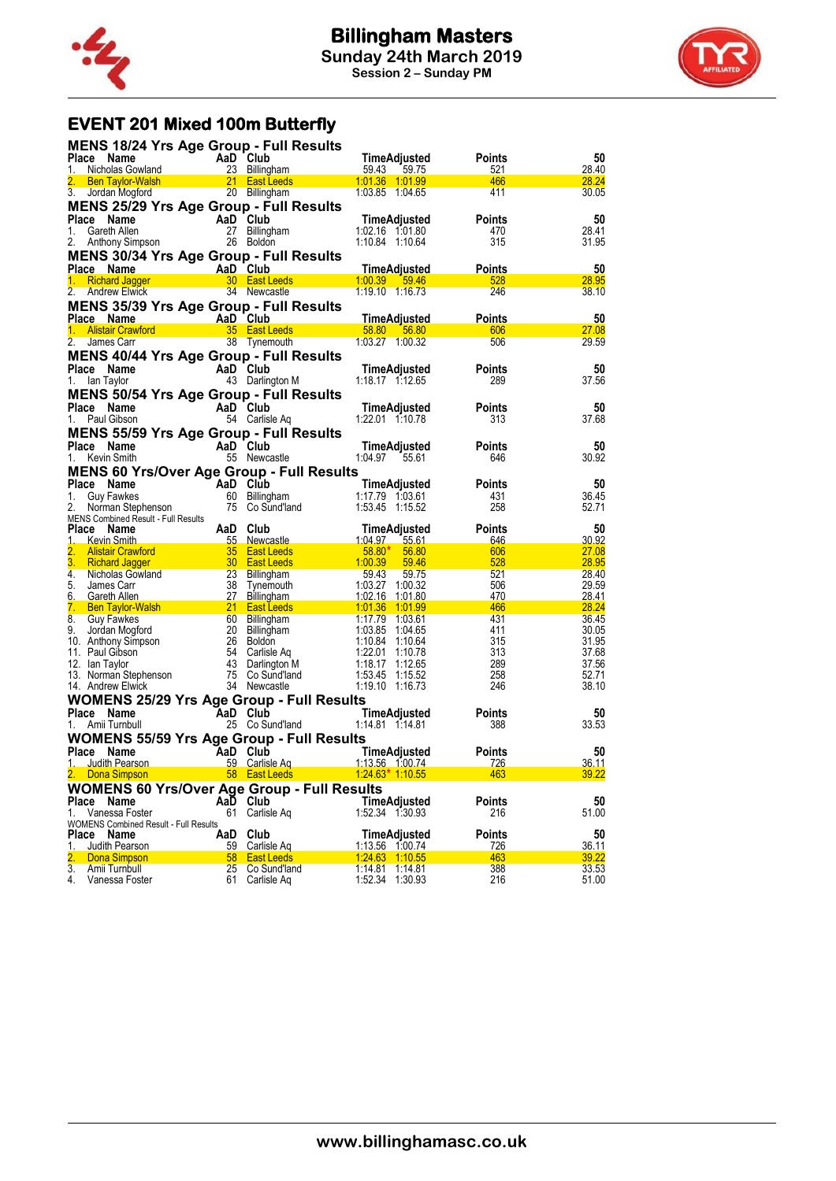



# **EVENT 201 Mixed 100m Butterfly**

| <b>MENS 18/24 Yrs Age Group - Full Results</b>                                                                                     |                                                                                        |                                 |                                    |                      |                |
|------------------------------------------------------------------------------------------------------------------------------------|----------------------------------------------------------------------------------------|---------------------------------|------------------------------------|----------------------|----------------|
| Place Name                                                                                                                         | AaD Club<br>AaD Club<br>23 Billingham                                                  |                                 | TimeAdjusted                       | <b>Points</b>        | 50             |
| Nicholas Gowland<br>$1_{-}$                                                                                                        |                                                                                        |                                 | 59.43<br>59.75                     | <u>521</u>           | 28.40          |
| <b>Sen Taylor-Walsh 1988</b> 21 East Leeds<br>Jordan Mogford 1988 20 Billingham<br>3. Jordan Mogford                               |                                                                                        | 20 Billingham                   | 1:03.85 1:04.65                    | 466<br>411           | 28.24<br>30.05 |
| <b>MENS 25/29 Yrs Age Group - Full Results</b>                                                                                     |                                                                                        |                                 |                                    |                      |                |
| Place Name                                                                                                                         |                                                                                        |                                 | TimeAdjusted                       | <b>Points</b>        | 50             |
| 1.<br>Gareth Allen                                                                                                                 | $\overline{AB}$ Club                                                                   | 27 Billingham                   | 1:02.16 1:01.80                    | 470                  | 28.41          |
| Anthony Simpson<br>2.                                                                                                              | 26 Boldon                                                                              |                                 | 1:10.84 1:10.64                    | 315                  | 31.95          |
| MENS 30/34 Yrs Age Group - Full Results                                                                                            |                                                                                        |                                 |                                    |                      |                |
|                                                                                                                                    |                                                                                        |                                 |                                    | <b>Points</b>        | 50             |
| Place Name<br>1. Richard Jagger <b>1. Aandred A. 2001</b><br>1.00.39 59.46                                                         |                                                                                        |                                 |                                    | 528                  | 28.95          |
| 2. Andrew Elwick                                                                                                                   |                                                                                        | 34 Newcastle                    | 1:19.10 1:16.73                    | 246                  | 38.10          |
| <b>MENS 35/39 Yrs Age Group - Full Results</b>                                                                                     |                                                                                        |                                 |                                    |                      |                |
|                                                                                                                                    |                                                                                        |                                 |                                    | <b>Points</b>        | 50             |
|                                                                                                                                    |                                                                                        |                                 |                                    | 606                  | 27.08          |
|                                                                                                                                    |                                                                                        |                                 |                                    | 506                  | 29.59          |
| <b>MENS 40/44 Yrs Age Group - Full Results</b>                                                                                     |                                                                                        |                                 |                                    |                      |                |
| Place Name<br>lan Taylor<br>1.                                                                                                     | AaD Club                                                                               | 43 Darlington M                 | TimeAdjusted<br>1:18.17 1:12.65    | <b>Points</b><br>289 | 50<br>37.56    |
|                                                                                                                                    |                                                                                        |                                 |                                    |                      |                |
| <b>MENS 50/54 Yrs Age Group - Full Results</b><br>Place Name                                                                       | AaD Club                                                                               |                                 | TimeAdjusted                       | <b>Points</b>        | 50             |
| Paul Gibson<br>1.                                                                                                                  |                                                                                        | 54 Carlisle Aq                  | 1:22.01 1:10.78                    | 313                  | 37.68          |
| <b>MENS 55/59 Yrs Age Group - Full Results</b>                                                                                     |                                                                                        |                                 |                                    |                      |                |
| Place Name                                                                                                                         | AaD Club                                                                               |                                 | TimeAdjusted                       | <b>Points</b>        | 50             |
| Kevin Smith<br>1.                                                                                                                  |                                                                                        | 55 Newcastle                    | 1:04.97<br>55.61                   | 646                  | 30.92          |
| <b>MENS 60 Yrs/Over Age Group - Full Results</b>                                                                                   |                                                                                        |                                 |                                    |                      |                |
| Place Name                                                                                                                         |                                                                                        |                                 | TimeAdjusted                       | Points               | 50             |
| Compose Name Manus Club<br>Cuy Fawkes 60 Billingham<br>Norman Stephenson 75 Co Sund'land<br>1.                                     |                                                                                        |                                 |                                    | 431                  | 36.45          |
| 2.                                                                                                                                 |                                                                                        |                                 | 1:53.45 1:15.52                    | 258                  | 52.71          |
| MENS Combined Result - Full Results<br>Place Name                                                                                  |                                                                                        |                                 | TimeAdjusted                       | <b>Points</b>        | 50             |
| 1.                                                                                                                                 |                                                                                        |                                 | <u>1:04.97</u><br>55.61            | 646                  | 30.92          |
|                                                                                                                                    |                                                                                        |                                 |                                    |                      |                |
| <u>Kevin Smith</u><br>2.<br><b>Alistair Crawford</b>                                                                               |                                                                                        |                                 | $-58.80*$<br>56.80                 | 606                  | 27.08          |
| 3.<br><b>Richard Jagger</b>                                                                                                        |                                                                                        |                                 | 1:00.39<br>59.46                   | 528                  | 28.95          |
| 4.                                                                                                                                 | Aap Charles And Charles S5 Newcastle<br>25 Newcastle<br>25 East Leeds<br>29 Billingham |                                 | 59.43<br>59.75                     | 521                  | 28.40          |
| 5.                                                                                                                                 |                                                                                        |                                 | 1:03.27 1:00.32                    | 506                  | 29.59          |
| 6.                                                                                                                                 |                                                                                        |                                 | 1:02.16 1:01.80                    | 470                  | 28.41          |
| 7. Ben Taylor-Walsh 21 East Leeds                                                                                                  |                                                                                        |                                 | 1:01.36 1:01.99<br>1:17.79 1:03.61 | 466<br>431           | 28.24<br>36.45 |
|                                                                                                                                    |                                                                                        | 60 Billingham                   | 1:03.85 1:04.65                    | 411                  | 30.05          |
|                                                                                                                                    | 26 Boldon                                                                              | 20 Billingham                   | 1:10.84 1:10.64                    | 315                  | 31.95          |
|                                                                                                                                    |                                                                                        | 54 Carlisle Aq                  | 1:22.01 1:10.78                    | 313                  | 37.68          |
| 3. Garvannia<br><b>7. Ben Taylor-Walsh</b><br>8. Guy Fawkes<br>9. Jordan Mogford<br>10. Anthony Simpson<br>11. Pau <u>l</u> Gibson |                                                                                        | 43 Darlington M                 | 1:18.17 1:12.65                    | 289                  | 37.56          |
| 13. Norman Stephenson<br>14. Andrew Elwick                                                                                         |                                                                                        | 75 Co Sund'land<br>34 Newcastle | 1:53.45 1:15.52<br>1:19.10 1:16.73 | 258<br>246           | 52.71<br>38.10 |
|                                                                                                                                    |                                                                                        |                                 |                                    |                      |                |
| <b>WOMENS 25/29 Yrs Age Group - Full Results</b><br>Place Name                                                                     | AaD Club                                                                               |                                 | TimeAdjusted                       | <b>Points</b>        | 50             |
| Amii Turnbull<br>1.                                                                                                                |                                                                                        | 25 Co Sund'land                 | 1:14.81  1:14.81                   | 388                  | 33.53          |
| <b>WOMENS 55/59 Yrs Age Group - Full Results</b>                                                                                   |                                                                                        |                                 |                                    |                      |                |
| Place Name                                                                                                                         | AaD Club                                                                               |                                 | TimeAdjusted                       | <b>Points</b>        | 50             |
| 1. Judith Pearson                                                                                                                  |                                                                                        | <u>59 Carlisle Aquillanum</u>   |                                    | <u>726</u>           | 36.11          |
| 2. Dona Simpson                                                                                                                    |                                                                                        | 58 East Leeds                   | $1:24.63*$ 1.10.55                 | 463                  | 39.22          |
| <b>WOMENS 60 Yrs/Over Age Group - Full Results</b>                                                                                 |                                                                                        |                                 |                                    |                      |                |
| Place Name                                                                                                                         | AaD Club                                                                               |                                 | <b>TimeAdjusted</b>                | <b>Points</b>        |                |
| Vanessa Foster<br>1.                                                                                                               |                                                                                        | 61 Carlisle Ag                  | 1:52.34 1:30.93                    | 216                  | 50<br>51.00    |
| <b>WOMENS Combined Result - Full Results</b><br>Place Name                                                                         | AaD                                                                                    | Club                            | <b>TimeAdjusted</b>                | <b>Points</b>        | 50             |
| 1.<br>Judith Pearson                                                                                                               |                                                                                        | 59 Carlisle Ag                  | 1:13.56 1:00.74                    | 726                  | 36.11          |
| $\overline{2}$ .<br>Dona Simpson                                                                                                   | 58                                                                                     | <b>East Leeds</b>               | 1:24.63 1:10.55                    | 463                  | 39.22          |
| 3.<br>Amii Turnbull<br>4.<br>Vanessa Foster                                                                                        | 25<br>61                                                                               | Co Sund'land<br>Carlisle Aq     | 1:14.81 1:14.81<br>1:52.34 1:30.93 | 388<br>216           | 33.53<br>51.00 |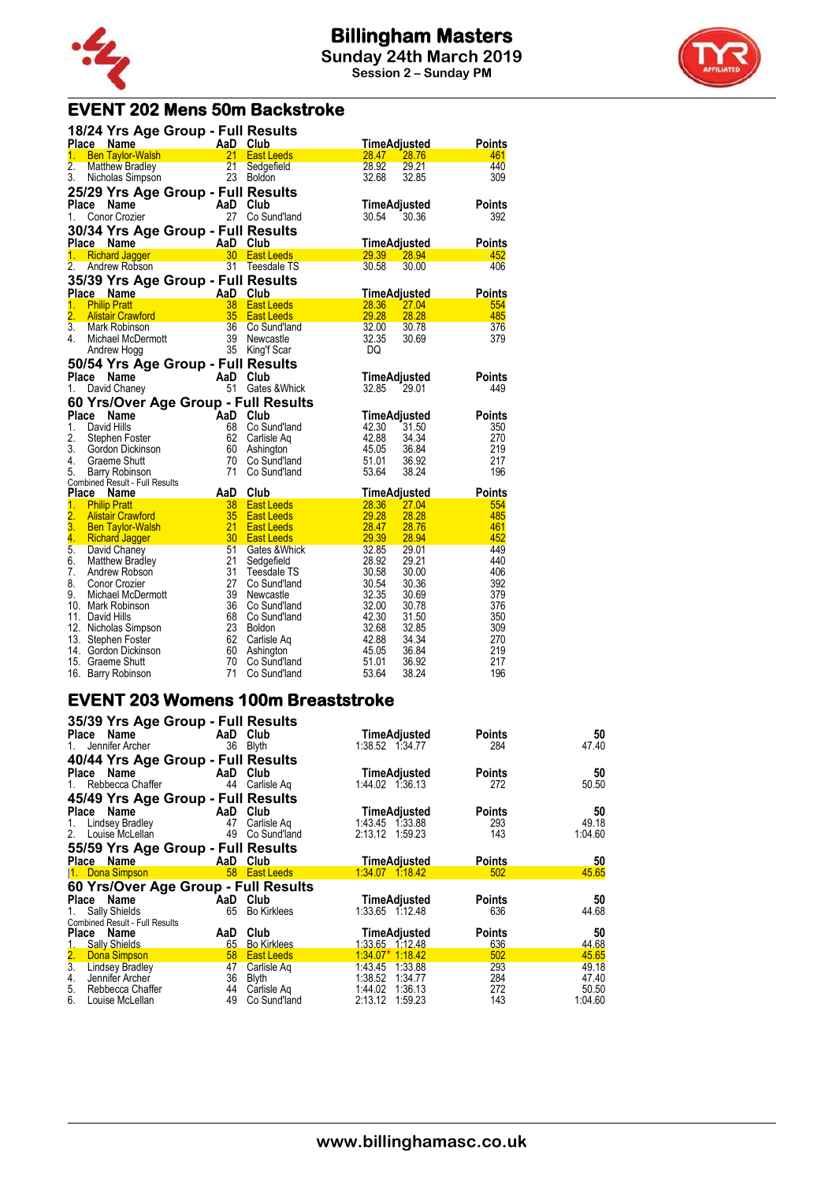



# **EVENT 202 Mens 50m Backstroke**

|                  |                                                  | 18/24 Yrs Age Group - Full Results   |                               |                |                |               |
|------------------|--------------------------------------------------|--------------------------------------|-------------------------------|----------------|----------------|---------------|
|                  | Place Name                                       | AaD                                  | Club                          |                | TimeAdjusted   | <b>Points</b> |
| 1.               | <b>Ben Taylor-Walsh</b>                          | 21                                   | <b>East Leeds</b>             | 28.47          | 28.76          | 461           |
| 2.               | Matthew Bradley                                  | 21                                   | Sedgefield                    | 28.92          | 29.21          | 440           |
| 3.               | Nicholas Simpson                                 | 23                                   | <b>Boldon</b>                 | 32.68          | 32.85          | 309           |
|                  |                                                  | 25/29 Yrs Age Group - Full Results   |                               |                |                |               |
|                  | Place Name                                       | AaD                                  | Club                          |                | TimeAdjusted   | <b>Points</b> |
| 1.               | Conor Crozier                                    | 27                                   | Co Sund'land                  | 30.54          | 30.36          | 392           |
|                  |                                                  | 30/34 Yrs Age Group - Full Results   |                               |                |                |               |
|                  | Place Name                                       | AaD                                  | Club                          |                | TimeAdjusted   | <b>Points</b> |
| 1 <sub>1</sub>   | <b>Richard Jagger</b>                            | 30                                   | <b>East Leeds</b>             | 29.39          | 28.94          | 452           |
| 2.               | Andrew Robson                                    | 31                                   | Teesdale TS                   | 30.58          | 30.00          | 406           |
|                  |                                                  | 35/39 Yrs Age Group - Full Results   |                               |                |                |               |
|                  | Place Name                                       | AaD                                  | Club                          |                | TimeAdjusted   | <b>Points</b> |
| 1.               | <b>Philip Pratt</b>                              | 38                                   | <b>East Leeds</b>             | 28.36          | 27.04          | 554           |
| $\overline{2}$ . | <b>Alistair Crawford</b>                         | 35                                   | <b>East Leeds</b>             | 29.28          | 28.28          | 485           |
| $\overline{3}$ . | Mark Robinson                                    | 36                                   | Co Sund'Iand                  | 32.00          | 30.78          | 376           |
| 4.               | Michael McDermott                                | 39                                   | Newcastle                     | 32.35          | 30.69          | 379           |
|                  | Andrew Hogg                                      | 35                                   | King'f Scar                   | DQ             |                |               |
|                  |                                                  | 50/54 Yrs Age Group - Full Results   |                               |                |                |               |
|                  | Place Name                                       | AaD                                  | Club                          |                | TimeAdjusted   | Points        |
| 1.               | David Chaney                                     | 51                                   | Gates & Whick                 | 32.85          | 29.01          | 449           |
|                  |                                                  | 60 Yrs/Over Age Group - Full Results |                               |                |                |               |
|                  |                                                  |                                      |                               |                |                |               |
|                  |                                                  |                                      |                               |                |                |               |
| Place            | Name                                             | AaD                                  | Club                          |                | TimeAdjusted   | <b>Points</b> |
| 1.               | David Hills                                      | 68                                   | Co Sund'land                  | 42.30          | 31.50          | 350           |
| 2.               | Stephen Foster                                   | 62                                   | Carlisle Ag                   | 42.88          | 34.34          | 270           |
| 3.               | Gordon Dickinson                                 | 60                                   | Ashington                     | 45.05          | 36.84          | 219           |
| 4.<br>5.         | Graeme Shutt                                     | 70<br>71                             | Co Sund'land                  | 51.01          | 36.92          | 217<br>196    |
|                  | Barry Robinson<br>Combined Result - Full Results |                                      | Co Sund'land                  | 53.64          | 38.24          |               |
| Place            | Name                                             | AaD                                  | Club                          |                | TimeAdjusted   | Points        |
| 1.               | <b>Philip Pratt</b>                              | 38                                   | <b>East Leeds</b>             | 28.36          | 27.04          | 554           |
| $\overline{2}$ . | <b>Alistair Crawford</b>                         | 35                                   | <b>East Leeds</b>             | 29.28          | 28.28          | 485           |
| 3.               | <b>Ben Taylor-Walsh</b>                          | 21                                   | <b>East Leeds</b>             | 28.47          | 28.76          | 461           |
| 4.               | <b>Richard Jagger</b>                            | 30                                   | <b>East Leeds</b>             | 29.39          | 28.94          | 452           |
| $\overline{5}$ . | David Chaney                                     | 51                                   | Gates & Whick                 | 32.85          | 29.01          | 449           |
| 6.               | Matthew Bradley                                  | 21                                   | Sedgefield                    | 28.92          | 29.21          | 440           |
| 7.               | Andrew Robson                                    | 31                                   | Teesdale TS                   | 30.58          | 30.00          | 406           |
| 8.               | Conor Crozier                                    | 27                                   | Co Sund'land                  | 30.54          | 30.36          | 392           |
| 9.               | Michael McDermott                                | 39                                   | Newcastle                     | 32.35          | 30.69          | 379           |
|                  | 10. Mark Robinson                                | 36                                   | Co Sund'land                  | 32.00          | 30.78          | 376           |
|                  | 11. David Hills                                  | 68<br>23                             | Co Sund'land<br><b>Boldon</b> | 42.30<br>32.68 | 31.50<br>32.85 | 350<br>309    |
|                  | 12. Nicholas Simpson                             | 62                                   |                               | 42.88          | 34.34          | 270           |
|                  | 13. Stephen Foster<br>14. Gordon Dickinson       | 60                                   | Carlisle Aq<br>Ashington      | 45.05          | 36.84          | 219           |
|                  | 15. Graeme Shutt                                 | 70<br>71                             | Co Sund'land                  | 51.01          | 36.92          | 217           |

### **EVENT 203 Womens 100m Breaststroke**

| 35/39 Yrs Age Group - Full Results        |                           |                    |                     |               |         |
|-------------------------------------------|---------------------------|--------------------|---------------------|---------------|---------|
| Place Name                                | <b>Example 2</b> AaD Club |                    | TimeAdjusted        | Points        | 50      |
| Jennifer Archer<br>1.                     |                           | 36 Blyth           | 1:38.52 1:34.77     | 284           | 47.40   |
| 40/44 Yrs Age Group - Full Results        |                           |                    |                     |               |         |
| <b>Example 2.1 AaD</b> Club<br>Place Name |                           |                    | TimeAdjusted        | <b>Points</b> | 50      |
| 1. Rebbecca Chaffer                       | 44                        | Carlisle Aq        | 1:44.02 1:36.13     | 272           | 50.50   |
| 45/49 Yrs Age Group - Full Results        |                           |                    |                     |               |         |
| Place Name                                |                           | AaD Club           | <b>TimeAdjusted</b> | <b>Points</b> | 50      |
| Lindsey Bradley<br>1.                     | 47                        | Carlisle Aq        | 1:43.45 1:33.88     | 293           | 49.18   |
| 2.<br>Louise McLellan                     | 49                        | Co Sund'land       | 2:13.12 1:59.23     | 143           | 1:04.60 |
| 55/59 Yrs Age Group - Full Results        |                           |                    |                     |               |         |
| Place Name                                |                           | AaD Club           | <b>TimeAdjusted</b> | <b>Points</b> | 50      |
| 1. Dona Simpson                           |                           | 58 East Leeds      | 1:34.07 1:18.42     | 502           | 45.65   |
| 60 Yrs/Over Age Group - Full Results      |                           |                    |                     |               |         |
| Place Name                                |                           | AaD Club           | TimeAdjusted        | <b>Points</b> | 50      |
| Sally Shields<br>1.                       | 65                        | <b>Bo Kirklees</b> | 1:33.65 1.12.48     | 636           | 44.68   |
| <b>Combined Result - Full Results</b>     |                           |                    |                     |               |         |
| Place Name                                | AaD                       | Club               | TimeAdjusted        | <b>Points</b> | 50      |
| 1. Sally Shields                          | $65-$                     | <b>Bo Kirklees</b> | 1:33.65 1:12.48     | 636           | 44.68   |
| $\frac{2}{3}$ .<br>Dona Simpson           |                           | 58 East Leeds      | $1.34.07*$ 1.18.42  | 502           | 45.65   |
| Lindsey Bradley                           | 47                        | Carlisle Ag        | 1:43.45<br>1:33.88  | 293           | 49.18   |
| 4.<br>Jennifer Archer                     | 36                        | Blyth              | 1:38.52 1:34.77     | 284           | 47.40   |
| 5.<br>Rebbecca Chaffer                    | 44                        | Carlisle Ag        | 1:44.02<br>1:36.13  | 272           | 50.50   |
| 6.<br>Louise McLellan                     | 49                        | Co Sund'land       | 2:13.12 1:59.23     | 143           | 1:04.60 |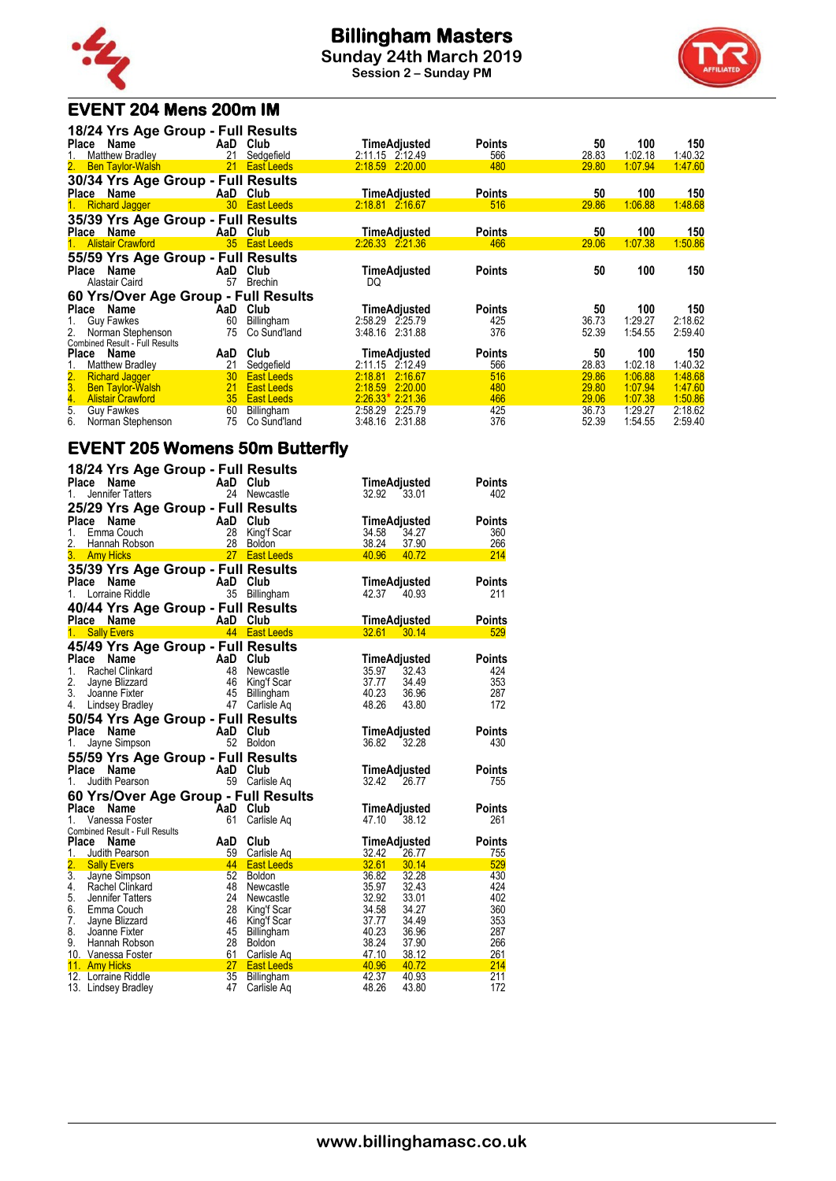

# **Billingham Masters**

**Sunday 24th March 2019 Session 2 – Sunday PM**



# **EVENT 204 Mens 200m IM**

| Name                                  |                                                                                                                                                                                                                         | Club                                                                    | TimeAdjusted                                                                                                                                                                                                                                                                                                                                                                                                           | <b>Points</b>                                                                                                                                                                                                                          | 50                                                                                     | 100                                                                        | 150                                                                                                |
|---------------------------------------|-------------------------------------------------------------------------------------------------------------------------------------------------------------------------------------------------------------------------|-------------------------------------------------------------------------|------------------------------------------------------------------------------------------------------------------------------------------------------------------------------------------------------------------------------------------------------------------------------------------------------------------------------------------------------------------------------------------------------------------------|----------------------------------------------------------------------------------------------------------------------------------------------------------------------------------------------------------------------------------------|----------------------------------------------------------------------------------------|----------------------------------------------------------------------------|----------------------------------------------------------------------------------------------------|
|                                       |                                                                                                                                                                                                                         |                                                                         |                                                                                                                                                                                                                                                                                                                                                                                                                        |                                                                                                                                                                                                                                        |                                                                                        |                                                                            | 1:40.32                                                                                            |
|                                       |                                                                                                                                                                                                                         |                                                                         |                                                                                                                                                                                                                                                                                                                                                                                                                        |                                                                                                                                                                                                                                        |                                                                                        |                                                                            | 1:47.60                                                                                            |
|                                       |                                                                                                                                                                                                                         |                                                                         |                                                                                                                                                                                                                                                                                                                                                                                                                        |                                                                                                                                                                                                                                        |                                                                                        |                                                                            |                                                                                                    |
|                                       |                                                                                                                                                                                                                         |                                                                         |                                                                                                                                                                                                                                                                                                                                                                                                                        |                                                                                                                                                                                                                                        | 50                                                                                     |                                                                            | 150                                                                                                |
| <b>Richard Jagger</b>                 | 30 <sup>°</sup>                                                                                                                                                                                                         |                                                                         | 2:18.81 2:16.67                                                                                                                                                                                                                                                                                                                                                                                                        | 516                                                                                                                                                                                                                                    | 29.86                                                                                  | 1:06.88                                                                    | 1:48.68                                                                                            |
|                                       |                                                                                                                                                                                                                         |                                                                         |                                                                                                                                                                                                                                                                                                                                                                                                                        |                                                                                                                                                                                                                                        |                                                                                        |                                                                            |                                                                                                    |
| Place Name                            |                                                                                                                                                                                                                         | Club                                                                    |                                                                                                                                                                                                                                                                                                                                                                                                                        | <b>Points</b>                                                                                                                                                                                                                          | 50                                                                                     | 100                                                                        | 150                                                                                                |
| <b>Alistair Crawford</b>              | 35                                                                                                                                                                                                                      |                                                                         | 2.26.33 2.21.36                                                                                                                                                                                                                                                                                                                                                                                                        | 466                                                                                                                                                                                                                                    | 29.06                                                                                  | 1:07.38                                                                    | 1:50.86                                                                                            |
|                                       |                                                                                                                                                                                                                         |                                                                         |                                                                                                                                                                                                                                                                                                                                                                                                                        |                                                                                                                                                                                                                                        |                                                                                        |                                                                            |                                                                                                    |
| Name                                  | AaD                                                                                                                                                                                                                     | Club                                                                    |                                                                                                                                                                                                                                                                                                                                                                                                                        | <b>Points</b>                                                                                                                                                                                                                          | 50                                                                                     | 100                                                                        | 150                                                                                                |
| Alastair Caird                        | 57                                                                                                                                                                                                                      | <b>Brechin</b>                                                          | DQ                                                                                                                                                                                                                                                                                                                                                                                                                     |                                                                                                                                                                                                                                        |                                                                                        |                                                                            |                                                                                                    |
|                                       |                                                                                                                                                                                                                         |                                                                         |                                                                                                                                                                                                                                                                                                                                                                                                                        |                                                                                                                                                                                                                                        |                                                                                        |                                                                            |                                                                                                    |
| Name<br>Place                         |                                                                                                                                                                                                                         | Club                                                                    | TimeAdjusted                                                                                                                                                                                                                                                                                                                                                                                                           | <b>Points</b>                                                                                                                                                                                                                          | 50                                                                                     | 100                                                                        | 150                                                                                                |
| <b>Guy Fawkes</b>                     | 60                                                                                                                                                                                                                      | Billingham                                                              | 2:58.29 2:25.79                                                                                                                                                                                                                                                                                                                                                                                                        | 425                                                                                                                                                                                                                                    | 36.73                                                                                  | 1:29.27                                                                    | 2:18.62                                                                                            |
| Norman Stephenson                     | 75                                                                                                                                                                                                                      | Co Sund'land                                                            | 3:48.16 2:31.88                                                                                                                                                                                                                                                                                                                                                                                                        | 376                                                                                                                                                                                                                                    | 52.39                                                                                  | 1:54.55                                                                    | 2:59.40                                                                                            |
| <b>Combined Result - Full Results</b> |                                                                                                                                                                                                                         |                                                                         |                                                                                                                                                                                                                                                                                                                                                                                                                        |                                                                                                                                                                                                                                        |                                                                                        |                                                                            |                                                                                                    |
|                                       |                                                                                                                                                                                                                         |                                                                         |                                                                                                                                                                                                                                                                                                                                                                                                                        |                                                                                                                                                                                                                                        |                                                                                        |                                                                            | 150                                                                                                |
|                                       |                                                                                                                                                                                                                         |                                                                         |                                                                                                                                                                                                                                                                                                                                                                                                                        |                                                                                                                                                                                                                                        |                                                                                        |                                                                            | 1:40.32                                                                                            |
|                                       |                                                                                                                                                                                                                         |                                                                         |                                                                                                                                                                                                                                                                                                                                                                                                                        |                                                                                                                                                                                                                                        |                                                                                        |                                                                            | 1:48.68                                                                                            |
|                                       |                                                                                                                                                                                                                         |                                                                         |                                                                                                                                                                                                                                                                                                                                                                                                                        |                                                                                                                                                                                                                                        |                                                                                        |                                                                            | 1:47.60                                                                                            |
|                                       |                                                                                                                                                                                                                         |                                                                         |                                                                                                                                                                                                                                                                                                                                                                                                                        |                                                                                                                                                                                                                                        |                                                                                        |                                                                            | 1:50.86                                                                                            |
|                                       |                                                                                                                                                                                                                         |                                                                         |                                                                                                                                                                                                                                                                                                                                                                                                                        |                                                                                                                                                                                                                                        |                                                                                        |                                                                            | 2:18.62                                                                                            |
|                                       |                                                                                                                                                                                                                         |                                                                         |                                                                                                                                                                                                                                                                                                                                                                                                                        |                                                                                                                                                                                                                                        |                                                                                        |                                                                            | 2:59.40                                                                                            |
|                                       | <b>Matthew Bradley</b><br>2. Ben Taylor-Walsh<br>Place Name<br>Name<br><b>Matthew Bradley</b><br><b>Richard Jagger</b><br><b>Ben Taylor-Walsh</b><br><b>Alistair Crawford</b><br><b>Guy Fawkes</b><br>Norman Stephenson | 21<br>21<br>AaD<br>AaD<br>21<br>30 <sup>2</sup><br>21<br>35<br>60<br>75 | 18/24 Yrs Age Group - Full Results<br>AaD<br>Sedgefield<br><b>East Leeds</b><br>30/34 Yrs Age Group - Full Results<br>AaD Club<br><b>East Leeds</b><br>35/39 Yrs Age Group - Full Results<br>AaD<br><b>East Leeds</b><br>55/59 Yrs Age Group - Full Results<br>60 Yrs/Over Age Group - Full Results<br>Club<br>Sedgefield<br><b>East Leeds</b><br><b>East Leeds</b><br><b>East Leeds</b><br>Billingham<br>Co Sund'land | 2:11.15 2:12.49<br>2:18.59 2:20.00<br><b>TimeAdjusted</b><br>TimeAdjusted<br>TimeAdjusted<br>TimeAdjusted<br>2:11.15 2:12.49<br>2:18.81<br>2:16.67<br>2:18.59<br>2:20.00<br>$2.26.33*2.21.36$<br>2:58.29 2:25.79<br>3:48.16<br>2:31.88 | 566<br>480<br><b>Points</b><br><b>Points</b><br>566<br>516<br>480<br>466<br>425<br>376 | 28.83<br>29.80<br>50<br>28.83<br>29.86<br>29.80<br>29.06<br>36.73<br>52.39 | 1:02.18<br>1:07.94<br>100<br>100<br>1:02.18<br>1:06.88<br>1:07.94<br>1.07.38<br>1:29.27<br>1:54.55 |

# **EVENT 205 Womens 50m Butterfly**

| 18/24 Yrs Age Group - Full Results<br><b>Place</b><br>Name | AaD Club   |                             | <b>TimeAdjusted</b>              | <b>Points</b> |
|------------------------------------------------------------|------------|-----------------------------|----------------------------------|---------------|
| Jennifer Tatters<br>1.                                     |            | 24 Newcastle                | 32.92<br>33.01                   | 402           |
| 25/29 Yrs Age Group - Full Results                         |            |                             |                                  |               |
| Place<br>Name                                              | AaD Club   |                             | TimeAdjusted                     | <b>Points</b> |
| 1.<br>Emma Couch<br>2.<br>Hannah Robson                    |            | 28 King'f Scar<br>28 Boldon | 34.27<br>34.58<br>38.24<br>37.90 | 360<br>266    |
| 3.<br><b>Amy Hicks</b>                                     |            | 27 East Leeds               | 40.96<br>40.72                   | 214           |
| 35/39 Yrs Age Group - Full Results                         |            |                             |                                  |               |
| <b>Place</b><br>Name                                       | AaD        | Club                        | TimeAdjusted                     | <b>Points</b> |
| 1.<br>Lorraine Riddle                                      |            | 35 Billingham               | 42.37 40.93                      | 211           |
| 40/44 Yrs Age Group - Full Results                         |            |                             |                                  |               |
| Place Name                                                 | AaD Club   |                             | TimeAdjusted                     | <b>Points</b> |
| <b>Sally Evers</b><br>1.                                   |            | 44 East Leeds               | $32.61$ $30.14$                  | 529           |
| 45/49 Yrs Age Group - Full Results                         |            |                             |                                  |               |
| Place<br>Name                                              | AaD Club   |                             | TimeAdjusted                     | <b>Points</b> |
| $1_{-}$<br>Rachel Clinkard                                 |            | 48 Newcastle                | 35.97<br>32.43                   | 424           |
| 2.<br>Jayne Blizzard                                       |            | 46 King'f Scar              | 37.77<br>34.49                   | 353           |
| 3.<br>Joanne Fixter                                        |            | 45 Billingham               | 40.23<br>36.96                   | 287           |
| 4.<br>Lindsey Bradley                                      | 47         | Carlisle Aq                 | 48.26<br>43.80                   | 172           |
| 50/54 Yrs Age Group - Full Results                         |            |                             |                                  |               |
| Place<br>Name                                              |            | Club                        | TimeAdjusted                     | <b>Points</b> |
| Jayne Simpson<br>1.                                        | <b>AaD</b> | 52 Boldon                   | 36.82<br>32.28                   | 430           |
| 55/59 Yrs Age Group - Full Results                         |            |                             |                                  |               |
| Place<br>Name                                              |            |                             | TimeAdjusted                     | <b>Points</b> |
| Judith Pearson<br>1.                                       | AaD Club   | 59 Carlisle Aq              | 32.42<br>26.77                   | 755           |
|                                                            |            |                             |                                  |               |
| 60 Yrs/Over Age Group - Full Results<br>Place<br>Name      | AaD Club   |                             | TimeAdjusted                     | <b>Points</b> |
| Vanessa Foster<br>1.                                       | 61         | Carlisle Aq                 | 47.10<br>38.12                   | 261           |
| Combined Result - Full Results                             |            |                             |                                  |               |
| Place<br>Name                                              | AaD        | Club                        | TimeAdjusted                     | <b>Points</b> |
| 1.<br>Judith Pearson                                       |            | 59 Carlisle Aq              | 32.42<br>26.77                   | 755           |
| 2.<br><b>Sally Evers</b>                                   | 44         | <b>East Leeds</b>           | 32.61<br>30.14                   | 529           |
| $\overline{3}$ .<br>Jayne Simpson                          | 52         | Boldon                      | 36.82<br>32.28                   | 430           |
| 4.<br>Rachel Clinkard                                      | 48         | Newcastle                   | 35.97<br>32.43                   | 424           |
| 5.<br>Jennifer Tatters                                     | 24         | Newcastle                   | 32.92<br>33.01                   | 402           |
| 6.<br>Emma Couch                                           | 28         | King'f Scar                 | 34.58<br>34.27                   | 360           |
| 7.<br>Jayne Blizzard                                       |            | 46 King'f Scar              | 37.77<br>34.49                   | 353           |
| 8.<br>Joanne Fixter                                        | 45         | Billingham                  | 40.23<br>36.96                   | 287           |
| 9.<br>Hannah Robson                                        | 28         | Boldon                      | 38.24<br>37.90                   | 266           |
| 10. Vanessa Foster                                         | 61         | Carlisle Aq                 | 47.10<br>38.12                   | 261           |
| 11. Amy Hicks                                              |            | 27 East Leeds               | 40.96<br>40.72                   | 214           |
| 12. Lorraine Riddle                                        | 35         | Billingham                  | 42.37<br>40.93                   | 211           |
| 13. Lindsey Bradley                                        | 47         | Carlisle Ag                 | 48.26<br>43.80                   | 172           |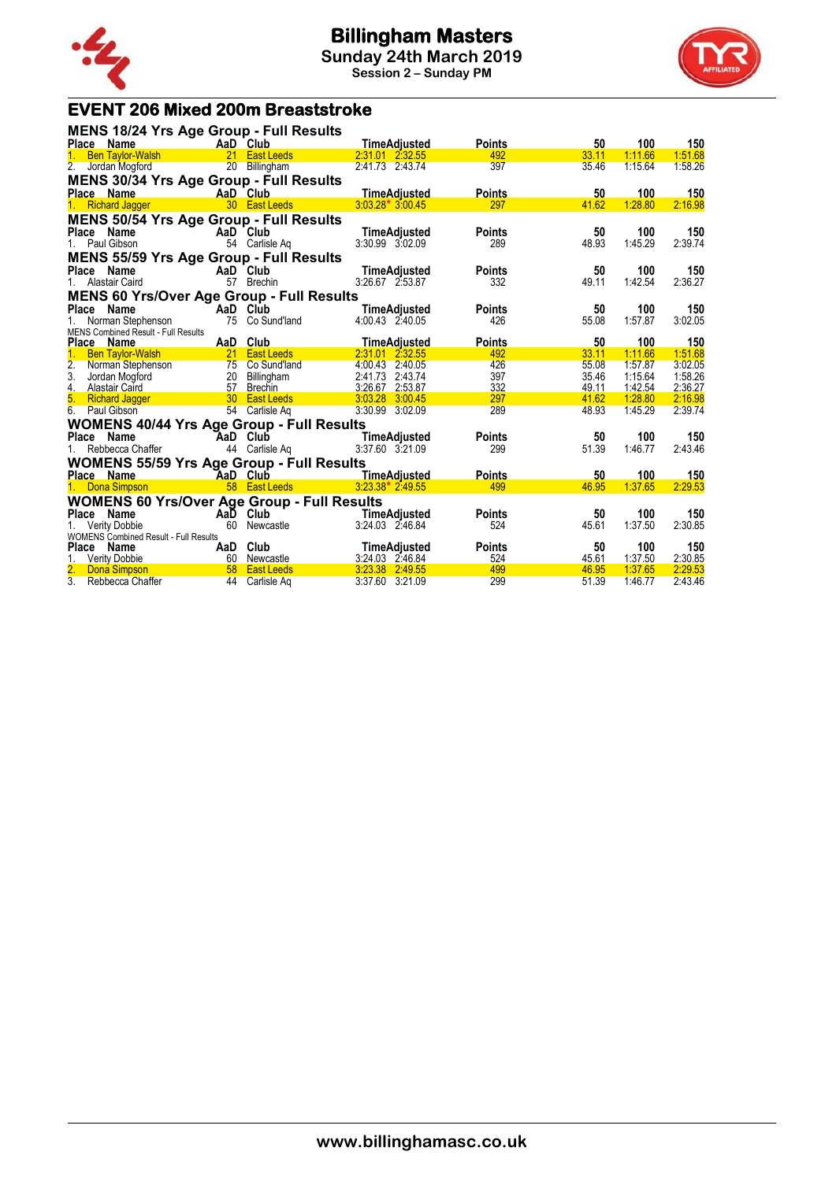



# **EVENT 206 Mixed 200m Breaststroke**

| MENS 18/24 Yrs Age Group - Full Results                                                                                                                                                                                                                                   |          |                                                                                                                       |                     |               |       |         |         |
|---------------------------------------------------------------------------------------------------------------------------------------------------------------------------------------------------------------------------------------------------------------------------|----------|-----------------------------------------------------------------------------------------------------------------------|---------------------|---------------|-------|---------|---------|
| Place Name<br><b>Example 2</b> AaD Club                                                                                                                                                                                                                                   |          |                                                                                                                       | TimeAdjusted        | <b>Points</b> | 50    | 100     | 150     |
| Ben Taylor-Walsh <b>21</b> East Leeds<br>1 <sub>1</sub>                                                                                                                                                                                                                   |          | <b>Contract Contract Contract Contract Contract Contract Contract Contract Contract Contract Contract Contract Co</b> | 2:31.01 2:32.55     | 492           | 33.11 | 1:11.66 | 1:51.68 |
| 2.<br>Jordan Mogford                                                                                                                                                                                                                                                      |          | 20 Billingham                                                                                                         | 2:41.73 2:43.74     | 397           | 35.46 | 1:15.64 | 1:58.26 |
| MENS 30/34 Yrs Age Group - Full Results                                                                                                                                                                                                                                   |          |                                                                                                                       |                     |               |       |         |         |
| Place Name<br>$\mathcal{L}(\mathcal{L}^{\mathcal{L}})$ and $\mathcal{L}^{\mathcal{L}}$ are the set of the set of the set of the set of the set of the set of the set of the set of the set of the set of the set of the set of the set of the set of the set of the set o |          | AaD Club                                                                                                              | <b>TimeAdjusted</b> | <b>Points</b> | 50    | 100     | 150     |
| Richard Jagger 30 East Leeds<br>1 <sup>1</sup>                                                                                                                                                                                                                            |          |                                                                                                                       | $3.03.28*3.00.45$   | 297           | 41.62 | 1:28.80 | 2:16.98 |
| <b>MENS 50/54 Yrs Age Group - Full Results</b>                                                                                                                                                                                                                            |          |                                                                                                                       |                     |               |       |         |         |
| Place Name                                                                                                                                                                                                                                                                |          | AaD Club                                                                                                              | <b>TimeAdjusted</b> | <b>Points</b> | 50    | 100     | 150     |
| 1. Paul Gibson                                                                                                                                                                                                                                                            |          | 54 Carlisle Aq                                                                                                        | 3:30.99 3:02.09     | 289           | 48.93 | 1:45.29 | 2:39.74 |
| <b>MENS 55/59 Yrs Age Group - Full Results</b>                                                                                                                                                                                                                            |          |                                                                                                                       |                     |               |       |         |         |
| Place Name                                                                                                                                                                                                                                                                |          | AaD Club                                                                                                              | TimeAdjusted        | <b>Points</b> | 50    | 100     | 150     |
| 1. Alastair Caird                                                                                                                                                                                                                                                         | 57       | Brechin                                                                                                               | 3:26.67 2:53.87     | 332           | 49.11 | 1:42.54 | 2:36.27 |
| <b>MENS 60 Yrs/Over Age Group - Full Results</b>                                                                                                                                                                                                                          |          |                                                                                                                       |                     |               |       |         |         |
| AaD Club<br>Place<br>Name                                                                                                                                                                                                                                                 |          |                                                                                                                       | <b>TimeAdjusted</b> | <b>Points</b> | 50    | 100     | 150     |
| Norman Stephenson 75 Co Sund'land                                                                                                                                                                                                                                         |          |                                                                                                                       | 4:00.43 2:40.05     | 426           | 55.08 | 1:57.87 | 3:02.05 |
| <b>MENS Combined Result - Full Results</b>                                                                                                                                                                                                                                |          |                                                                                                                       |                     |               |       |         |         |
| Place Name                                                                                                                                                                                                                                                                | AaD Club |                                                                                                                       | <b>TimeAdjusted</b> | <b>Points</b> | 50    | 100     | 150     |
| Ben Taylor-Walsh 21 East Leeds<br>1 <sup>1</sup>                                                                                                                                                                                                                          |          |                                                                                                                       | 2.31.01 2.32.55     | 492           | 33.11 | 1:11.66 | 1:51.68 |
| 2. Norman Stephenson                                                                                                                                                                                                                                                      |          | Form and the Taylor To Sund'land<br>20 Billingham<br>57 Brechin                                                       | 4:00.43 2:40.05     | 426           | 55.08 | 1:57.87 | 3:02.05 |
| 3. Jordan Mogford                                                                                                                                                                                                                                                         |          |                                                                                                                       | 2:41.73 2:43.74     | 397           | 35.46 | 1:15.64 | 1:58.26 |
| 4. Alastair Caird                                                                                                                                                                                                                                                         |          |                                                                                                                       | 3:26.67 2:53.87     | 332           | 49.11 | 1:42.54 | 2:36.27 |
| 5. Richard Jagger 30 East Leeds                                                                                                                                                                                                                                           |          |                                                                                                                       | 3:03.28 3:00.45     | 297           | 41.62 | 1:28.80 | 2:16.98 |
| 6. Paul Gibson                                                                                                                                                                                                                                                            |          | 54 Carlisle Aq                                                                                                        | 3:30.99 3:02.09     | 289           | 48.93 | 1:45.29 | 2:39.74 |
| <b>WOMENS 40/44 Yrs Age Group - Full Results</b>                                                                                                                                                                                                                          |          |                                                                                                                       |                     |               |       |         |         |
| Place Name                                                                                                                                                                                                                                                                |          | AaD Club                                                                                                              | <b>TimeAdjusted</b> | <b>Points</b> | 50    | 100     | 150     |
| 1. Rebbecca Chaffer                                                                                                                                                                                                                                                       |          | 44 Carlisle Aq                                                                                                        | 3:37.60 3:21.09     | 299           | 51.39 | 1:46.77 | 2:43.46 |
| <b>WOMENS 55/59 Yrs Age Group - Full Results</b>                                                                                                                                                                                                                          |          |                                                                                                                       |                     |               |       |         |         |
| <b>Example 20</b> AaD Club<br>Place Name                                                                                                                                                                                                                                  |          |                                                                                                                       | <b>TimeAdiusted</b> | <b>Points</b> | 50    | 100     | 150     |
| 1. Dona Simpson                                                                                                                                                                                                                                                           |          | 58 East Leeds                                                                                                         | 3:23.38* 2.49.55    | 499           | 46.95 | 1:37.65 | 2:29.53 |
| <b>WOMENS 60 Yrs/Over Age Group - Full Results</b>                                                                                                                                                                                                                        |          |                                                                                                                       |                     |               |       |         |         |
| Place Name                                                                                                                                                                                                                                                                |          | AaD Club                                                                                                              | <b>TimeAdjusted</b> | <b>Points</b> | 50    | 100     | 150     |
| <b>Verity Dobbie</b>                                                                                                                                                                                                                                                      |          | 60 Newcastle                                                                                                          | 3:24.03 2.46.84     | 524           | 45.61 | 1:37.50 | 2:30.85 |
| <b>WOMENS Combined Result - Full Results</b>                                                                                                                                                                                                                              |          |                                                                                                                       |                     |               |       |         |         |
| Place Name                                                                                                                                                                                                                                                                |          | AaD Club                                                                                                              | TimeAdjusted        | <b>Points</b> | 50    | 100     | 150     |
| 1. Verity Dobbie<br>2. Dona Simpson<br>3. Bebboog Cheffer<br>1. Bebboog Cheffer                                                                                                                                                                                           |          |                                                                                                                       | 3:24.03 2.46.84     | 524           | 45.61 | 1:37.50 | 2:30.85 |
|                                                                                                                                                                                                                                                                           |          |                                                                                                                       | 3.23.38 2.49.55     | 499           | 46.95 | 1:37.65 | 2:29.53 |
| 3. Rebbecca Chaffer                                                                                                                                                                                                                                                       |          | 44 Carlisle Aq                                                                                                        | 3:37.60 3:21.09     | 299           | 51.39 | 1:46.77 | 2:43.46 |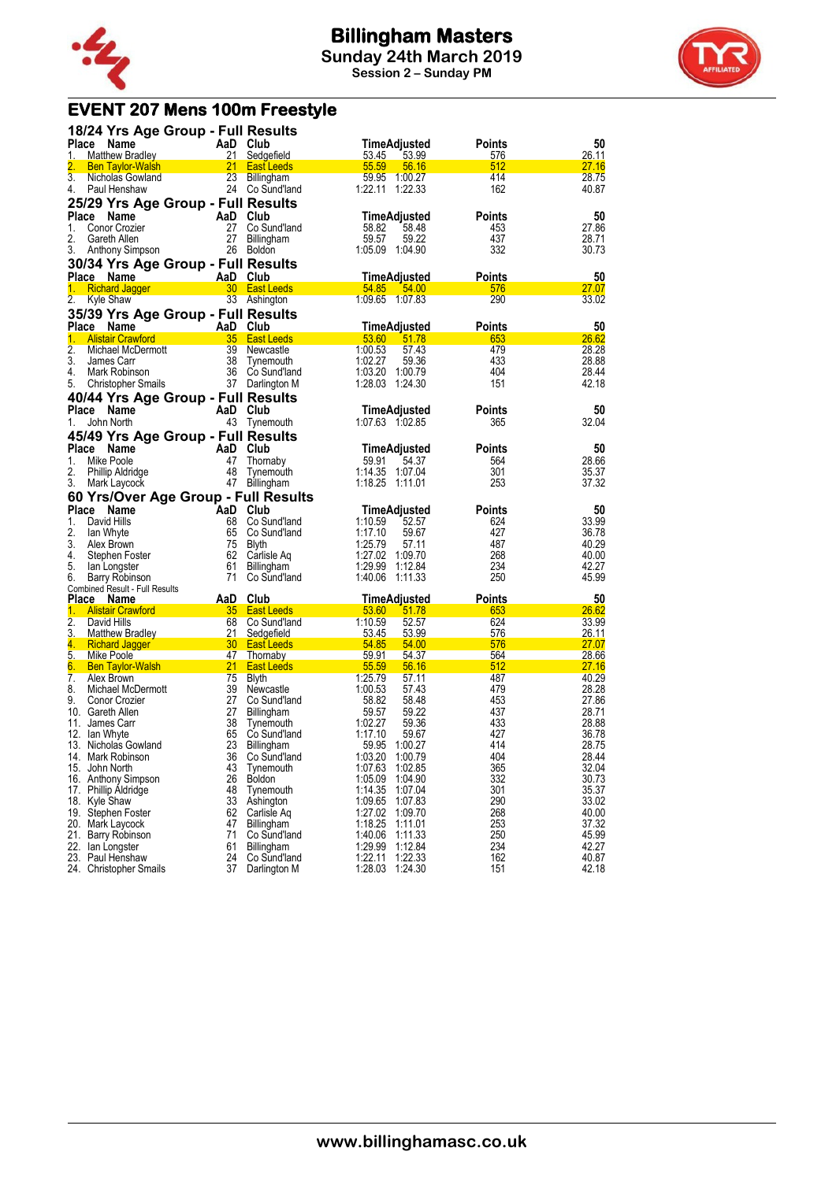



# **EVENT 207 Mens 100m Freestyle**

| 18/24 Yrs Age Group - Full Results                 |                 |                            |                                          |               |                |
|----------------------------------------------------|-----------------|----------------------------|------------------------------------------|---------------|----------------|
| Place<br>Name<br>1.<br><b>Matthew Bradley</b>      | 21              | AaD Club<br>Sedgefield     | <b>TimeAdjusted</b><br>53.45<br>53.99    | Points<br>576 | 50<br>26.11    |
| 2.<br><b>Ben Taylor-Walsh</b>                      | 21              | <b>East Leeds</b>          | 55.59<br>56.16                           | 512           | 27.16          |
| $\overline{3}$ .<br>Nicholas Gowland               | 23              | <b>Billingham</b>          | 59.95<br>1:00.27                         | 414           | 28.75          |
| 4.<br>Paul Henshaw                                 |                 | 24 Co Sund'land            | 1:22.11<br>1:22.33                       | 162           | 40.87          |
| 25/29 Yrs Age Group - Full Results                 |                 |                            |                                          |               |                |
| Place<br>Name                                      | AaD             | Club                       | TimeAdjusted                             | Points        | 50             |
| 1.<br>Conor Crozier                                | 27              | Co Sund'land               | 58.82<br>58.48                           | 453           | 27.86          |
| 2.<br>Gareth Allen                                 | 27              | Billingham                 | 59.57<br>59.22                           | 437           | 28.71          |
| 3.<br>Anthony Simpson                              | 26              | <b>Boldon</b>              | 1:05.09<br>1:04.90                       | 332           | 30.73          |
| 30/34 Yrs Age Group - Full Results                 |                 |                            |                                          |               |                |
| Place Name                                         |                 | AaD Club                   | TimeAdjusted                             | Points        | 50             |
| <b>Richard Jagger</b><br>1.                        |                 | 30 East Leeds              | 54.85<br>54.00                           | 576           | 27.07          |
| 2.<br>Kyle Shaw                                    |                 | 33 Ashington               | 1:09.65 1:07.83                          | 290           | 33.02          |
| 35/39 Yrs Age Group - Full Results                 |                 |                            |                                          |               |                |
| Place Name                                         |                 | AaD Club                   | <b>TimeAdjusted</b>                      | Points        | 50             |
| <b>Alistair Crawford</b><br>1.                     | 35 <sub>2</sub> | <b>East Leeds</b>          | 53.60<br>51.78                           | 653           | 26.62          |
| 2.<br>Michael McDermott                            | 39              | Newcastle                  | 1:00.53<br>57.43                         | 479           | 28.28          |
| 3.<br>James Carr                                   | 38              | Tynemouth                  | 1:02.27<br>59.36                         | 433           | 28.88          |
| 4.<br>Mark Robinson                                | 36              | Co Sund'Iand               | 1:03.20<br>1:00.79                       | 404           | 28.44          |
| 5.<br><b>Christopher Smails</b>                    |                 | 37 Darlington M            | 1:28.03<br>1:24.30                       | 151           | 42.18          |
| 40/44 Yrs Age Group - Full Results                 |                 |                            |                                          |               |                |
| Place Name                                         |                 | AaD Club                   | <b>TimeAdjusted</b>                      | <b>Points</b> | 50             |
| John North<br>1.                                   | 43              | Tynemouth                  | 1:07.63 1:02.85                          | 365           | 32.04          |
| 45/49 Yrs Age Group - Full Results                 |                 |                            |                                          |               |                |
| <b>Place</b><br>Name                               | AaD             | Club                       |                                          | Points        | 50             |
| 1.<br>Mike Poole                                   | 47              |                            | TimeAdjusted<br>59.91<br>54.37           | 564           | 28.66          |
| 2.<br>Phillip Aldridge                             | 48              | Thornaby<br>Tynemouth      | 1:14.35<br>1:07.04                       | 301           | 35.37          |
| 3.<br>Mark Laycock                                 | 47              | Billingham                 | 1:18.25<br>1:11.01                       | 253           | 37.32          |
| 60 Yrs/Over Age Group - Full Results               |                 |                            |                                          |               |                |
| Place Name                                         |                 | AaD Club                   | <b>TimeAdjusted</b>                      | Points        | 50             |
| 1.<br>David Hills                                  | 68              | Co Sund'land               | 1:10.59<br>52.57                         | 624           | 33.99          |
| 2.<br>lan Whyte                                    | 65              | Co Sund'land               | 1:17.10<br>59.67                         | 427           | 36.78          |
| 3.<br>Alex Brown                                   | 75              | Blyth                      | 1:25.79<br>57.11                         | 487           | 40.29          |
| 4.<br>Stephen Foster                               | 62              | Carlisle Aq                | 1:27.02<br>1:09.70                       | 268           | 40.00          |
| 5.<br>lan Longster                                 | 61              | Billingham                 | 1:29.99<br>1:12.84                       | 234           | 42.27          |
| 6.<br>Barry Robinson                               | 71              | Co Sund'land               | 1:40.06<br>1.11.33                       | 250           | 45.99          |
| Combined Result - Full Results                     |                 |                            |                                          |               |                |
| Place Name                                         | AaD             | Club                       | TimeAdjusted                             | Points        | 50             |
| 1.<br><b>Alistair Crawford</b><br>$\overline{2}$ . | 35<br>68        | <b>East Leeds</b>          | 53.60<br>51.78<br>1:10.59                | 653<br>624    | 26.62          |
| David Hills<br>3.<br><b>Matthew Bradley</b>        | 21              | Co Sund'land<br>Sedgefield | 52.57<br>53.45<br>53.99                  | 576           | 33.99<br>26.11 |
| 4.<br><b>Richard Jagger</b>                        | 30 <sub>2</sub> | <b>East Leeds</b>          | 54.85<br>54.00                           | 576           | <u> 27.07</u>  |
| 5.<br>Mike Poole                                   |                 | 47 Thornaby                | 59.91<br>54.37                           | 564           | <u>28.66</u>   |
| 6.<br><b>Ben Taylor-Walsh</b>                      | 21              | <b>East Leeds</b>          | 55.59<br>56.16                           | 512           | 27.16          |
| 7.<br>Alex Brown                                   | 75              | Blyth                      | 1:25.79<br>57.11                         | 487           | 40.29          |
| 8.<br>Michael McDermott                            | 39              | Newcastle                  | 1:00.53<br>57.43                         | 479           | 28.28          |
| 9.<br>Conor Crozier                                | 27              | Co Sund'land               | 58.82<br>58.48                           | 453           | 27.86          |
| 10. Gareth Allen                                   | 27              | Billingham                 | 59.57<br>59.22                           | 437           | 28.71          |
| 11.<br>James Carr                                  | 38              | Tynemouth                  | 1:02.27<br>59.36                         | 433           | 28.88          |
| 12. Ian Whyte                                      | 65              | Co Sund'land               | 1:17.10<br>59.67                         | 427           | 36.78          |
| 13. Nicholas Gowland                               | 23              | Billingham                 | 59.95<br>1:00.27                         | 414           | 28.75          |
| 14. Mark Robinson                                  | 36              | Co Sund'land               | 1:03.20<br>1:00.79                       | 404           | 28.44          |
| 15. John North<br>16. Anthony Simpson              | 43<br>26        | Tynemouth                  | 1:07.63<br>1:02.85<br>1:05.09<br>1:04.90 | 365<br>332    | 32.04<br>30.73 |
| 17. Phillip Aldridge                               | 48              | <b>Boldon</b><br>Tynemouth | 1:14.35<br>1:07.04                       | 301           | 35.37          |
| 18. Kyle Shaw                                      | 33              | Ashington                  | 1:09.65<br>1:07.83                       | 290           | 33.02          |
| 19. Stephen Foster                                 | 62              | Carlisle Aq                | 1:27.02<br>1:09.70                       | 268           | 40.00          |
| 20. Mark Laycock                                   | 47              | Billingham                 | 1:18.25<br>1:11.01                       | 253           | 37.32          |
| 21. Barry Robinson                                 | 71              | Co Sund'land               | 1:40.06<br>1:11.33                       | 250           | 45.99          |
| 22. Ian Longster                                   | 61              | Billingham                 | 1:29.99<br>1:12.84                       | 234           | 42.27          |
| 23. Paul Henshaw                                   | 24              | Co Sund'land               | 1:22.11<br>1:22.33                       | 162           | 40.87          |
| 24. Christopher Smails                             | 37              | Darlington M               | 1:28.03<br>1:24.30                       | 151           | 42.18          |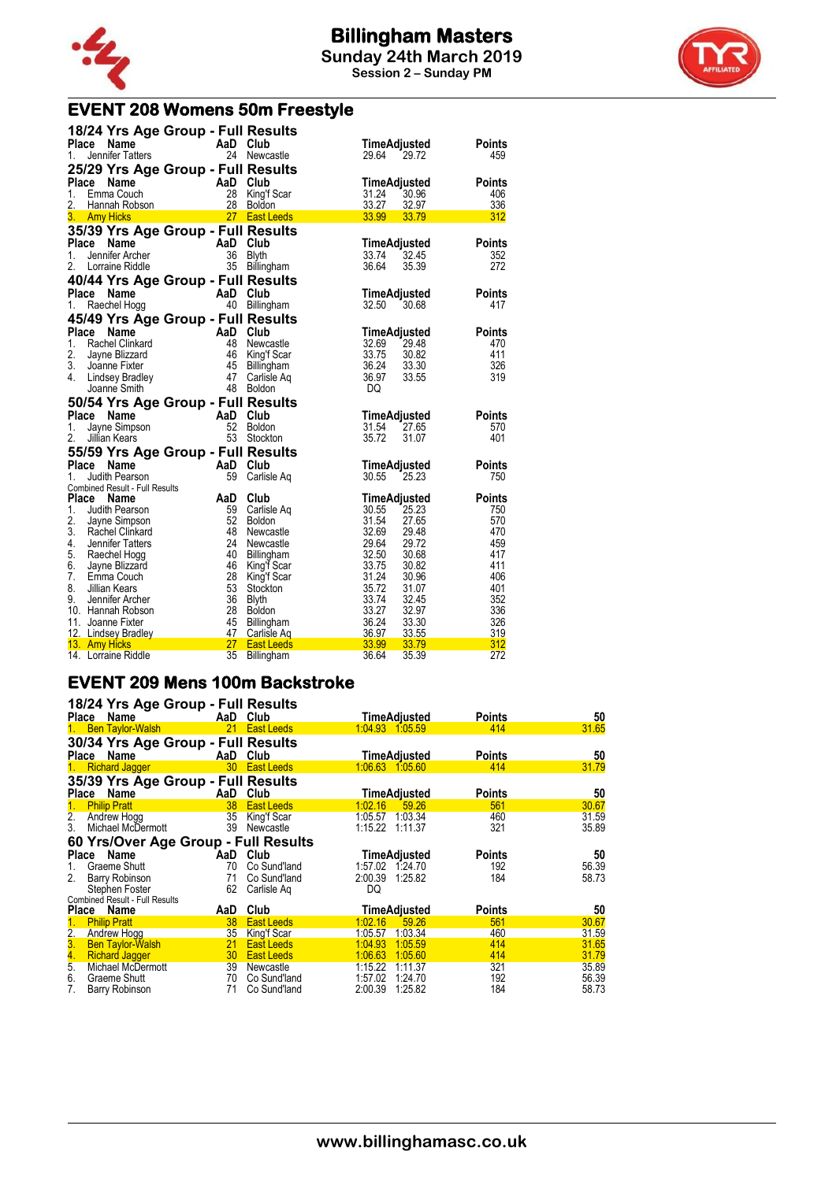

# **EVENT 208 Womens 50m Freestyle**

| 18/24 Yrs Age Group - Full Results                     |                                              |                                  |               |
|--------------------------------------------------------|----------------------------------------------|----------------------------------|---------------|
| Place<br>Name                                          | AaD Club                                     | TimeAdjusted                     | <b>Points</b> |
| Jennifer Tatters<br>1.                                 | 24 Newcastle                                 | 29.64<br>29.72                   | 459           |
| 25/29 Yrs Age Group - Full Results                     |                                              |                                  |               |
| Place Name                                             | AaD Club                                     | TimeAdjusted                     | <b>Points</b> |
| 1.<br>Emma Couch                                       | 28<br>King'f Scar                            | 31.24<br>30.96                   | 406           |
| 2.<br>Hannah Robson                                    | 28 Boldon                                    | 33.27<br>32.97                   | 336           |
| 3. Amy Hicks                                           | 27 East Leeds                                | 33.99<br>33.79                   | 312           |
| 35/39 Yrs Age Group - Full Results                     |                                              |                                  |               |
| Place<br>Name                                          | AaD Club                                     | TimeAdjusted                     | <b>Points</b> |
| 1.<br>Jennifer Archer                                  | 36<br>Blyth                                  | 33.74<br>32.45                   | 352           |
| 2.<br>Lorraine Riddle                                  | 35 Billingham                                | 36.64<br>35.39                   | 272           |
| 40/44 Yrs Age Group - Full Results                     |                                              |                                  |               |
| Place<br>Name                                          | AaD Club                                     | TimeAdjusted                     | <b>Points</b> |
| 1.<br>Raechel Hogg                                     | 40 Billingham                                | 32.50<br>30.68                   | 417           |
| 45/49 Yrs Age Group - Full Results                     |                                              |                                  |               |
| Place Name                                             | AaD Club                                     | TimeAdjusted                     | <b>Points</b> |
| 1.<br>Rachel Clinkard                                  | 48<br>Newcastle                              | 32.69<br>29.48                   | 470           |
| 2.<br>Jayne Blizzard                                   | 46<br>King'f Scar                            | 33.75<br>30.82                   | 411           |
| 3. Joanne Fixter                                       | 45<br>Billingham                             | 36.24<br>33.30                   | 326           |
| 4.<br>Lindsey Bradley                                  | 47<br>Carlisle Ag<br>48 Boldon               | 36.97<br>33.55<br>DQ.            | 319           |
| Joanne Smith                                           |                                              |                                  |               |
| 50/54 Yrs Age Group - Full Results                     |                                              |                                  |               |
| Place<br>Name                                          | AaD Club                                     | TimeAdjusted                     | <b>Points</b> |
| 1.<br>Jayne Simpson<br>2.<br>Jillian Kears             | 52<br><b>Boldon</b><br>53 Stockton           | 31.54<br>27.65<br>35.72<br>31.07 | 570<br>401    |
|                                                        |                                              |                                  |               |
| 55/59 Yrs Age Group - Full Results                     |                                              |                                  |               |
| Place<br>Name                                          | AaD<br>Club<br>59                            | <b>TimeAdjusted</b>              | <b>Points</b> |
| 1.<br>Judith Pearson<br>Combined Result - Full Results | Carlisle Aq                                  | 30.55<br>25.23                   | 750           |
| Place Name                                             | AaD<br>Club                                  | <b>TimeAdjusted</b>              | <b>Points</b> |
| 1. Judith Pearson                                      | 59<br>Carlisle Aq                            | 30.55<br>25.23                   | 750           |
| 2.<br>Jayne Simpson                                    | 52<br><b>Boldon</b>                          | 31.54<br>27.65                   | 570           |
| 3. Rachel Clinkard                                     | 48<br>Newcastle                              | 32.69<br>29.48                   | 470           |
| 4.<br>Jennifer Tatters                                 | 24<br>Newcastle                              | 29.64<br>29.72                   | 459           |
| 5. Raechel Hogg                                        | 40<br>Billingham                             | 32.50<br>30.68                   | 417           |
| 6. Jayne Blizzard                                      | 46<br>King'f Scar                            | 33.75<br>30.82                   | 411           |
| 7.<br>Emma Couch                                       | 28<br>King'f Scar                            | 31.24<br>30.96                   | 406           |
|                                                        |                                              |                                  |               |
| 8. Jillian Kears                                       | 53<br>Stockton                               | 35.72<br>31.07                   | 401           |
| 9.<br>Jennifer Archer                                  | 36<br><b>Blyth</b>                           | 33.74<br>32.45                   | 352           |
| 10. Hannah Robson                                      | 28<br>Boldon                                 | 33.27<br>32.97                   | 336           |
| 11. Joanne Fixter                                      | 45<br>Billingham                             | 36.24<br>33.30                   | 326           |
| 12. Lindsey Bradley<br>13. Amy Hicks                   | 47<br>Carlisle Aq<br>27<br><b>East Leeds</b> | 36.97<br>33.55<br>33.99<br>33.79 | 319<br>312    |

#### **EVENT 209 Mens 100m Backstroke**

|                        | 18/24 Yrs Age Group - Full Results               |                 |                          |         |                            |               |                |
|------------------------|--------------------------------------------------|-----------------|--------------------------|---------|----------------------------|---------------|----------------|
|                        | Place Name                                       |                 | AaD Club                 |         | <b>TimeAdjusted</b>        | <b>Points</b> | 50             |
| 1.                     | <b>Ben Taylor-Walsh</b>                          |                 | 21 East Leeds            |         | 1:04.93 1:05.59            | 414           | 31.65          |
|                        | 30/34 Yrs Age Group - Full Results<br>Place Name | AaD             | Club                     |         | TimeAdjusted               | <b>Points</b> | 50             |
| 1.                     | <b>Richard Jagger</b>                            |                 | 30 East Leeds            |         | 1:06.63 1:05.60            | 414           | 31.79          |
|                        | 35/39 Yrs Age Group - Full Results<br>Place Name |                 | AaD Club                 |         | <b>TimeAdjusted</b>        | <b>Points</b> | 50             |
| 1.                     | <b>Philip Pratt</b>                              | 38              | <b>East Leeds</b>        | 1:02.16 | 59.26                      | 561           | 30.67          |
| $\overline{2}$ .<br>3. | Andrew Hogg<br>Michael McDermott                 | 35<br>39        | King'f Scar<br>Newcastle | 1:05.57 | 1:03.34<br>1:15.22 1:11.37 | 460<br>321    | 31.59<br>35.89 |
|                        | 60 Yrs/Over Age Group - Full Results             |                 |                          |         |                            |               |                |
| Place                  | Name                                             | AaD             | Club                     |         | TimeAdjusted               | <b>Points</b> | 50             |
| 1.                     | Graeme Shutt                                     | 70              | Co Sund'land             |         | 1:57.02 1:24.70            | 192           | 56.39          |
| 2.                     | Barry Robinson                                   | 71              | Co Sund'land             | 2:00.39 | 1:25.82                    | 184           | 58.73          |
|                        | Stephen Foster                                   | 62              | Carlisle Aq              | DQ      |                            |               |                |
|                        | Combined Result - Full Results                   |                 |                          |         |                            |               |                |
|                        | Place Name                                       | AaD             | Club                     |         | <b>TimeAdjusted</b>        | <b>Points</b> | 50             |
| 1.                     | <b>Philip Pratt</b>                              | 38              | <b>East Leeds</b>        | 1:02.16 | 59.26                      | 561           | 30.67          |
|                        | Andrew Hogg                                      | 35              | <b>King'f Scar</b>       | 1:05.57 | 1.03.34                    | 460           | 31.59          |
|                        | <b>Ben Taylor-Walsh</b>                          | 21              | <b>East Leeds</b>        | 1:04.93 | 1:05.59                    | 414           | 31.65          |
| $\frac{2}{3}$          | <b>Richard Jagger</b>                            | 30 <sub>2</sub> | <b>East Leeds</b>        | 1:06.63 | 1:05.60                    | 414           | 31.79          |
| 5.                     | Michael McDermott                                | 39 <sup>2</sup> | Newcastle                | 1:15.22 | 1:11.37                    | 321           | 35.89          |
| 6.                     | Graeme Shutt                                     | 70              | Co Sund'land             | 1:57.02 | 1.24.70                    | 192           | 56.39          |
| 7.                     | Barry Robinson                                   | 71              | Co Sund'land             | 2:00.39 | 1:25.82                    | 184           | 58.73          |

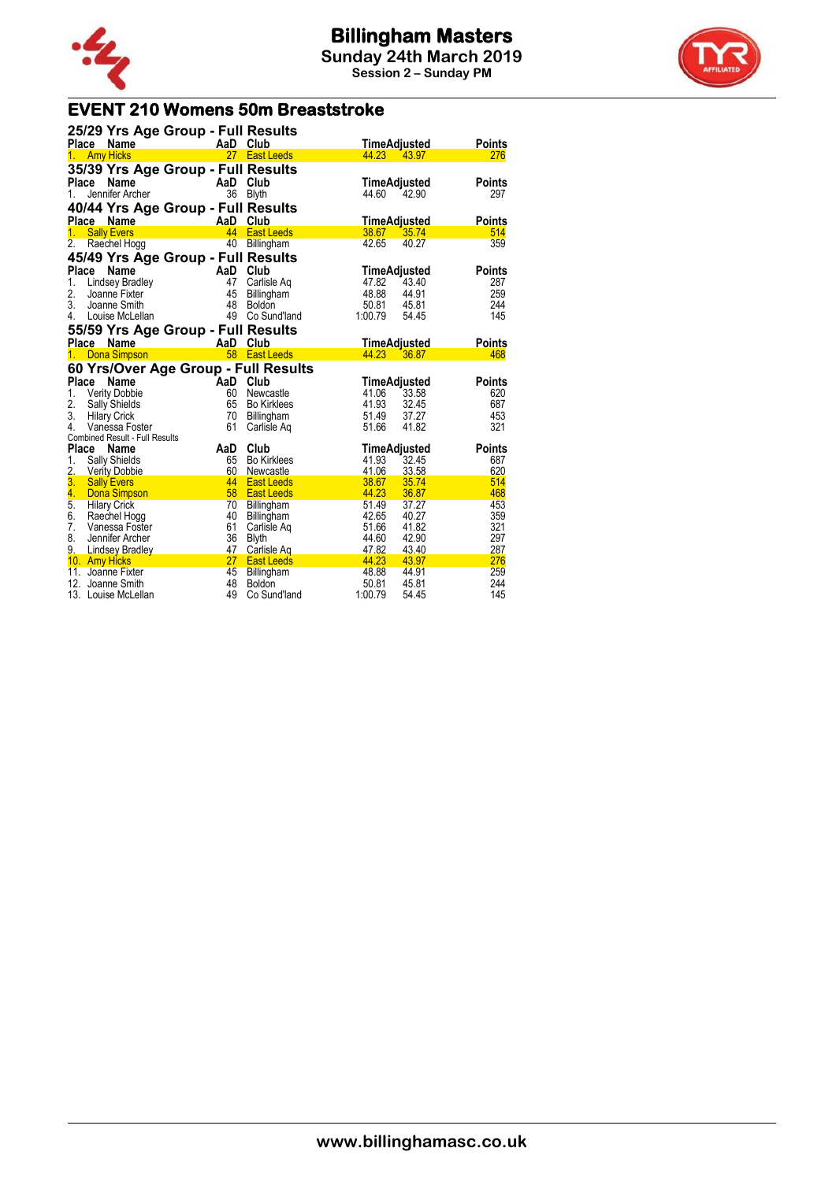



### **EVENT 210 Womens 50m Breaststroke**

| <b>Example 2</b> AaD Club<br><b>Points</b><br>Place Name<br><b>TimeAdjusted</b><br>27 East Leeds<br><b>Amy Hicks</b><br>44.23<br>43.97<br>276<br>$1_{-}$<br>35/39 Yrs Age Group - Full Results<br><b>AaD</b><br>Place<br>Name<br><b>Points</b><br>Club<br>TimeAdjusted<br>36<br>Jennifer Archer<br><b>Blyth</b><br>1.<br>44.60<br>42.90<br>297<br>40/44 Yrs Age Group - Full Results<br>AaD<br><b>Place</b><br>Club<br>Name<br><b>TimeAdjusted</b><br><b>Points</b><br><b>Sally Evers</b><br>44<br><b>East Leeds</b><br>38.67<br>514<br>1.<br>35.74<br>2.<br>359<br>40<br>42.65<br>Raechel Hogg<br>40.27<br>Billingham<br>45/49 Yrs Age Group - Full Results<br><b>Place</b><br>Name<br>AaD<br>Club<br><b>Points</b><br>TimeAdjusted<br>1.<br>47<br>47.82<br>43.40<br><b>Lindsey Bradley</b><br>Carlisle Ag<br>287<br>48.88<br>2.<br>45<br>44.91<br>259<br>Joanne Fixter<br>Billingham<br>3.<br>48<br>50.81<br>45.81<br>244<br>Joanne Smith<br>Boldon<br>49<br>145<br>4.<br>Co Sund'land<br>1:00.79<br>Louise McLellan<br>54.45<br>55/59 Yrs Age Group - Full Results<br>Place Name<br>AaD<br>Club<br>TimeAdjusted<br><b>Points</b><br>58<br>Dona Simpson<br><b>East Leeds</b><br>44.23<br>36.87<br>468<br>1.<br>60 Yrs/Over Age Group - Full Results<br>Place<br>Name<br>Club<br>AaD<br>TimeAdjusted<br><b>Points</b><br>1.<br><b>Verity Dobbie</b><br>60<br>41.06<br>Newcastle<br>33.58<br>620<br>2.<br>41.93<br>Sally Shields<br>65<br>32.45<br>687<br>Bo Kirklees<br>51.49<br>3.<br>70<br>37.27<br>453<br><b>Hilary Crick</b><br>Billingham<br>321<br>4.<br>61<br>51.66<br>41.82<br>Vanessa Foster<br>Carlisle Aq<br><b>Combined Result - Full Results</b><br>Place Name<br>Club<br>AaD<br><b>Points</b><br>TimeAdjusted<br>1.<br>41.93<br>32.45<br><b>Sally Shields</b><br>65<br><b>Bo Kirklees</b><br>687<br>2. Verity Dobbie<br>60<br>41.06<br>33.58<br>620<br>Newcastle<br>3 <sub>1</sub><br>44<br><b>Sally Evers</b><br>38.67<br>35.74<br>514<br><b>East Leeds</b><br>4.<br>58<br>44.23<br>36.87<br>468<br><b>Dona Simpson</b><br><b>East Leeds</b><br>$\overline{5}$ .<br>70<br>51.49<br>37.27<br>453<br><b>Hilary Crick</b><br>Billingham<br>6.<br>Raechel Hogg<br>40<br>42.65<br>40.27<br>359<br>Billingham<br>7.<br>61<br>321<br>Vanessa Foster<br>51.66<br>41.82<br>Carlisle Aq<br>8.<br>36<br>44.60<br>42.90<br>297<br>Jennifer Archer<br><b>Blyth</b><br>9. Lindsey Bradley<br>47<br>47.82<br>43.40<br>287<br>Carlisle Aq<br>27<br>10. Amy Hicks<br>44.23<br>43.97<br>276<br><b>East Leeds</b><br>45<br>48.88<br>259<br>11. Joanne Fixter<br>44.91<br>Billingham<br>48<br>50.81<br>244<br>12.<br>Joanne Smith<br><b>Boldon</b><br>45.81<br>145<br>13. Louise McLellan |  | 25/29 Yrs Age Group - Full Results |              |                  |  |
|---------------------------------------------------------------------------------------------------------------------------------------------------------------------------------------------------------------------------------------------------------------------------------------------------------------------------------------------------------------------------------------------------------------------------------------------------------------------------------------------------------------------------------------------------------------------------------------------------------------------------------------------------------------------------------------------------------------------------------------------------------------------------------------------------------------------------------------------------------------------------------------------------------------------------------------------------------------------------------------------------------------------------------------------------------------------------------------------------------------------------------------------------------------------------------------------------------------------------------------------------------------------------------------------------------------------------------------------------------------------------------------------------------------------------------------------------------------------------------------------------------------------------------------------------------------------------------------------------------------------------------------------------------------------------------------------------------------------------------------------------------------------------------------------------------------------------------------------------------------------------------------------------------------------------------------------------------------------------------------------------------------------------------------------------------------------------------------------------------------------------------------------------------------------------------------------------------------------------------------------------------------------------------------------------------------------------------------------------------------------------------------------------------------------------------------------------------------------------------------------------------------------------------------------------------------------------------------------------------------------------------------------------------------------------------------|--|------------------------------------|--------------|------------------|--|
|                                                                                                                                                                                                                                                                                                                                                                                                                                                                                                                                                                                                                                                                                                                                                                                                                                                                                                                                                                                                                                                                                                                                                                                                                                                                                                                                                                                                                                                                                                                                                                                                                                                                                                                                                                                                                                                                                                                                                                                                                                                                                                                                                                                                                                                                                                                                                                                                                                                                                                                                                                                                                                                                                       |  |                                    |              |                  |  |
|                                                                                                                                                                                                                                                                                                                                                                                                                                                                                                                                                                                                                                                                                                                                                                                                                                                                                                                                                                                                                                                                                                                                                                                                                                                                                                                                                                                                                                                                                                                                                                                                                                                                                                                                                                                                                                                                                                                                                                                                                                                                                                                                                                                                                                                                                                                                                                                                                                                                                                                                                                                                                                                                                       |  |                                    |              |                  |  |
|                                                                                                                                                                                                                                                                                                                                                                                                                                                                                                                                                                                                                                                                                                                                                                                                                                                                                                                                                                                                                                                                                                                                                                                                                                                                                                                                                                                                                                                                                                                                                                                                                                                                                                                                                                                                                                                                                                                                                                                                                                                                                                                                                                                                                                                                                                                                                                                                                                                                                                                                                                                                                                                                                       |  |                                    |              |                  |  |
|                                                                                                                                                                                                                                                                                                                                                                                                                                                                                                                                                                                                                                                                                                                                                                                                                                                                                                                                                                                                                                                                                                                                                                                                                                                                                                                                                                                                                                                                                                                                                                                                                                                                                                                                                                                                                                                                                                                                                                                                                                                                                                                                                                                                                                                                                                                                                                                                                                                                                                                                                                                                                                                                                       |  |                                    |              |                  |  |
|                                                                                                                                                                                                                                                                                                                                                                                                                                                                                                                                                                                                                                                                                                                                                                                                                                                                                                                                                                                                                                                                                                                                                                                                                                                                                                                                                                                                                                                                                                                                                                                                                                                                                                                                                                                                                                                                                                                                                                                                                                                                                                                                                                                                                                                                                                                                                                                                                                                                                                                                                                                                                                                                                       |  |                                    |              |                  |  |
|                                                                                                                                                                                                                                                                                                                                                                                                                                                                                                                                                                                                                                                                                                                                                                                                                                                                                                                                                                                                                                                                                                                                                                                                                                                                                                                                                                                                                                                                                                                                                                                                                                                                                                                                                                                                                                                                                                                                                                                                                                                                                                                                                                                                                                                                                                                                                                                                                                                                                                                                                                                                                                                                                       |  |                                    |              |                  |  |
|                                                                                                                                                                                                                                                                                                                                                                                                                                                                                                                                                                                                                                                                                                                                                                                                                                                                                                                                                                                                                                                                                                                                                                                                                                                                                                                                                                                                                                                                                                                                                                                                                                                                                                                                                                                                                                                                                                                                                                                                                                                                                                                                                                                                                                                                                                                                                                                                                                                                                                                                                                                                                                                                                       |  |                                    |              |                  |  |
|                                                                                                                                                                                                                                                                                                                                                                                                                                                                                                                                                                                                                                                                                                                                                                                                                                                                                                                                                                                                                                                                                                                                                                                                                                                                                                                                                                                                                                                                                                                                                                                                                                                                                                                                                                                                                                                                                                                                                                                                                                                                                                                                                                                                                                                                                                                                                                                                                                                                                                                                                                                                                                                                                       |  |                                    |              |                  |  |
|                                                                                                                                                                                                                                                                                                                                                                                                                                                                                                                                                                                                                                                                                                                                                                                                                                                                                                                                                                                                                                                                                                                                                                                                                                                                                                                                                                                                                                                                                                                                                                                                                                                                                                                                                                                                                                                                                                                                                                                                                                                                                                                                                                                                                                                                                                                                                                                                                                                                                                                                                                                                                                                                                       |  |                                    |              |                  |  |
|                                                                                                                                                                                                                                                                                                                                                                                                                                                                                                                                                                                                                                                                                                                                                                                                                                                                                                                                                                                                                                                                                                                                                                                                                                                                                                                                                                                                                                                                                                                                                                                                                                                                                                                                                                                                                                                                                                                                                                                                                                                                                                                                                                                                                                                                                                                                                                                                                                                                                                                                                                                                                                                                                       |  |                                    |              |                  |  |
|                                                                                                                                                                                                                                                                                                                                                                                                                                                                                                                                                                                                                                                                                                                                                                                                                                                                                                                                                                                                                                                                                                                                                                                                                                                                                                                                                                                                                                                                                                                                                                                                                                                                                                                                                                                                                                                                                                                                                                                                                                                                                                                                                                                                                                                                                                                                                                                                                                                                                                                                                                                                                                                                                       |  |                                    |              |                  |  |
|                                                                                                                                                                                                                                                                                                                                                                                                                                                                                                                                                                                                                                                                                                                                                                                                                                                                                                                                                                                                                                                                                                                                                                                                                                                                                                                                                                                                                                                                                                                                                                                                                                                                                                                                                                                                                                                                                                                                                                                                                                                                                                                                                                                                                                                                                                                                                                                                                                                                                                                                                                                                                                                                                       |  |                                    |              |                  |  |
|                                                                                                                                                                                                                                                                                                                                                                                                                                                                                                                                                                                                                                                                                                                                                                                                                                                                                                                                                                                                                                                                                                                                                                                                                                                                                                                                                                                                                                                                                                                                                                                                                                                                                                                                                                                                                                                                                                                                                                                                                                                                                                                                                                                                                                                                                                                                                                                                                                                                                                                                                                                                                                                                                       |  |                                    |              |                  |  |
|                                                                                                                                                                                                                                                                                                                                                                                                                                                                                                                                                                                                                                                                                                                                                                                                                                                                                                                                                                                                                                                                                                                                                                                                                                                                                                                                                                                                                                                                                                                                                                                                                                                                                                                                                                                                                                                                                                                                                                                                                                                                                                                                                                                                                                                                                                                                                                                                                                                                                                                                                                                                                                                                                       |  |                                    |              |                  |  |
|                                                                                                                                                                                                                                                                                                                                                                                                                                                                                                                                                                                                                                                                                                                                                                                                                                                                                                                                                                                                                                                                                                                                                                                                                                                                                                                                                                                                                                                                                                                                                                                                                                                                                                                                                                                                                                                                                                                                                                                                                                                                                                                                                                                                                                                                                                                                                                                                                                                                                                                                                                                                                                                                                       |  |                                    |              |                  |  |
|                                                                                                                                                                                                                                                                                                                                                                                                                                                                                                                                                                                                                                                                                                                                                                                                                                                                                                                                                                                                                                                                                                                                                                                                                                                                                                                                                                                                                                                                                                                                                                                                                                                                                                                                                                                                                                                                                                                                                                                                                                                                                                                                                                                                                                                                                                                                                                                                                                                                                                                                                                                                                                                                                       |  |                                    |              |                  |  |
|                                                                                                                                                                                                                                                                                                                                                                                                                                                                                                                                                                                                                                                                                                                                                                                                                                                                                                                                                                                                                                                                                                                                                                                                                                                                                                                                                                                                                                                                                                                                                                                                                                                                                                                                                                                                                                                                                                                                                                                                                                                                                                                                                                                                                                                                                                                                                                                                                                                                                                                                                                                                                                                                                       |  |                                    |              |                  |  |
|                                                                                                                                                                                                                                                                                                                                                                                                                                                                                                                                                                                                                                                                                                                                                                                                                                                                                                                                                                                                                                                                                                                                                                                                                                                                                                                                                                                                                                                                                                                                                                                                                                                                                                                                                                                                                                                                                                                                                                                                                                                                                                                                                                                                                                                                                                                                                                                                                                                                                                                                                                                                                                                                                       |  |                                    |              |                  |  |
|                                                                                                                                                                                                                                                                                                                                                                                                                                                                                                                                                                                                                                                                                                                                                                                                                                                                                                                                                                                                                                                                                                                                                                                                                                                                                                                                                                                                                                                                                                                                                                                                                                                                                                                                                                                                                                                                                                                                                                                                                                                                                                                                                                                                                                                                                                                                                                                                                                                                                                                                                                                                                                                                                       |  |                                    |              |                  |  |
|                                                                                                                                                                                                                                                                                                                                                                                                                                                                                                                                                                                                                                                                                                                                                                                                                                                                                                                                                                                                                                                                                                                                                                                                                                                                                                                                                                                                                                                                                                                                                                                                                                                                                                                                                                                                                                                                                                                                                                                                                                                                                                                                                                                                                                                                                                                                                                                                                                                                                                                                                                                                                                                                                       |  |                                    |              |                  |  |
|                                                                                                                                                                                                                                                                                                                                                                                                                                                                                                                                                                                                                                                                                                                                                                                                                                                                                                                                                                                                                                                                                                                                                                                                                                                                                                                                                                                                                                                                                                                                                                                                                                                                                                                                                                                                                                                                                                                                                                                                                                                                                                                                                                                                                                                                                                                                                                                                                                                                                                                                                                                                                                                                                       |  |                                    |              |                  |  |
|                                                                                                                                                                                                                                                                                                                                                                                                                                                                                                                                                                                                                                                                                                                                                                                                                                                                                                                                                                                                                                                                                                                                                                                                                                                                                                                                                                                                                                                                                                                                                                                                                                                                                                                                                                                                                                                                                                                                                                                                                                                                                                                                                                                                                                                                                                                                                                                                                                                                                                                                                                                                                                                                                       |  |                                    |              |                  |  |
|                                                                                                                                                                                                                                                                                                                                                                                                                                                                                                                                                                                                                                                                                                                                                                                                                                                                                                                                                                                                                                                                                                                                                                                                                                                                                                                                                                                                                                                                                                                                                                                                                                                                                                                                                                                                                                                                                                                                                                                                                                                                                                                                                                                                                                                                                                                                                                                                                                                                                                                                                                                                                                                                                       |  |                                    |              |                  |  |
|                                                                                                                                                                                                                                                                                                                                                                                                                                                                                                                                                                                                                                                                                                                                                                                                                                                                                                                                                                                                                                                                                                                                                                                                                                                                                                                                                                                                                                                                                                                                                                                                                                                                                                                                                                                                                                                                                                                                                                                                                                                                                                                                                                                                                                                                                                                                                                                                                                                                                                                                                                                                                                                                                       |  |                                    |              |                  |  |
|                                                                                                                                                                                                                                                                                                                                                                                                                                                                                                                                                                                                                                                                                                                                                                                                                                                                                                                                                                                                                                                                                                                                                                                                                                                                                                                                                                                                                                                                                                                                                                                                                                                                                                                                                                                                                                                                                                                                                                                                                                                                                                                                                                                                                                                                                                                                                                                                                                                                                                                                                                                                                                                                                       |  |                                    |              |                  |  |
|                                                                                                                                                                                                                                                                                                                                                                                                                                                                                                                                                                                                                                                                                                                                                                                                                                                                                                                                                                                                                                                                                                                                                                                                                                                                                                                                                                                                                                                                                                                                                                                                                                                                                                                                                                                                                                                                                                                                                                                                                                                                                                                                                                                                                                                                                                                                                                                                                                                                                                                                                                                                                                                                                       |  |                                    |              |                  |  |
|                                                                                                                                                                                                                                                                                                                                                                                                                                                                                                                                                                                                                                                                                                                                                                                                                                                                                                                                                                                                                                                                                                                                                                                                                                                                                                                                                                                                                                                                                                                                                                                                                                                                                                                                                                                                                                                                                                                                                                                                                                                                                                                                                                                                                                                                                                                                                                                                                                                                                                                                                                                                                                                                                       |  |                                    |              |                  |  |
|                                                                                                                                                                                                                                                                                                                                                                                                                                                                                                                                                                                                                                                                                                                                                                                                                                                                                                                                                                                                                                                                                                                                                                                                                                                                                                                                                                                                                                                                                                                                                                                                                                                                                                                                                                                                                                                                                                                                                                                                                                                                                                                                                                                                                                                                                                                                                                                                                                                                                                                                                                                                                                                                                       |  |                                    |              |                  |  |
|                                                                                                                                                                                                                                                                                                                                                                                                                                                                                                                                                                                                                                                                                                                                                                                                                                                                                                                                                                                                                                                                                                                                                                                                                                                                                                                                                                                                                                                                                                                                                                                                                                                                                                                                                                                                                                                                                                                                                                                                                                                                                                                                                                                                                                                                                                                                                                                                                                                                                                                                                                                                                                                                                       |  |                                    |              |                  |  |
|                                                                                                                                                                                                                                                                                                                                                                                                                                                                                                                                                                                                                                                                                                                                                                                                                                                                                                                                                                                                                                                                                                                                                                                                                                                                                                                                                                                                                                                                                                                                                                                                                                                                                                                                                                                                                                                                                                                                                                                                                                                                                                                                                                                                                                                                                                                                                                                                                                                                                                                                                                                                                                                                                       |  |                                    |              |                  |  |
|                                                                                                                                                                                                                                                                                                                                                                                                                                                                                                                                                                                                                                                                                                                                                                                                                                                                                                                                                                                                                                                                                                                                                                                                                                                                                                                                                                                                                                                                                                                                                                                                                                                                                                                                                                                                                                                                                                                                                                                                                                                                                                                                                                                                                                                                                                                                                                                                                                                                                                                                                                                                                                                                                       |  |                                    |              |                  |  |
|                                                                                                                                                                                                                                                                                                                                                                                                                                                                                                                                                                                                                                                                                                                                                                                                                                                                                                                                                                                                                                                                                                                                                                                                                                                                                                                                                                                                                                                                                                                                                                                                                                                                                                                                                                                                                                                                                                                                                                                                                                                                                                                                                                                                                                                                                                                                                                                                                                                                                                                                                                                                                                                                                       |  |                                    |              |                  |  |
|                                                                                                                                                                                                                                                                                                                                                                                                                                                                                                                                                                                                                                                                                                                                                                                                                                                                                                                                                                                                                                                                                                                                                                                                                                                                                                                                                                                                                                                                                                                                                                                                                                                                                                                                                                                                                                                                                                                                                                                                                                                                                                                                                                                                                                                                                                                                                                                                                                                                                                                                                                                                                                                                                       |  |                                    |              |                  |  |
|                                                                                                                                                                                                                                                                                                                                                                                                                                                                                                                                                                                                                                                                                                                                                                                                                                                                                                                                                                                                                                                                                                                                                                                                                                                                                                                                                                                                                                                                                                                                                                                                                                                                                                                                                                                                                                                                                                                                                                                                                                                                                                                                                                                                                                                                                                                                                                                                                                                                                                                                                                                                                                                                                       |  |                                    |              |                  |  |
|                                                                                                                                                                                                                                                                                                                                                                                                                                                                                                                                                                                                                                                                                                                                                                                                                                                                                                                                                                                                                                                                                                                                                                                                                                                                                                                                                                                                                                                                                                                                                                                                                                                                                                                                                                                                                                                                                                                                                                                                                                                                                                                                                                                                                                                                                                                                                                                                                                                                                                                                                                                                                                                                                       |  |                                    |              |                  |  |
|                                                                                                                                                                                                                                                                                                                                                                                                                                                                                                                                                                                                                                                                                                                                                                                                                                                                                                                                                                                                                                                                                                                                                                                                                                                                                                                                                                                                                                                                                                                                                                                                                                                                                                                                                                                                                                                                                                                                                                                                                                                                                                                                                                                                                                                                                                                                                                                                                                                                                                                                                                                                                                                                                       |  | 49                                 | Co Sund'land | 1:00.79<br>54.45 |  |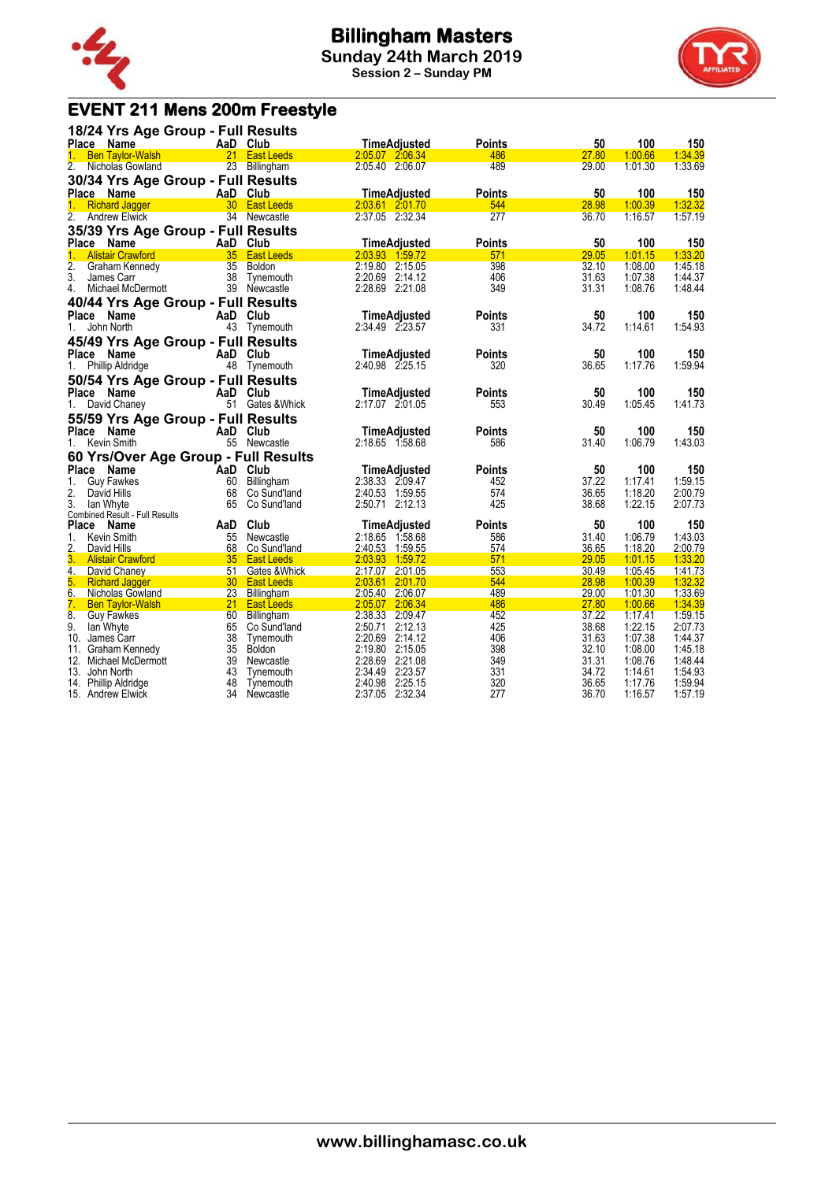

**Session 2 – Sunday PM**



# **EVENT 211 Mens 200m Freestyle**

| 18/24 Yrs Age Group - Full Results          |          |                              |                                 |               |             |                    |                |
|---------------------------------------------|----------|------------------------------|---------------------------------|---------------|-------------|--------------------|----------------|
| Place Name                                  |          | AaD Club                     | <b>TimeAdjusted</b>             | <b>Points</b> | 50          | 100                | 150            |
| $1_{-}$<br><b>Ben Taylor-Walsh</b>          |          | 21 East Leeds                | 2:05.07 2:06.34                 | 486           | 27.80       | 1:00.66            | 1:34.39        |
| 2.<br>Nicholas Gowland                      |          | 23 Billingham                | 2:05.40 2:06.07                 | 489           | 29.00       | 1:01.30            | 1:33.69        |
| 30/34 Yrs Age Group - Full Results          |          |                              |                                 |               |             |                    |                |
| Place Name                                  |          | AaD Club                     | <b>TimeAdjusted</b>             | <b>Points</b> | 50          | 100                | 150            |
| $1_{-}$<br><b>Richard Jagger</b>            |          | 30 East Leeds                | 2:03.61 2:01.70                 | 544           | 28.98       | 1:00.39            | 1:32.32        |
| 2. Andrew Elwick                            |          | 34 Newcastle                 | 2:37.05 2:32.34                 | 277           | 36.70       | 1:16.57            | 1:57.19        |
| 35/39 Yrs Age Group - Full Results          |          |                              |                                 |               |             |                    |                |
| Place Name                                  |          | AaD Club                     | <b>TimeAdjusted</b>             | <b>Points</b> | 50          | 100                | 150            |
| <b>Alistair Crawford</b><br>1 <sup>1</sup>  |          | 35 East Leeds                | 2:03.93 1:59.72                 | 571           | 29.05       | 1:01.15            | 1:33.20        |
| $\overline{2}$ .<br>Graham Kennedy          |          | 35 Boldon                    | 2:19.80 2:15.05                 | 398           | 32.10       | 1:08.00            | 1:45.18        |
| 3.<br>James Carr                            |          | 38 Tynemouth                 | 2:20.69 2:14.12                 | 406           | 31.63       | 1:07.38            | 1:44.37        |
| 4.<br>Michael McDermott                     |          | 39 Newcastle                 | 2:28.69 2:21.08                 | 349           | 31.31       | 1:08.76            | 1:48.44        |
| 40/44 Yrs Age Group - Full Results          |          |                              |                                 |               |             |                    |                |
| <b>Place</b><br>Name                        |          | AaD Club                     | TimeAdjusted                    | <b>Points</b> | 50          | 100                | 150            |
| John North<br>1.                            |          |                              | 2:34.49 2:23.57                 | 331           | 34.72       | 1:14.61            | 1:54.93        |
|                                             |          | 43 Tynemouth                 |                                 |               |             |                    |                |
| 45/49 Yrs Age Group - Full Results          |          |                              |                                 |               |             |                    |                |
| <b>Place</b><br>Name                        |          | AaD Club                     | <b>TimeAdjusted</b>             | <b>Points</b> | 50          | 100                | 150            |
| <b>Phillip Aldridge</b><br>1.               |          | 48 Tynemouth                 | 2:40.98 2:25.15                 | 320           | 36.65       | 1:17.76            | 1:59.94        |
| 50/54 Yrs Age Group - Full Results          |          |                              |                                 |               |             |                    |                |
| <b>Place</b><br>Name                        |          | AaD Club                     | <b>TimeAdjusted</b>             | <b>Points</b> | 50          | 100                | 150            |
| David Chaney<br>1.                          |          | 51 Gates & Whick             | 2:17.07 2:01.05                 | 553           | 30.49       | 1:05.45            | 1:41.73        |
| 55/59 Yrs Age Group - Full Results          |          |                              |                                 |               |             |                    |                |
| <b>Place</b><br>Name                        |          | AaD Club                     | TimeAdjusted                    | <b>Points</b> | 50          | 100                | 150            |
| Kevin Smith<br>1.                           |          | 55 Newcastle                 | 2:18.65 1:58.68                 | 586           | 31.40       | 1:06.79            | 1:43.03        |
|                                             |          |                              |                                 |               |             |                    |                |
| 60 Yrs/Over Age Group - Full Results        |          |                              |                                 |               |             |                    |                |
| Place Name                                  |          | AaD Club                     | TimeAdjusted<br>2:38.33 2:09.47 | <b>Points</b> | 50<br>37.22 | 100                | 150<br>1:59.15 |
| <b>Guy Fawkes</b><br>1.<br>2.               | 60<br>68 | Billingham                   | 2:40.53 1:59.55                 | 452<br>574    | 36.65       | 1:17.41<br>1:18.20 | 2:00.79        |
| David Hills<br>3.<br>lan Whyte              | 65       | Co Sund'land<br>Co Sund'land | 2:50.71 2:12.13                 | 425           | 38.68       | 1:22.15            | 2:07.73        |
| Combined Result - Full Results              |          |                              |                                 |               |             |                    |                |
| Place Name                                  | AaD      | Club                         | <b>TimeAdjusted</b>             | <b>Points</b> | 50          | 100                | 150            |
| 1.<br>Kevin Smith                           |          | 55 Newcastle                 | 2:18.65 1:58.68                 | 586           | 31.40       | 1:06.79            | 1:43.03        |
| 2.<br>David Hills                           | 68       | Co Sund'land                 | 2:40.53 1:59.55                 | 574           | 36.65       | 1:18.20            | 2:00.79        |
| 3.<br><b>Alistair Crawford</b>              |          | 35 East Leeds                | 2:03.93 1:59.72                 | 571           | 29.05       | 1:01.15            | 1:33.20        |
| 4.<br>David Chaney                          | 51       | Gates & Whick                | 2:17.07 2:01.05                 | 553           | 30.49       | 1:05.45            | 1:41.73        |
| 5.<br><b>Richard Jagger</b>                 |          | 30 East Leeds                | 2:03.61 2:01.70                 | 544           | 28.98       | 1:00.39            | 1:32.32        |
| 6.<br>Nicholas Gowland                      | 23       | Billingham                   | 2:05.40 2:06.07                 | 489           | 29.00       | 1:01.30            | 1:33.69        |
| $\overline{7}$ .<br><b>Ben Taylor-Walsh</b> | 21       | <b>East Leeds</b>            | 2:05.07 2:06.34                 | 486           | 27.80       | 1:00.66            | 1:34.39        |
| 8.<br><b>Guy Fawkes</b>                     | 60       | Billingham                   | 2:38.33 2:09.47                 | 452           | 37.22       | 1:17.41            | 1:59.15        |
| 9.<br>lan Whyte                             | 65       | Co Sund'land                 | 2:50.71 2:12.13                 | 425           | 38.68       | 1:22.15            | 2:07.73        |
| 10. James Carr                              | 38       | Tynemouth                    | 2:20.69 2:14.12                 | 406           | 31.63       | 1:07.38            | 1:44.37        |
| 11.<br>Graham Kennedy                       | 35       | <b>Boldon</b>                | 2:19.80 2:15.05                 | 398           | 32.10       | 1:08.00            | 1:45.18        |
| 12. Michael McDermott                       | 39       | Newcastle                    | 2:28.69 2:21.08                 | 349           | 31.31       | 1:08.76            | 1:48.44        |
| 13.<br>John North                           | 43       | Tynemouth                    | 2:34.49 2:23.57                 | 331           | 34.72       | 1:14.61            | 1:54.93        |
| 14. Phillip Aldridge                        | 48       | Tynemouth                    | 2:40.98 2:25.15                 | 320           | 36.65       | 1:17.76            | 1:59.94        |
| 15. Andrew Elwick                           | 34       | Newcastle                    | 2:37.05 2:32.34                 | 277           | 36.70       | 1:16.57            | 1:57.19        |